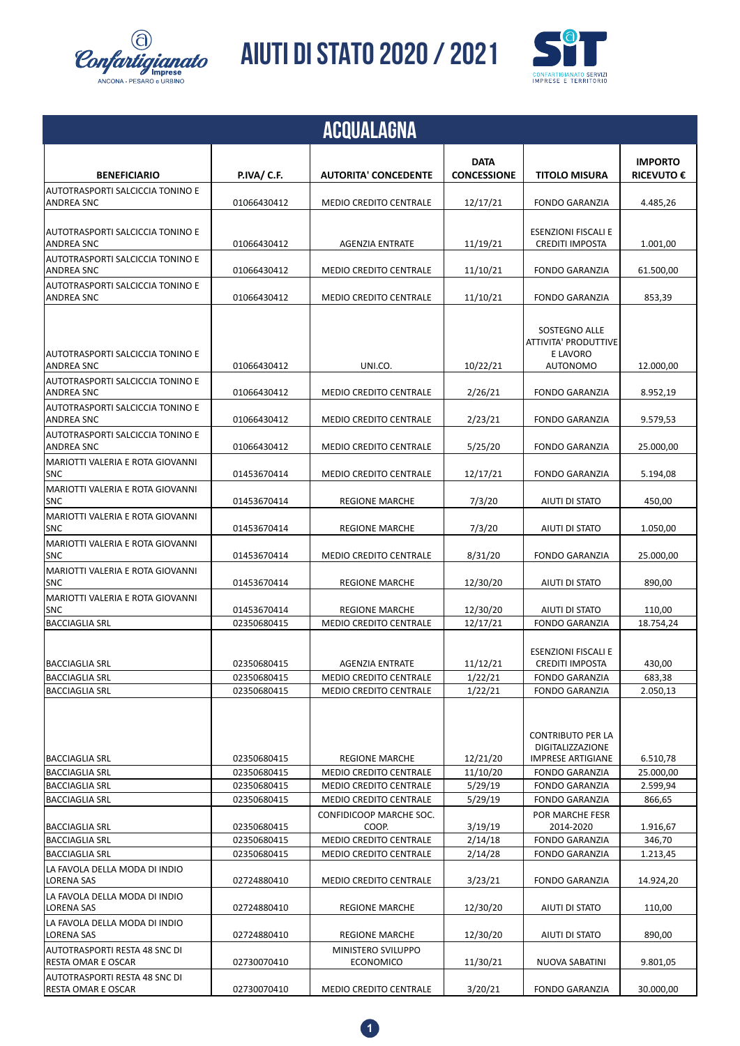

**AIUTI DI STATO 2020 / 2021 AIUTI DI STATO 2020**



|                                                       |                            | <b>ACQUALAGNA</b>                                       |                                   |                                                                          |                                     |
|-------------------------------------------------------|----------------------------|---------------------------------------------------------|-----------------------------------|--------------------------------------------------------------------------|-------------------------------------|
| <b>BENEFICIARIO</b>                                   | P.IVA/ C.F.                | <b>AUTORITA' CONCEDENTE</b>                             | <b>DATA</b><br><b>CONCESSIONE</b> | <b>TITOLO MISURA</b>                                                     | <b>IMPORTO</b><br><b>RICEVUTO €</b> |
| AUTOTRASPORTI SALCICCIA TONINO E<br><b>ANDREA SNC</b> | 01066430412                | <b>MEDIO CREDITO CENTRALE</b>                           | 12/17/21                          | <b>FONDO GARANZIA</b>                                                    | 4.485,26                            |
| AUTOTRASPORTI SALCICCIA TONINO E<br><b>ANDREA SNC</b> | 01066430412                | <b>AGENZIA ENTRATE</b>                                  | 11/19/21                          | <b>ESENZIONI FISCALI E</b><br><b>CREDITI IMPOSTA</b>                     | 1.001,00                            |
| AUTOTRASPORTI SALCICCIA TONINO E<br><b>ANDREA SNC</b> | 01066430412                | <b>MEDIO CREDITO CENTRALE</b>                           | 11/10/21                          | <b>FONDO GARANZIA</b>                                                    | 61.500,00                           |
| AUTOTRASPORTI SALCICCIA TONINO E<br>ANDREA SNC        | 01066430412                | MEDIO CREDITO CENTRALE                                  | 11/10/21                          | <b>FONDO GARANZIA</b>                                                    | 853,39                              |
| AUTOTRASPORTI SALCICCIA TONINO E<br><b>ANDREA SNC</b> | 01066430412                | UNI.CO.                                                 | 10/22/21                          | SOSTEGNO ALLE<br>ATTIVITA' PRODUTTIVE<br>E LAVORO<br><b>AUTONOMO</b>     | 12.000,00                           |
| AUTOTRASPORTI SALCICCIA TONINO E<br><b>ANDREA SNC</b> | 01066430412                | <b>MEDIO CREDITO CENTRALE</b>                           | 2/26/21                           | <b>FONDO GARANZIA</b>                                                    | 8.952,19                            |
| AUTOTRASPORTI SALCICCIA TONINO E<br><b>ANDREA SNC</b> | 01066430412                | <b>MEDIO CREDITO CENTRALE</b>                           | 2/23/21                           | <b>FONDO GARANZIA</b>                                                    | 9.579,53                            |
| AUTOTRASPORTI SALCICCIA TONINO E<br><b>ANDREA SNC</b> | 01066430412                | MEDIO CREDITO CENTRALE                                  | 5/25/20                           | <b>FONDO GARANZIA</b>                                                    | 25.000,00                           |
| MARIOTTI VALERIA E ROTA GIOVANNI<br><b>SNC</b>        | 01453670414                | <b>MEDIO CREDITO CENTRALE</b>                           | 12/17/21                          | <b>FONDO GARANZIA</b>                                                    | 5.194,08                            |
| MARIOTTI VALERIA E ROTA GIOVANNI<br><b>SNC</b>        | 01453670414                | <b>REGIONE MARCHE</b>                                   | 7/3/20                            | AIUTI DI STATO                                                           | 450,00                              |
| MARIOTTI VALERIA E ROTA GIOVANNI<br><b>SNC</b>        | 01453670414                | <b>REGIONE MARCHE</b>                                   | 7/3/20                            | AIUTI DI STATO                                                           | 1.050,00                            |
| MARIOTTI VALERIA E ROTA GIOVANNI<br>SNC               | 01453670414                | <b>MEDIO CREDITO CENTRALE</b>                           | 8/31/20                           | <b>FONDO GARANZIA</b>                                                    | 25.000,00                           |
| MARIOTTI VALERIA E ROTA GIOVANNI<br><b>SNC</b>        | 01453670414                | <b>REGIONE MARCHE</b>                                   | 12/30/20                          | AIUTI DI STATO                                                           | 890,00                              |
| MARIOTTI VALERIA E ROTA GIOVANNI<br><b>SNC</b>        | 01453670414                | <b>REGIONE MARCHE</b>                                   | 12/30/20                          | AIUTI DI STATO                                                           | 110,00                              |
| <b>BACCIAGLIA SRL</b>                                 | 02350680415                | <b>MEDIO CREDITO CENTRALE</b>                           | 12/17/21                          | <b>FONDO GARANZIA</b>                                                    | 18.754,24                           |
| lBACCIAGLIA SRL                                       | 02350680415                | <b>AGENZIA ENTRATE</b>                                  | 11/12/21                          | <b>ESENZIONI FISCALI E</b><br><b>CREDITI IMPOSTA</b>                     | 430,00                              |
| <b>BACCIAGLIA SRL</b>                                 | 02350680415                | <b>MEDIO CREDITO CENTRALE</b>                           | 1/22/21                           | <b>FONDO GARANZIA</b>                                                    | 683,38                              |
| <b>BACCIAGLIA SRL</b>                                 | 02350680415                | <b>MEDIO CREDITO CENTRALE</b>                           | 1/22/21                           | <b>FONDO GARANZIA</b>                                                    | 2.050,13                            |
| <b>BACCIAGLIA SRL</b>                                 | 02350680415                | <b>REGIONE MARCHE</b>                                   | 12/21/20                          | <b>CONTRIBUTO PER LA</b><br>DIGITALIZZAZIONE<br><b>IMPRESE ARTIGIANE</b> | 6.510,78                            |
| <b>BACCIAGLIA SRL</b>                                 | 02350680415                | MEDIO CREDITO CENTRALE                                  | 11/10/20                          | <b>FONDO GARANZIA</b>                                                    | 25.000,00                           |
| <b>BACCIAGLIA SRL</b>                                 | 02350680415                | <b>MEDIO CREDITO CENTRALE</b>                           | 5/29/19                           | <b>FONDO GARANZIA</b>                                                    | 2.599,94                            |
| <b>BACCIAGLIA SRL</b>                                 | 02350680415                | MEDIO CREDITO CENTRALE                                  | 5/29/19                           | <b>FONDO GARANZIA</b>                                                    | 866,65                              |
|                                                       |                            | CONFIDICOOP MARCHE SOC.                                 |                                   | POR MARCHE FESR                                                          |                                     |
| <b>BACCIAGLIA SRL</b>                                 | 02350680415                | COOP.                                                   | 3/19/19                           | 2014-2020                                                                | 1.916,67                            |
| <b>BACCIAGLIA SRL</b><br><b>BACCIAGLIA SRL</b>        | 02350680415<br>02350680415 | MEDIO CREDITO CENTRALE<br><b>MEDIO CREDITO CENTRALE</b> | 2/14/18<br>2/14/28                | <b>FONDO GARANZIA</b><br><b>FONDO GARANZIA</b>                           | 346,70<br>1.213,45                  |
| LA FAVOLA DELLA MODA DI INDIO<br>LORENA SAS           | 02724880410                | MEDIO CREDITO CENTRALE                                  | 3/23/21                           | <b>FONDO GARANZIA</b>                                                    | 14.924,20                           |
| LA FAVOLA DELLA MODA DI INDIO<br>LORENA SAS           | 02724880410                | <b>REGIONE MARCHE</b>                                   | 12/30/20                          | AIUTI DI STATO                                                           | 110,00                              |
| LA FAVOLA DELLA MODA DI INDIO<br>LORENA SAS           | 02724880410                | <b>REGIONE MARCHE</b>                                   | 12/30/20                          | AIUTI DI STATO                                                           | 890,00                              |
| AUTOTRASPORTI RESTA 48 SNC DI<br>RESTA OMAR E OSCAR   | 02730070410                | MINISTERO SVILUPPO<br><b>ECONOMICO</b>                  | 11/30/21                          | NUOVA SABATINI                                                           | 9.801,05                            |
| AUTOTRASPORTI RESTA 48 SNC DI<br>RESTA OMAR E OSCAR   | 02730070410                | <b>MEDIO CREDITO CENTRALE</b>                           | 3/20/21                           | <b>FONDO GARANZIA</b>                                                    | 30.000,00                           |

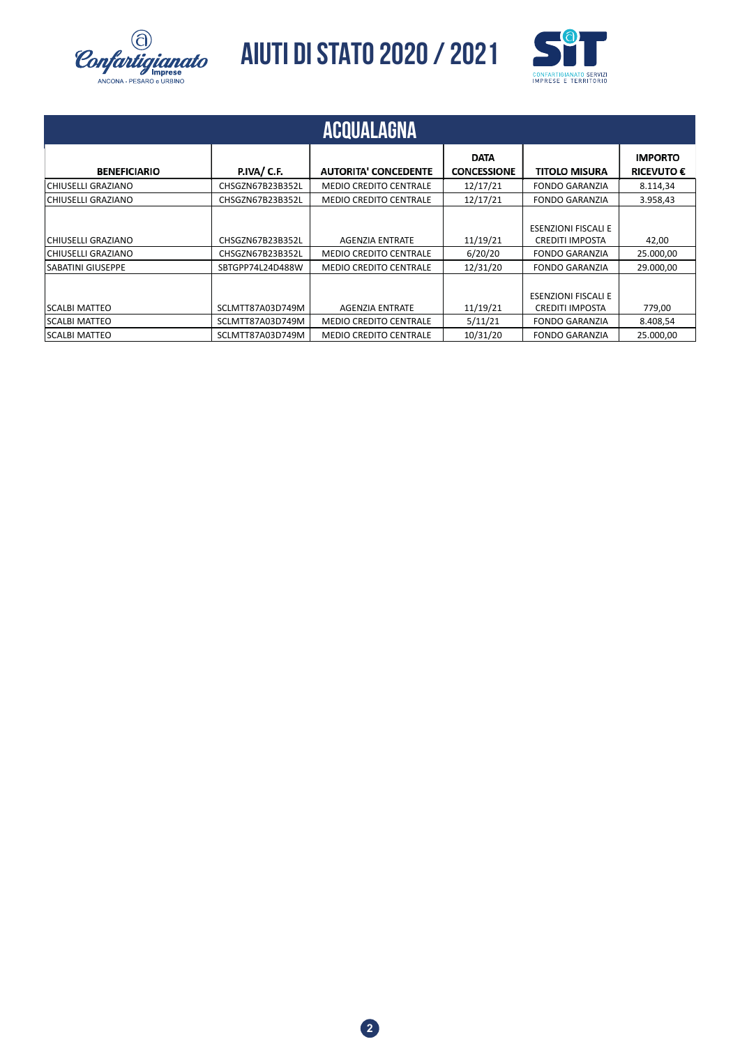



|                                                               |                                                          | ACQUALAGNA                                                                               |                                   |                                                                                                        |                                     |
|---------------------------------------------------------------|----------------------------------------------------------|------------------------------------------------------------------------------------------|-----------------------------------|--------------------------------------------------------------------------------------------------------|-------------------------------------|
| <b>BENEFICIARIO</b>                                           | P.IVA/C.F.                                               | <b>AUTORITA' CONCEDENTE</b>                                                              | <b>DATA</b><br><b>CONCESSIONE</b> | <b>TITOLO MISURA</b>                                                                                   | <b>IMPORTO</b><br><b>RICEVUTO €</b> |
| CHIUSELLI GRAZIANO                                            | CHSGZN67B23B352L                                         | <b>MEDIO CREDITO CENTRALE</b>                                                            | 12/17/21                          | <b>FONDO GARANZIA</b>                                                                                  | 8.114,34                            |
| CHIUSELLI GRAZIANO                                            | CHSGZN67B23B352L                                         | <b>MEDIO CREDITO CENTRALE</b>                                                            | 12/17/21                          | <b>FONDO GARANZIA</b>                                                                                  | 3.958,43                            |
| CHIUSELLI GRAZIANO<br>CHIUSELLI GRAZIANO<br>SABATINI GIUSEPPE | CHSGZN67B23B352L<br>CHSGZN67B23B352L<br>SBTGPP74L24D488W | <b>AGENZIA ENTRATE</b><br><b>MEDIO CREDITO CENTRALE</b><br><b>MEDIO CREDITO CENTRALE</b> | 11/19/21<br>6/20/20<br>12/31/20   | <b>ESENZIONI FISCALI E</b><br><b>CREDITI IMPOSTA</b><br><b>FONDO GARANZIA</b><br><b>FONDO GARANZIA</b> | 42,00<br>25.000,00<br>29.000,00     |
| <b>SCALBI MATTEO</b><br><b>SCALBI MATTEO</b>                  | SCLMTT87A03D749M<br>SCLMTT87A03D749M                     | <b>AGENZIA ENTRATE</b><br><b>MEDIO CREDITO CENTRALE</b>                                  | 11/19/21<br>5/11/21               | <b>ESENZIONI FISCALI E</b><br><b>CREDITI IMPOSTA</b><br><b>FONDO GARANZIA</b>                          | 779,00<br>8.408,54                  |
| <b>SCALBI MATTEO</b>                                          | SCLMTT87A03D749M                                         | <b>MEDIO CREDITO CENTRALE</b>                                                            | 10/31/20                          | <b>FONDO GARANZIA</b>                                                                                  | 25.000,00                           |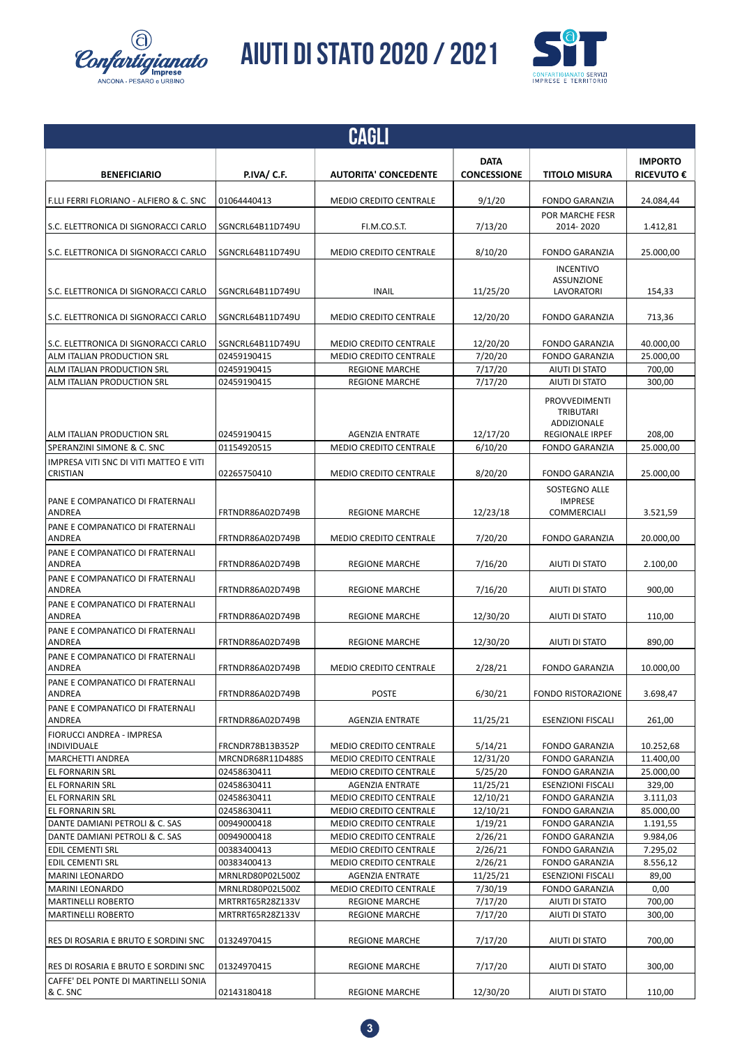



|                                                           |                                      | CAGLI                                                   |                     |                                                     |                   |
|-----------------------------------------------------------|--------------------------------------|---------------------------------------------------------|---------------------|-----------------------------------------------------|-------------------|
|                                                           |                                      |                                                         | <b>DATA</b>         |                                                     | <b>IMPORTO</b>    |
| <b>BENEFICIARIO</b>                                       | <b>P.IVA/ C.F.</b>                   | <b>AUTORITA' CONCEDENTE</b>                             | <b>CONCESSIONE</b>  | <b>TITOLO MISURA</b>                                | <b>RICEVUTO €</b> |
| F.LLI FERRI FLORIANO - ALFIERO & C. SNC                   | 01064440413                          | <b>MEDIO CREDITO CENTRALE</b>                           | 9/1/20              | <b>FONDO GARANZIA</b>                               | 24.084,44         |
| S.C. ELETTRONICA DI SIGNORACCI CARLO                      | SGNCRL64B11D749U                     | FI.M.CO.S.T.                                            | 7/13/20             | POR MARCHE FESR<br>2014-2020                        | 1.412,81          |
| S.C. ELETTRONICA DI SIGNORACCI CARLO                      | SGNCRL64B11D749U                     | <b>MEDIO CREDITO CENTRALE</b>                           | 8/10/20             | <b>FONDO GARANZIA</b>                               | 25.000,00         |
| S.C. ELETTRONICA DI SIGNORACCI CARLO                      | SGNCRL64B11D749U                     | <b>INAIL</b>                                            | 11/25/20            | <b>INCENTIVO</b><br><b>ASSUNZIONE</b><br>LAVORATORI | 154,33            |
| S.C. ELETTRONICA DI SIGNORACCI CARLO                      | SGNCRL64B11D749U                     | <b>MEDIO CREDITO CENTRALE</b>                           | 12/20/20            | <b>FONDO GARANZIA</b>                               | 713,36            |
| S.C. ELETTRONICA DI SIGNORACCI CARLO                      | SGNCRL64B11D749U                     | <b>MEDIO CREDITO CENTRALE</b>                           | 12/20/20            | <b>FONDO GARANZIA</b>                               | 40.000,00         |
| ALM ITALIAN PRODUCTION SRL                                | 02459190415                          | <b>MEDIO CREDITO CENTRALE</b>                           | 7/20/20             | <b>FONDO GARANZIA</b>                               | 25.000,00         |
| ALM ITALIAN PRODUCTION SRL                                | 02459190415                          | <b>REGIONE MARCHE</b>                                   | 7/17/20             | AIUTI DI STATO                                      | 700,00            |
| ALM ITALIAN PRODUCTION SRL                                | 02459190415                          | <b>REGIONE MARCHE</b>                                   | 7/17/20             | AIUTI DI STATO                                      | 300,00            |
|                                                           |                                      |                                                         |                     | PROVVEDIMENTI<br>TRIBUTARI<br>ADDIZIONALE           |                   |
| ALM ITALIAN PRODUCTION SRL                                | 02459190415                          | <b>AGENZIA ENTRATE</b>                                  | 12/17/20            | <b>REGIONALE IRPEF</b>                              | 208,00            |
| SPERANZINI SIMONE & C. SNC                                | 01154920515                          | <b>MEDIO CREDITO CENTRALE</b>                           | 6/10/20             | <b>FONDO GARANZIA</b>                               | 25.000,00         |
| IMPRESA VITI SNC DI VITI MATTEO E VITI<br><b>CRISTIAN</b> | 02265750410                          | <b>MEDIO CREDITO CENTRALE</b>                           | 8/20/20             | <b>FONDO GARANZIA</b>                               | 25.000,00         |
| PANE E COMPANATICO DI FRATERNALI<br><b>ANDREA</b>         | FRTNDR86A02D749B                     | <b>REGIONE MARCHE</b>                                   | 12/23/18            | SOSTEGNO ALLE<br><b>IMPRESE</b><br>COMMERCIALI      | 3.521,59          |
| PANE E COMPANATICO DI FRATERNALI<br>ANDREA                | FRTNDR86A02D749B                     | <b>MEDIO CREDITO CENTRALE</b>                           | 7/20/20             | <b>FONDO GARANZIA</b>                               | 20.000,00         |
| PANE E COMPANATICO DI FRATERNALI<br>ANDREA                | FRTNDR86A02D749B                     | <b>REGIONE MARCHE</b>                                   | 7/16/20             | AIUTI DI STATO                                      | 2.100,00          |
| PANE E COMPANATICO DI FRATERNALI<br>ANDREA                | FRTNDR86A02D749B                     | <b>REGIONE MARCHE</b>                                   | 7/16/20             | AIUTI DI STATO                                      | 900,00            |
| PANE E COMPANATICO DI FRATERNALI<br>ANDREA                | FRTNDR86A02D749B                     | <b>REGIONE MARCHE</b>                                   | 12/30/20            | AIUTI DI STATO                                      | 110.00            |
| PANE E COMPANATICO DI FRATERNALI<br>ANDREA                | FRTNDR86A02D749B                     | <b>REGIONE MARCHE</b>                                   | 12/30/20            | AIUTI DI STATO                                      | 890,00            |
| PANE E COMPANATICO DI FRATERNALI<br>ANDREA                | FRTNDR86A02D749B                     | <b>MEDIO CREDITO CENTRALE</b>                           | 2/28/21             | <b>FONDO GARANZIA</b>                               | 10.000,00         |
| PANE E COMPANATICO DI FRATERNALI<br>ANDREA                | FRTNDR86A02D749B                     | <b>POSTE</b>                                            | 6/30/21             | <b>FONDO RISTORAZIONE</b>                           | 3.698,47          |
| PANE E COMPANATICO DI FRATERNALI<br>ANDREA                | FRTNDR86A02D749B                     | <b>AGENZIA ENTRATE</b>                                  | 11/25/21            | <b>ESENZIONI FISCALI</b>                            | 261,00            |
| FIORUCCI ANDREA - IMPRESA<br>INDIVIDUALE                  | FRCNDR78B13B352P                     | <b>MEDIO CREDITO CENTRALE</b>                           | 5/14/21             | <b>FONDO GARANZIA</b>                               | 10.252,68         |
| <b>MARCHETTI ANDREA</b>                                   | MRCNDR68R11D488S                     | <b>MEDIO CREDITO CENTRALE</b>                           | 12/31/20            | <b>FONDO GARANZIA</b>                               | 11.400,00         |
| EL FORNARIN SRL                                           | 02458630411                          | <b>MEDIO CREDITO CENTRALE</b>                           | 5/25/20             | <b>FONDO GARANZIA</b>                               | 25.000,00         |
| EL FORNARIN SRL                                           | 02458630411                          | <b>AGENZIA ENTRATE</b>                                  | 11/25/21            | <b>ESENZIONI FISCALI</b>                            | 329,00            |
| EL FORNARIN SRL                                           | 02458630411                          | <b>MEDIO CREDITO CENTRALE</b>                           | 12/10/21            | <b>FONDO GARANZIA</b>                               | 3.111,03          |
| EL FORNARIN SRL                                           | 02458630411                          | <b>MEDIO CREDITO CENTRALE</b>                           | 12/10/21            | <b>FONDO GARANZIA</b>                               | 85.000,00         |
| DANTE DAMIANI PETROLI & C. SAS                            | 00949000418                          | <b>MEDIO CREDITO CENTRALE</b>                           | 1/19/21             | <b>FONDO GARANZIA</b>                               | 1.191,55          |
| DANTE DAMIANI PETROLI & C. SAS                            | 00949000418                          | MEDIO CREDITO CENTRALE                                  | 2/26/21             | <b>FONDO GARANZIA</b>                               | 9.984,06          |
| EDIL CEMENTI SRL                                          | 00383400413                          | <b>MEDIO CREDITO CENTRALE</b>                           | 2/26/21             | <b>FONDO GARANZIA</b>                               | 7.295,02          |
| EDIL CEMENTI SRL                                          | 00383400413                          | MEDIO CREDITO CENTRALE                                  | 2/26/21             | <b>FONDO GARANZIA</b>                               | 8.556,12          |
| MARINI LEONARDO<br><b>MARINI LEONARDO</b>                 | MRNLRD80P02L500Z<br>MRNLRD80P02L500Z | <b>AGENZIA ENTRATE</b><br><b>MEDIO CREDITO CENTRALE</b> | 11/25/21<br>7/30/19 | <b>ESENZIONI FISCALI</b><br><b>FONDO GARANZIA</b>   | 89,00<br>0,00     |
| <b>MARTINELLI ROBERTO</b>                                 | MRTRRT65R28Z133V                     | <b>REGIONE MARCHE</b>                                   | 7/17/20             | AIUTI DI STATO                                      | 700,00            |
| <b>MARTINELLI ROBERTO</b>                                 | MRTRRT65R28Z133V                     | <b>REGIONE MARCHE</b>                                   | 7/17/20             | AIUTI DI STATO                                      | 300,00            |
| RES DI ROSARIA E BRUTO E SORDINI SNC                      | 01324970415                          | <b>REGIONE MARCHE</b>                                   | 7/17/20             | AIUTI DI STATO                                      | 700,00            |
| RES DI ROSARIA E BRUTO E SORDINI SNC                      | 01324970415                          | <b>REGIONE MARCHE</b>                                   | 7/17/20             | AIUTI DI STATO                                      | 300,00            |
| CAFFE' DEL PONTE DI MARTINELLI SONIA<br>& C. SNC          | 02143180418                          | <b>REGIONE MARCHE</b>                                   | 12/30/20            | AIUTI DI STATO                                      | 110,00            |

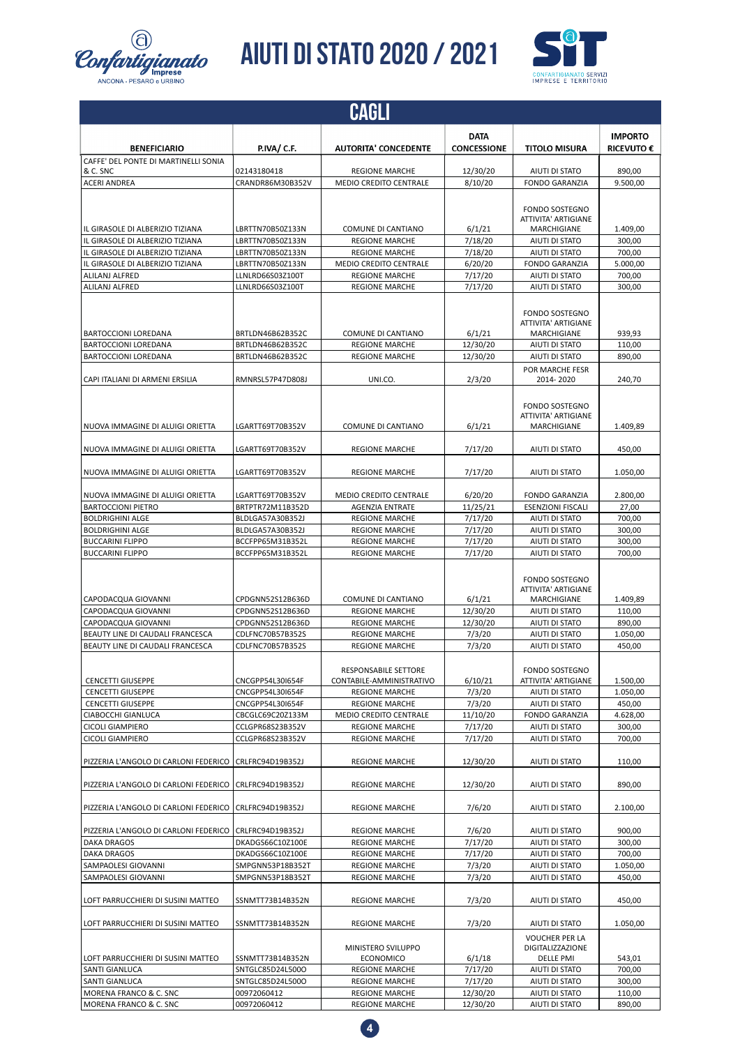



|                                                      |                                      | CAGLI                                          |                                   |                                                        |                                     |
|------------------------------------------------------|--------------------------------------|------------------------------------------------|-----------------------------------|--------------------------------------------------------|-------------------------------------|
| <b>BENEFICIARIO</b>                                  | P.IVA/C.F.                           | <b>AUTORITA' CONCEDENTE</b>                    | <b>DATA</b><br><b>CONCESSIONE</b> | <b>TITOLO MISURA</b>                                   | <b>IMPORTO</b><br><b>RICEVUTO €</b> |
| CAFFE' DEL PONTE DI MARTINELLI SONIA                 |                                      |                                                |                                   |                                                        |                                     |
| & C. SNC                                             | 02143180418                          | <b>REGIONE MARCHE</b>                          | 12/30/20                          | AIUTI DI STATO                                         | 890,00                              |
| <b>ACERI ANDREA</b>                                  | CRANDR86M30B352V                     | <b>MEDIO CREDITO CENTRALE</b>                  | 8/10/20                           | <b>FONDO GARANZIA</b>                                  | 9.500,00                            |
|                                                      |                                      |                                                |                                   | <b>FONDO SOSTEGNO</b><br>ATTIVITA' ARTIGIANE           |                                     |
| IL GIRASOLE DI ALBERIZIO TIZIANA                     | LBRTTN70B50Z133N                     | <b>COMUNE DI CANTIANO</b>                      | 6/1/21                            | MARCHIGIANE                                            | 1.409.00                            |
| IL GIRASOLE DI ALBERIZIO TIZIANA                     | LBRTTN70B50Z133N                     | <b>REGIONE MARCHE</b>                          | 7/18/20                           | <b>AIUTI DI STATO</b>                                  | 300.00                              |
| IL GIRASOLE DI ALBERIZIO TIZIANA                     | LBRTTN70B50Z133N                     | <b>REGIONE MARCHE</b>                          | 7/18/20                           | AIUTI DI STATO                                         | 700,00                              |
| IL GIRASOLE DI ALBERIZIO TIZIANA                     | LBRTTN70B50Z133N                     | <b>MEDIO CREDITO CENTRALE</b>                  | 6/20/20                           | <b>FONDO GARANZIA</b>                                  | 5.000,00                            |
| ALILANJ ALFRED                                       | LLNLRD66S03Z100T                     | <b>REGIONE MARCHE</b>                          | 7/17/20                           | AIUTI DI STATO                                         | 700,00                              |
| <b>ALILANJ ALFRED</b>                                | LLNLRD66S03Z100T                     | <b>REGIONE MARCHE</b>                          | 7/17/20                           | AIUTI DI STATO                                         | 300,00                              |
|                                                      |                                      |                                                |                                   | <b>FONDO SOSTEGNO</b><br>ATTIVITA' ARTIGIANE           |                                     |
| <b>BARTOCCIONI LOREDANA</b>                          | BRTLDN46B62B352C                     | COMUNE DI CANTIANO                             | 6/1/21                            | MARCHIGIANE                                            | 939,93                              |
| <b>BARTOCCIONI LOREDANA</b><br>BARTOCCIONI LOREDANA  | BRTLDN46B62B352C<br>BRTLDN46B62B352C | <b>REGIONE MARCHE</b><br><b>REGIONE MARCHE</b> | 12/30/20                          | AIUTI DI STATO<br>AIUTI DI STATO                       | 110,00<br>890,00                    |
|                                                      |                                      |                                                | 12/30/20                          | POR MARCHE FESR                                        |                                     |
| CAPI ITALIANI DI ARMENI ERSILIA                      | RMNRSL57P47D808J                     | UNI.CO.                                        | 2/3/20                            | 2014-2020                                              | 240,70                              |
|                                                      |                                      |                                                |                                   | FONDO SOSTEGNO<br>ATTIVITA' ARTIGIANE                  |                                     |
| NUOVA IMMAGINE DI ALUIGI ORIETTA                     | LGARTT69T70B352V                     | COMUNE DI CANTIANO                             | 6/1/21                            | MARCHIGIANE                                            | 1.409,89                            |
| NUOVA IMMAGINE DI ALUIGI ORIETTA                     | LGARTT69T70B352V                     | <b>REGIONE MARCHE</b>                          | 7/17/20                           | AIUTI DI STATO                                         | 450,00                              |
| NUOVA IMMAGINE DI ALUIGI ORIETTA                     | LGARTT69T70B352V                     | <b>REGIONE MARCHE</b>                          | 7/17/20                           | AIUTI DI STATO                                         | 1.050,00                            |
| NUOVA IMMAGINE DI ALUIGI ORIETTA                     | LGARTT69T70B352V                     | <b>MEDIO CREDITO CENTRALE</b>                  | 6/20/20                           | <b>FONDO GARANZIA</b>                                  | 2.800,00                            |
| <b>BARTOCCIONI PIETRO</b>                            | BRTPTR72M11B352D                     | <b>AGENZIA ENTRATE</b>                         | 11/25/21                          | <b>ESENZIONI FISCALI</b>                               | 27,00                               |
| <b>BOLDRIGHINI ALGE</b>                              | BLDLGA57A30B352J                     | <b>REGIONE MARCHE</b>                          | 7/17/20                           | AIUTI DI STATO                                         | 700,00                              |
| <b>BOLDRIGHINI ALGE</b>                              | BLDLGA57A30B352J                     | <b>REGIONE MARCHE</b>                          | 7/17/20                           | AIUTI DI STATO                                         | 300,00                              |
| <b>BUCCARINI FLIPPO</b>                              | BCCFPP65M31B352L                     | <b>REGIONE MARCHE</b>                          | 7/17/20                           | AIUTI DI STATO                                         | 300,00                              |
| <b>BUCCARINI FLIPPO</b>                              | BCCFPP65M31B352L                     | <b>REGIONE MARCHE</b>                          | 7/17/20                           | AIUTI DI STATO                                         | 700,00                              |
|                                                      |                                      |                                                |                                   | <b>FONDO SOSTEGNO</b><br>ATTIVITA' ARTIGIANE           |                                     |
| CAPODACQUA GIOVANNI<br>CAPODACQUA GIOVANNI           | CPDGNN52S12B636D<br>CPDGNN52S12B636D | COMUNE DI CANTIANO<br><b>REGIONE MARCHE</b>    | 6/1/21<br>12/30/20                | MARCHIGIANE<br>AIUTI DI STATO                          | 1.409,89<br>110,00                  |
| CAPODACQUA GIOVANNI                                  | CPDGNN52S12B636D                     | <b>REGIONE MARCHE</b>                          | 12/30/20                          | AIUTI DI STATO                                         | 890,00                              |
| BEAUTY LINE DI CAUDALI FRANCESCA                     | CDLFNC70B57B352S                     | <b>REGIONE MARCHE</b>                          | 7/3/20                            | AIUTI DI STATO                                         | 1.050,00                            |
| BEAUTY LINE DI CAUDALI FRANCESCA                     | CDLFNC70B57B352S                     | <b>REGIONE MARCHE</b>                          | 7/3/20                            | AIUTI DI STATO                                         | 450,00                              |
|                                                      |                                      | <b>RESPONSABILE SETTORE</b>                    |                                   | <b>FONDO SOSTEGNO</b>                                  |                                     |
| <b>CENCETTI GIUSEPPE</b>                             | CNCGPP54L30I654F                     | CONTABILE-AMMINISTRATIVO                       | 6/10/21                           | ATTIVITA' ARTIGIANE                                    | 1.500,00                            |
| <b>CENCETTI GIUSEPPE</b><br><b>CENCETTI GIUSEPPE</b> | CNCGPP54L30I654F<br>CNCGPP54L30I654F | <b>REGIONE MARCHE</b><br><b>REGIONE MARCHE</b> | 7/3/20<br>7/3/20                  | AIUTI DI STATO<br>AIUTI DI STATO                       | 1.050,00<br>450,00                  |
| CIABOCCHI GIANLUCA                                   | CBCGLC69C20Z133M                     | MEDIO CREDITO CENTRALE                         | 11/10/20                          | <b>FONDO GARANZIA</b>                                  | 4.628,00                            |
| CICOLI GIAMPIERO                                     | CCLGPR68S23B352V                     | <b>REGIONE MARCHE</b>                          | 7/17/20                           | AIUTI DI STATO                                         | 300,00                              |
| CICOLI GIAMPIERO                                     | CCLGPR68S23B352V                     | <b>REGIONE MARCHE</b>                          | 7/17/20                           | AIUTI DI STATO                                         | 700,00                              |
| PIZZERIA L'ANGOLO DI CARLONI FEDERICO                | CRLFRC94D19B352J                     | <b>REGIONE MARCHE</b>                          | 12/30/20                          | AIUTI DI STATO                                         | 110,00                              |
| PIZZERIA L'ANGOLO DI CARLONI FEDERICO                | CRLFRC94D19B352J                     | <b>REGIONE MARCHE</b>                          | 12/30/20                          | <b>AIUTI DI STATO</b>                                  | 890,00                              |
| PIZZERIA L'ANGOLO DI CARLONI FEDERICO                | CRLFRC94D19B352J                     | <b>REGIONE MARCHE</b>                          | 7/6/20                            | AIUTI DI STATO                                         | 2.100,00                            |
| PIZZERIA L'ANGOLO DI CARLONI FEDERICO                | CRLFRC94D19B352J                     | <b>REGIONE MARCHE</b>                          | 7/6/20                            | AIUTI DI STATO                                         | 900,00                              |
| <b>DAKA DRAGOS</b>                                   | DKADGS66C10Z100E                     | <b>REGIONE MARCHE</b>                          | 7/17/20                           | AIUTI DI STATO                                         | 300,00                              |
| DAKA DRAGOS                                          | DKADGS66C10Z100E                     | <b>REGIONE MARCHE</b>                          | 7/17/20                           | AIUTI DI STATO                                         | 700,00                              |
| SAMPAOLESI GIOVANNI                                  | SMPGNN53P18B352T                     | <b>REGIONE MARCHE</b>                          | 7/3/20                            | AIUTI DI STATO                                         | 1.050,00                            |
| SAMPAOLESI GIOVANNI                                  | SMPGNN53P18B352T                     | <b>REGIONE MARCHE</b>                          | 7/3/20                            | AIUTI DI STATO                                         | 450,00                              |
| LOFT PARRUCCHIERI DI SUSINI MATTEO                   | SSNMTT73B14B352N                     | <b>REGIONE MARCHE</b>                          | 7/3/20                            | AIUTI DI STATO                                         | 450,00                              |
| LOFT PARRUCCHIERI DI SUSINI MATTEO                   | SSNMTT73B14B352N                     | <b>REGIONE MARCHE</b>                          | 7/3/20                            | AIUTI DI STATO                                         | 1.050,00                            |
| LOFT PARRUCCHIERI DI SUSINI MATTEO                   | SSNMTT73B14B352N                     | MINISTERO SVILUPPO<br><b>ECONOMICO</b>         | 6/1/18                            | <b>VOUCHER PER LA</b><br>DIGITALIZZAZIONE<br>DELLE PMI | 543,01                              |
| SANTI GIANLUCA                                       | SNTGLC85D24L500O                     | <b>REGIONE MARCHE</b>                          | 7/17/20                           | AIUTI DI STATO                                         | 700,00                              |
| SANTI GIANLUCA                                       | SNTGLC85D24L500O                     | <b>REGIONE MARCHE</b>                          | 7/17/20                           | AIUTI DI STATO                                         | 300,00                              |
| MORENA FRANCO & C. SNC                               | 00972060412                          | <b>REGIONE MARCHE</b>                          | 12/30/20                          | AIUTI DI STATO                                         | 110,00                              |
| MORENA FRANCO & C. SNC                               | 00972060412                          | <b>REGIONE MARCHE</b>                          | 12/30/20                          | AIUTI DI STATO                                         | 890,00                              |

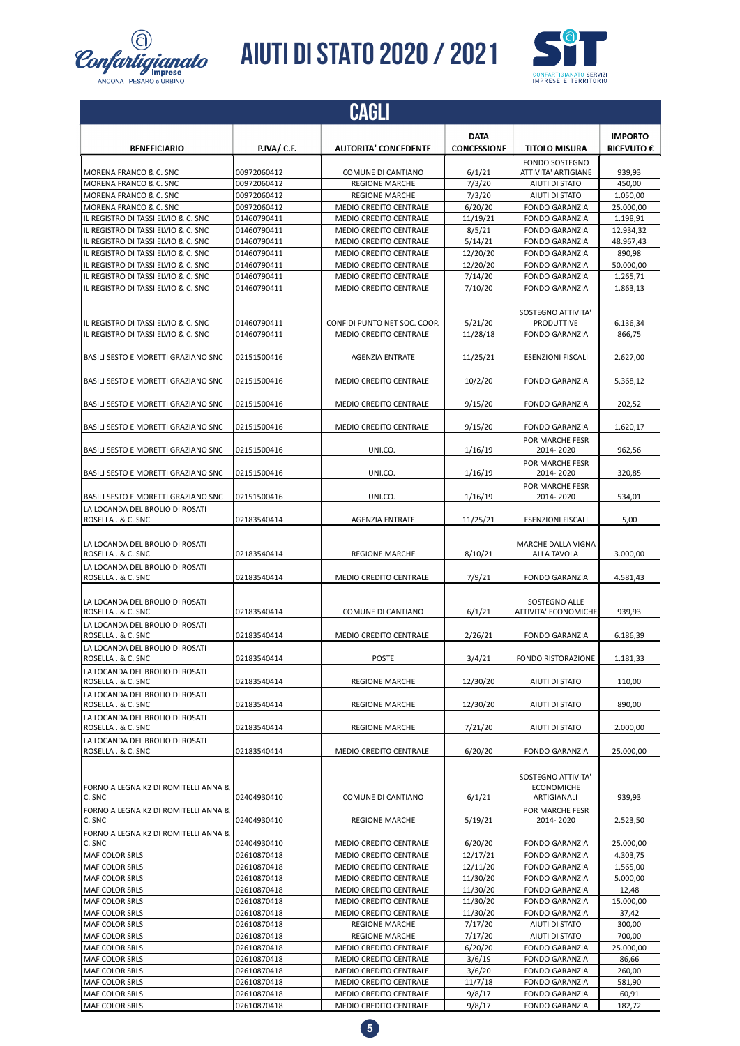

![](_page_4_Picture_2.jpeg)

|                                                                                        |                            | <b>CAGLI</b>                                                  |                      |                                                                           |                        |
|----------------------------------------------------------------------------------------|----------------------------|---------------------------------------------------------------|----------------------|---------------------------------------------------------------------------|------------------------|
|                                                                                        |                            |                                                               | <b>DATA</b>          |                                                                           | <b>IMPORTO</b>         |
| <b>BENEFICIARIO</b>                                                                    | P.IVA/ C.F.                | <b>AUTORITA' CONCEDENTE</b>                                   | <b>CONCESSIONE</b>   | <b>TITOLO MISURA</b>                                                      | <b>RICEVUTO €</b>      |
| MORENA FRANCO & C. SNC                                                                 | 00972060412                | COMUNE DI CANTIANO                                            | 6/1/21               | <b>FONDO SOSTEGNO</b><br><b>ATTIVITA' ARTIGIANE</b>                       | 939,93                 |
| MORENA FRANCO & C. SNC                                                                 | 00972060412                | <b>REGIONE MARCHE</b>                                         | 7/3/20               | AIUTI DI STATO                                                            | 450,00                 |
| MORENA FRANCO & C. SNC                                                                 | 00972060412                | <b>REGIONE MARCHE</b>                                         | 7/3/20               | AIUTI DI STATO                                                            | 1.050,00               |
| MORENA FRANCO & C. SNC                                                                 | 00972060412                | <b>MEDIO CREDITO CENTRALE</b>                                 | 6/20/20              | <b>FONDO GARANZIA</b>                                                     | 25.000,00              |
| IL REGISTRO DI TASSI ELVIO & C. SNC                                                    | 01460790411                | <b>MEDIO CREDITO CENTRALE</b>                                 | 11/19/21             | <b>FONDO GARANZIA</b>                                                     | 1.198,91               |
| IL REGISTRO DI TASSI ELVIO & C. SNC<br>IL REGISTRO DI TASSI ELVIO & C. SNC             | 01460790411<br>01460790411 | MEDIO CREDITO CENTRALE<br>MEDIO CREDITO CENTRALE              | 8/5/21<br>5/14/21    | <b>FONDO GARANZIA</b><br><b>FONDO GARANZIA</b>                            | 12.934,32<br>48.967,43 |
| IL REGISTRO DI TASSI ELVIO & C. SNC                                                    | 01460790411                | MEDIO CREDITO CENTRALE                                        | 12/20/20             | <b>FONDO GARANZIA</b>                                                     | 890.98                 |
| IL REGISTRO DI TASSI ELVIO & C. SNC                                                    | 01460790411                | <b>MEDIO CREDITO CENTRALE</b>                                 | 12/20/20             | <b>FONDO GARANZIA</b>                                                     | 50.000,00              |
| IL REGISTRO DI TASSI ELVIO & C. SNC                                                    | 01460790411                | <b>MEDIO CREDITO CENTRALE</b>                                 | 7/14/20              | <b>FONDO GARANZIA</b>                                                     | 1.265,71               |
| IL REGISTRO DI TASSI ELVIO & C. SNC                                                    | 01460790411                | MEDIO CREDITO CENTRALE                                        | 7/10/20              | <b>FONDO GARANZIA</b>                                                     | 1.863,13               |
| IL REGISTRO DI TASSI ELVIO & C. SNC<br>IL REGISTRO DI TASSI ELVIO & C. SNC             | 01460790411<br>01460790411 | CONFIDI PUNTO NET SOC. COOP.<br><b>MEDIO CREDITO CENTRALE</b> | 5/21/20<br>11/28/18  | SOSTEGNO ATTIVITA'<br>PRODUTTIVE<br><b>FONDO GARANZIA</b>                 | 6.136,34<br>866,75     |
| BASILI SESTO E MORETTI GRAZIANO SNC                                                    | 02151500416                | <b>AGENZIA ENTRATE</b>                                        | 11/25/21             | <b>ESENZIONI FISCALI</b>                                                  | 2.627,00               |
| BASILI SESTO E MORETTI GRAZIANO SNC                                                    | 02151500416                | <b>MEDIO CREDITO CENTRALE</b>                                 | 10/2/20              | <b>FONDO GARANZIA</b>                                                     | 5.368,12               |
|                                                                                        |                            |                                                               |                      |                                                                           |                        |
| BASILI SESTO E MORETTI GRAZIANO SNC                                                    | 02151500416                | <b>MEDIO CREDITO CENTRALE</b>                                 | 9/15/20              | <b>FONDO GARANZIA</b>                                                     | 202,52                 |
| BASILI SESTO E MORETTI GRAZIANO SNC                                                    | 02151500416                | <b>MEDIO CREDITO CENTRALE</b>                                 | 9/15/20              | <b>FONDO GARANZIA</b>                                                     | 1.620,17               |
| BASILI SESTO E MORETTI GRAZIANO SNC                                                    | 02151500416                | UNI.CO.                                                       | 1/16/19              | POR MARCHE FESR<br>2014-2020                                              | 962,56                 |
| BASILI SESTO E MORETTI GRAZIANO SNC                                                    | 02151500416                | UNI.CO.                                                       | 1/16/19              | POR MARCHE FESR<br>2014-2020                                              | 320,85                 |
| BASILI SESTO E MORETTI GRAZIANO SNC                                                    | 02151500416                | UNI.CO.                                                       | 1/16/19              | POR MARCHE FESR<br>2014-2020                                              | 534,01                 |
| LA LOCANDA DEL BROLIO DI ROSATI                                                        |                            |                                                               |                      |                                                                           |                        |
| ROSELLA . & C. SNC                                                                     | 02183540414                | <b>AGENZIA ENTRATE</b>                                        | 11/25/21             | <b>ESENZIONI FISCALI</b>                                                  | 5,00                   |
| LA LOCANDA DEL BROLIO DI ROSATI<br>ROSELLA . & C. SNC                                  | 02183540414                | <b>REGIONE MARCHE</b>                                         | 8/10/21              | MARCHE DALLA VIGNA<br>ALLA TAVOLA                                         | 3.000,00               |
| LA LOCANDA DEL BROLIO DI ROSATI<br>ROSELLA . & C. SNC                                  | 02183540414                | MEDIO CREDITO CENTRALE                                        | 7/9/21               | <b>FONDO GARANZIA</b>                                                     | 4.581,43               |
| LA LOCANDA DEL BROLIO DI ROSATI<br>ROSELLA . & C. SNC                                  | 02183540414                | COMUNE DI CANTIANO                                            | 6/1/21               | <b>SOSTEGNO ALLE</b><br>ATTIVITA' ECONOMICHE                              | 939,93                 |
| LA LOCANDA DEL BROLIO DI ROSATI<br>ROSELLA . & C. SNC                                  | 02183540414                | <b>MEDIO CREDITO CENTRALE</b>                                 | 2/26/21              | <b>FONDO GARANZIA</b>                                                     | 6.186,39               |
| LA LOCANDA DEL BROLIO DI ROSATI<br>ROSELLA . & C. SNC                                  | 02183540414                | POSTE                                                         | 3/4/21               | FONDO RISTORAZIONE                                                        | 1.181,33               |
| LA LOCANDA DEL BROLIO DI ROSATI<br>ROSELLA . & C. SNC                                  | 02183540414                | <b>REGIONE MARCHE</b>                                         | 12/30/20             | AIUTI DI STATO                                                            | 110,00                 |
| LA LOCANDA DEL BROLIO DI ROSATI                                                        |                            |                                                               |                      |                                                                           |                        |
| ROSELLA . & C. SNC<br>LA LOCANDA DEL BROLIO DI ROSATI                                  | 02183540414                | <b>REGIONE MARCHE</b>                                         | 12/30/20             | AIUTI DI STATO                                                            | 890,00                 |
| ROSELLA . & C. SNC<br>LA LOCANDA DEL BROLIO DI ROSATI                                  | 02183540414                | <b>REGIONE MARCHE</b>                                         | 7/21/20              | AIUTI DI STATO                                                            | 2.000,00               |
| ROSELLA . & C. SNC                                                                     | 02183540414                | <b>MEDIO CREDITO CENTRALE</b>                                 | 6/20/20              | FONDO GARANZIA                                                            | 25.000,00              |
| FORNO A LEGNA K2 DI ROMITELLI ANNA &<br>C. SNC<br>FORNO A LEGNA K2 DI ROMITELLI ANNA & | 02404930410                | COMUNE DI CANTIANO                                            | 6/1/21               | SOSTEGNO ATTIVITA'<br><b>ECONOMICHE</b><br>ARTIGIANALI<br>POR MARCHE FESR | 939,93                 |
| C. SNC<br>FORNO A LEGNA K2 DI ROMITELLI ANNA &                                         | 02404930410                | <b>REGIONE MARCHE</b>                                         | 5/19/21              | 2014-2020                                                                 | 2.523,50               |
| C. SNC                                                                                 | 02404930410                | MEDIO CREDITO CENTRALE                                        | 6/20/20              | <b>FONDO GARANZIA</b>                                                     | 25.000,00              |
| MAF COLOR SRLS<br>MAF COLOR SRLS                                                       | 02610870418<br>02610870418 | MEDIO CREDITO CENTRALE<br>MEDIO CREDITO CENTRALE              | 12/17/21<br>12/11/20 | FONDO GARANZIA<br><b>FONDO GARANZIA</b>                                   | 4.303,75<br>1.565,00   |
| MAF COLOR SRLS                                                                         | 02610870418                | MEDIO CREDITO CENTRALE                                        | 11/30/20             | <b>FONDO GARANZIA</b>                                                     | 5.000,00               |
| MAF COLOR SRLS                                                                         | 02610870418                | MEDIO CREDITO CENTRALE                                        | 11/30/20             | <b>FONDO GARANZIA</b>                                                     | 12,48                  |
| MAF COLOR SRLS                                                                         | 02610870418                | MEDIO CREDITO CENTRALE                                        | 11/30/20             | FONDO GARANZIA                                                            | 15.000,00              |
| MAF COLOR SRLS                                                                         | 02610870418                | MEDIO CREDITO CENTRALE                                        | 11/30/20             | <b>FONDO GARANZIA</b>                                                     | 37,42                  |
| MAF COLOR SRLS                                                                         | 02610870418                | <b>REGIONE MARCHE</b>                                         | 7/17/20              | AIUTI DI STATO                                                            | 300,00                 |
| MAF COLOR SRLS                                                                         | 02610870418                | <b>REGIONE MARCHE</b>                                         | 7/17/20              | AIUTI DI STATO                                                            | 700,00                 |
| MAF COLOR SRLS                                                                         | 02610870418                | MEDIO CREDITO CENTRALE                                        | 6/20/20              | <b>FONDO GARANZIA</b>                                                     | 25.000,00              |
| MAF COLOR SRLS<br>MAF COLOR SRLS                                                       | 02610870418<br>02610870418 | MEDIO CREDITO CENTRALE<br>MEDIO CREDITO CENTRALE              | 3/6/19<br>3/6/20     | <b>FONDO GARANZIA</b><br><b>FONDO GARANZIA</b>                            | 86,66<br>260,00        |
| MAF COLOR SRLS                                                                         | 02610870418                | MEDIO CREDITO CENTRALE                                        | 11/7/18              | FONDO GARANZIA                                                            | 581,90                 |
| MAF COLOR SRLS                                                                         | 02610870418                | MEDIO CREDITO CENTRALE                                        | 9/8/17               | FONDO GARANZIA                                                            | 60,91                  |
| MAF COLOR SRLS                                                                         | 02610870418                | MEDIO CREDITO CENTRALE                                        | 9/8/17               | FONDO GARANZIA                                                            | 182,72                 |

![](_page_4_Picture_4.jpeg)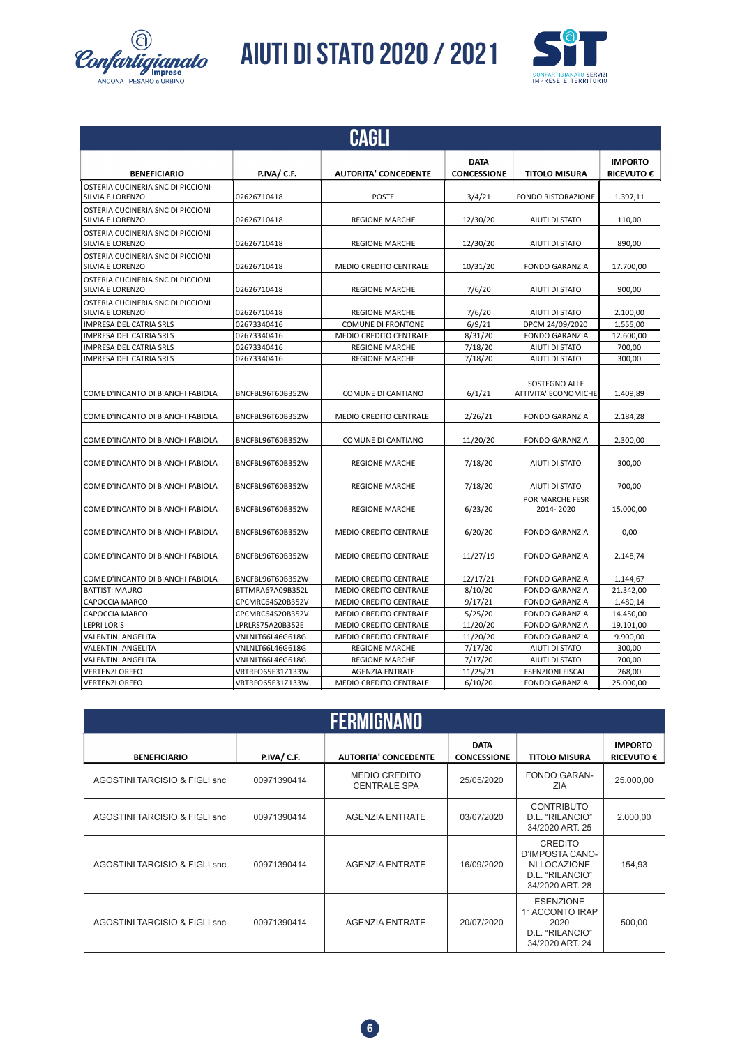![](_page_5_Picture_0.jpeg)

![](_page_5_Picture_2.jpeg)

|                                                       |                  | <b>CAGLI</b>                  |                                   |                                       |                                     |
|-------------------------------------------------------|------------------|-------------------------------|-----------------------------------|---------------------------------------|-------------------------------------|
| <b>BENEFICIARIO</b>                                   | P.IVA/ C.F.      | <b>AUTORITA' CONCEDENTE</b>   | <b>DATA</b><br><b>CONCESSIONE</b> | <b>TITOLO MISURA</b>                  | <b>IMPORTO</b><br><b>RICEVUTO €</b> |
| OSTERIA CUCINERIA SNC DI PICCIONI<br>SILVIA E LORENZO | 02626710418      | <b>POSTE</b>                  | 3/4/21                            | <b>FONDO RISTORAZIONE</b>             | 1.397,11                            |
| OSTERIA CUCINERIA SNC DI PICCIONI<br>SILVIA E LORENZO | 02626710418      | <b>REGIONE MARCHE</b>         | 12/30/20                          | AIUTI DI STATO                        | 110,00                              |
| OSTERIA CUCINERIA SNC DI PICCIONI<br>SILVIA E LORENZO | 02626710418      | <b>REGIONE MARCHE</b>         | 12/30/20                          | <b>AIUTI DI STATO</b>                 | 890.00                              |
| OSTERIA CUCINERIA SNC DI PICCIONI<br>SILVIA E LORENZO | 02626710418      | <b>MEDIO CREDITO CENTRALE</b> | 10/31/20                          | <b>FONDO GARANZIA</b>                 | 17.700,00                           |
| OSTERIA CUCINERIA SNC DI PICCIONI<br>SILVIA E LORENZO | 02626710418      | <b>REGIONE MARCHE</b>         | 7/6/20                            | AIUTI DI STATO                        | 900,00                              |
| OSTERIA CUCINERIA SNC DI PICCIONI<br>SILVIA E LORENZO | 02626710418      | <b>REGIONE MARCHE</b>         | 7/6/20                            | AIUTI DI STATO                        | 2.100,00                            |
| IMPRESA DEL CATRIA SRLS                               | 02673340416      | <b>COMUNE DI FRONTONE</b>     | 6/9/21                            | DPCM 24/09/2020                       | 1.555,00                            |
| IMPRESA DEL CATRIA SRLS                               | 02673340416      | MEDIO CREDITO CENTRALE        | 8/31/20                           | <b>FONDO GARANZIA</b>                 | 12.600,00                           |
| IMPRESA DEL CATRIA SRLS                               | 02673340416      | <b>REGIONE MARCHE</b>         | 7/18/20                           | AIUTI DI STATO                        | 700,00                              |
| <b>IMPRESA DEL CATRIA SRLS</b>                        | 02673340416      | <b>REGIONE MARCHE</b>         | 7/18/20                           | AIUTI DI STATO                        | 300,00                              |
| COME D'INCANTO DI BIANCHI FABIOLA                     | BNCFBL96T60B352W | COMUNE DI CANTIANO            | 6/1/21                            | SOSTEGNO ALLE<br>ATTIVITA' ECONOMICHE | 1.409,89                            |
| COME D'INCANTO DI BIANCHI FABIOLA                     | BNCFBL96T60B352W | MEDIO CREDITO CENTRALE        | 2/26/21                           | <b>FONDO GARANZIA</b>                 | 2.184,28                            |
| COME D'INCANTO DI BIANCHI FABIOLA                     | BNCFBL96T60B352W | COMUNE DI CANTIANO            | 11/20/20                          | <b>FONDO GARANZIA</b>                 | 2.300.00                            |
| COME D'INCANTO DI BIANCHI FABIOLA                     | BNCFBL96T60B352W | <b>REGIONE MARCHE</b>         | 7/18/20                           | AIUTI DI STATO                        | 300,00                              |
| COME D'INCANTO DI BIANCHI FABIOLA                     | BNCFBL96T60B352W | <b>REGIONE MARCHE</b>         | 7/18/20                           | AIUTI DI STATO                        | 700,00                              |
| COME D'INCANTO DI BIANCHI FABIOLA                     | BNCFBL96T60B352W | <b>REGIONE MARCHE</b>         | 6/23/20                           | POR MARCHE FESR<br>2014-2020          | 15.000,00                           |
| COME D'INCANTO DI BIANCHI FABIOLA                     | BNCFBL96T60B352W | MEDIO CREDITO CENTRALE        | 6/20/20                           | <b>FONDO GARANZIA</b>                 | 0,00                                |
| COME D'INCANTO DI BIANCHI FABIOLA                     | BNCFBL96T60B352W | <b>MEDIO CREDITO CENTRALE</b> | 11/27/19                          | <b>FONDO GARANZIA</b>                 | 2.148,74                            |
| COME D'INCANTO DI BIANCHI FABIOLA                     | BNCFBL96T60B352W | <b>MEDIO CREDITO CENTRALE</b> | 12/17/21                          | <b>FONDO GARANZIA</b>                 | 1.144,67                            |
| <b>BATTISTI MAURO</b>                                 | BTTMRA67A09B352L | <b>MEDIO CREDITO CENTRALE</b> | 8/10/20                           | <b>FONDO GARANZIA</b>                 | 21.342,00                           |
| CAPOCCIA MARCO                                        | CPCMRC64S20B352V | MEDIO CREDITO CENTRALE        | 9/17/21                           | <b>FONDO GARANZIA</b>                 | 1.480,14                            |
| CAPOCCIA MARCO                                        | CPCMRC64S20B352V | MEDIO CREDITO CENTRALE        | 5/25/20                           | <b>FONDO GARANZIA</b>                 | 14.450,00                           |
| <b>LEPRI LORIS</b>                                    | LPRLRS75A20B352E | MEDIO CREDITO CENTRALE        | 11/20/20                          | <b>FONDO GARANZIA</b>                 | 19.101,00                           |
| <b>VALENTINI ANGELITA</b>                             | VNLNLT66L46G618G | MEDIO CREDITO CENTRALE        | 11/20/20                          | <b>FONDO GARANZIA</b>                 | 9.900,00                            |
| <b>VALENTINI ANGELITA</b>                             | VNLNLT66L46G618G | <b>REGIONE MARCHE</b>         | 7/17/20                           | AIUTI DI STATO                        | 300,00                              |
| <b>VALENTINI ANGELITA</b>                             | VNLNLT66L46G618G | <b>REGIONE MARCHE</b>         | 7/17/20                           | AIUTI DI STATO                        | 700,00                              |
| <b>VERTENZI ORFEO</b>                                 | VRTRFO65E31Z133W | <b>AGENZIA ENTRATE</b>        | 11/25/21                          | <b>ESENZIONI FISCALI</b>              | 268,00                              |
| <b>VERTENZI ORFEO</b>                                 | VRTRFO65E31Z133W | <b>MEDIO CREDITO CENTRALE</b> | 6/10/20                           | <b>FONDO GARANZIA</b>                 | 25.000,00                           |

|                               |             | <b>FERMIGNANO</b>                           |                                   |                                                                                         |                                     |
|-------------------------------|-------------|---------------------------------------------|-----------------------------------|-----------------------------------------------------------------------------------------|-------------------------------------|
| <b>BENEFICIARIO</b>           | P.IVA/ C.F. | <b>AUTORITA' CONCEDENTE</b>                 | <b>DATA</b><br><b>CONCESSIONE</b> | <b>TITOLO MISURA</b>                                                                    | <b>IMPORTO</b><br><b>RICEVUTO €</b> |
| AGOSTINI TARCISIO & FIGLI snc | 00971390414 | <b>MEDIO CREDITO</b><br><b>CENTRALE SPA</b> | 25/05/2020                        | <b>FONDO GARAN-</b><br><b>ZIA</b>                                                       | 25.000,00                           |
| AGOSTINI TARCISIO & FIGLI snc | 00971390414 | <b>AGENZIA ENTRATE</b>                      | 03/07/2020                        | <b>CONTRIBUTO</b><br>D.L. "RILANCIO"<br>34/2020 ART, 25                                 | 2.000,00                            |
| AGOSTINI TARCISIO & FIGLI snc | 00971390414 | <b>AGENZIA ENTRATE</b>                      | 16/09/2020                        | <b>CREDITO</b><br>D'IMPOSTA CANO-<br>NI LOCAZIONE<br>D.L. "RILANCIO"<br>34/2020 ART, 28 | 154,93                              |
| AGOSTINI TARCISIO & FIGLI snc | 00971390414 | <b>AGENZIA ENTRATE</b>                      | 20/07/2020                        | <b>ESENZIONE</b><br>1° ACCONTO IRAP<br>2020<br>D.L. "RILANCIO"<br>34/2020 ART. 24       | 500,00                              |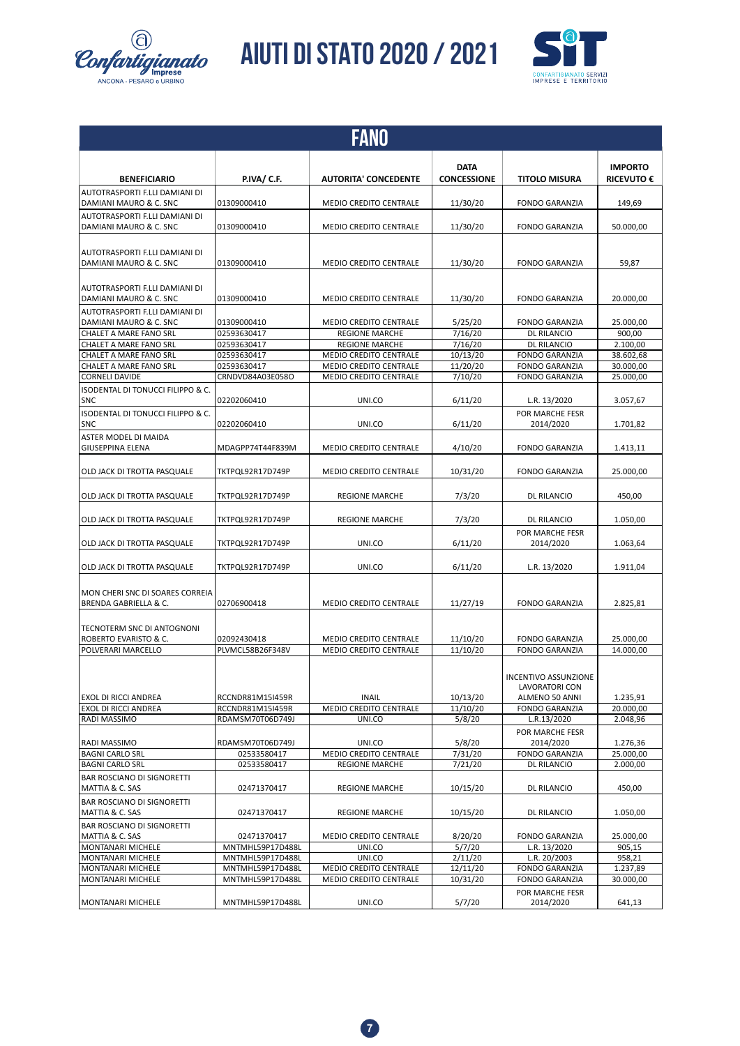![](_page_6_Picture_0.jpeg)

![](_page_6_Picture_2.jpeg)

|                                                                     |                            | FANO                                                   |                                   |                                                                 |                                     |
|---------------------------------------------------------------------|----------------------------|--------------------------------------------------------|-----------------------------------|-----------------------------------------------------------------|-------------------------------------|
| <b>BENEFICIARIO</b>                                                 | <b>P.IVA/ C.F.</b>         | <b>AUTORITA' CONCEDENTE</b>                            | <b>DATA</b><br><b>CONCESSIONE</b> | <b>TITOLO MISURA</b>                                            | <b>IMPORTO</b><br><b>RICEVUTO €</b> |
| AUTOTRASPORTI F.LLI DAMIANI DI<br>DAMIANI MAURO & C. SNC            | 01309000410                | <b>MEDIO CREDITO CENTRALE</b>                          | 11/30/20                          | <b>FONDO GARANZIA</b>                                           | 149,69                              |
| AUTOTRASPORTI F.LLI DAMIANI DI<br>DAMIANI MAURO & C. SNC            | 01309000410                | <b>MEDIO CREDITO CENTRALE</b>                          | 11/30/20                          | <b>FONDO GARANZIA</b>                                           | 50.000,00                           |
| AUTOTRASPORTI F.LLI DAMIANI DI<br>DAMIANI MAURO & C. SNC            | 01309000410                | <b>MEDIO CREDITO CENTRALE</b>                          | 11/30/20                          | <b>FONDO GARANZIA</b>                                           | 59,87                               |
| AUTOTRASPORTI F.LLI DAMIANI DI                                      |                            |                                                        |                                   |                                                                 |                                     |
| DAMIANI MAURO & C. SNC<br>AUTOTRASPORTI F.LLI DAMIANI DI            | 01309000410                | <b>MEDIO CREDITO CENTRALE</b>                          | 11/30/20                          | <b>FONDO GARANZIA</b>                                           | 20.000,00                           |
| DAMIANI MAURO & C. SNC<br><b>CHALET A MARE FANO SRL</b>             | 01309000410<br>02593630417 | <b>MEDIO CREDITO CENTRALE</b><br><b>REGIONE MARCHE</b> | 5/25/20<br>7/16/20                | <b>FONDO GARANZIA</b><br>DL RILANCIO                            | 25.000,00<br>900,00                 |
| CHALET A MARE FANO SRL                                              | 02593630417                | <b>REGIONE MARCHE</b>                                  | 7/16/20                           | <b>DL RILANCIO</b>                                              | 2.100,00                            |
|                                                                     |                            |                                                        |                                   |                                                                 |                                     |
| CHALET A MARE FANO SRL                                              | 02593630417                | MEDIO CREDITO CENTRALE                                 | 10/13/20                          | <b>FONDO GARANZIA</b>                                           | 38.602,68                           |
| CHALET A MARE FANO SRL                                              | 02593630417                | MEDIO CREDITO CENTRALE                                 | 11/20/20                          | <b>FONDO GARANZIA</b>                                           | 30.000,00                           |
| <b>CORNELI DAVIDE</b>                                               | CRNDVD84A03E058O           | <b>MEDIO CREDITO CENTRALE</b>                          | 7/10/20                           | <b>FONDO GARANZIA</b>                                           | 25.000,00                           |
| <b>ISODENTAL DI TONUCCI FILIPPO &amp; C.</b>                        |                            |                                                        |                                   |                                                                 |                                     |
| <b>SNC</b>                                                          | 02202060410                | UNI.CO                                                 | 6/11/20                           | L.R. 13/2020                                                    | 3.057,67                            |
| ISODENTAL DI TONUCCI FILIPPO & C.<br><b>SNC</b>                     | 02202060410                | UNI.CO                                                 | 6/11/20                           | POR MARCHE FESR<br>2014/2020                                    | 1.701,82                            |
| ASTER MODEL DI MAIDA<br><b>GIUSEPPINA ELENA</b>                     | MDAGPP74T44F839M           | MEDIO CREDITO CENTRALE                                 | 4/10/20                           | <b>FONDO GARANZIA</b>                                           | 1.413,11                            |
| OLD JACK DI TROTTA PASQUALE                                         | TKTPQL92R17D749P           | MEDIO CREDITO CENTRALE                                 | 10/31/20                          | <b>FONDO GARANZIA</b>                                           | 25.000,00                           |
| OLD JACK DI TROTTA PASQUALE                                         | TKTPQL92R17D749P           | <b>REGIONE MARCHE</b>                                  | 7/3/20                            | DL RILANCIO                                                     | 450,00                              |
| OLD JACK DI TROTTA PASQUALE                                         | TKTPQL92R17D749P           | <b>REGIONE MARCHE</b>                                  | 7/3/20                            | DL RILANCIO<br>POR MARCHE FESR                                  | 1.050,00                            |
| OLD JACK DI TROTTA PASQUALE                                         | TKTPQL92R17D749P           | UNI.CO                                                 | 6/11/20                           | 2014/2020                                                       | 1.063,64                            |
| OLD JACK DI TROTTA PASQUALE                                         | TKTPQL92R17D749P           | UNI.CO                                                 | 6/11/20                           | L.R. 13/2020                                                    | 1.911,04                            |
| MON CHERI SNC DI SOARES CORREIA<br><b>BRENDA GABRIELLA &amp; C.</b> | 02706900418                | <b>MEDIO CREDITO CENTRALE</b>                          | 11/27/19                          | <b>FONDO GARANZIA</b>                                           | 2.825,81                            |
| TECNOTERM SNC DI ANTOGNONI<br>ROBERTO EVARISTO & C.                 | 02092430418                | <b>MEDIO CREDITO CENTRALE</b>                          | 11/10/20                          | <b>FONDO GARANZIA</b>                                           | 25.000,00                           |
| POLVERARI MARCELLO                                                  | PLVMCL58B26F348V           | <b>MEDIO CREDITO CENTRALE</b>                          | 11/10/20                          | <b>FONDO GARANZIA</b>                                           | 14.000,00                           |
| EXOL DI RICCI ANDREA                                                | RCCNDR81M15I459R           | <b>INAIL</b>                                           | 10/13/20                          | <b>INCENTIVO ASSUNZIONE</b><br>LAVORATORI CON<br>ALMENO 50 ANNI | 1.235,91                            |
| EXOL DI RICCI ANDREA                                                | RCCNDR81M15I459R           | MEDIO CREDITO CENTRALE                                 | 11/10/20                          | <b>FONDO GARANZIA</b>                                           | 20.000,00                           |
| RADI MASSIMO                                                        | RDAMSM70T06D749J           | UNI.CO                                                 | 5/8/20                            | L.R.13/2020                                                     | 2.048,96                            |
| RADI MASSIMO                                                        | RDAMSM70T06D749J           | UNI.CO                                                 | 5/8/20                            | POR MARCHE FESR<br>2014/2020                                    | 1.276,36                            |
| <b>BAGNI CARLO SRL</b>                                              | 02533580417                | MEDIO CREDITO CENTRALE                                 | 7/31/20                           | <b>FONDO GARANZIA</b>                                           | 25.000,00                           |
| <b>BAGNI CARLO SRL</b>                                              | 02533580417                | <b>REGIONE MARCHE</b>                                  | 7/21/20                           | <b>DL RILANCIO</b>                                              | 2.000,00                            |
| <b>BAR ROSCIANO DI SIGNORETTI</b>                                   |                            |                                                        |                                   |                                                                 |                                     |
| MATTIA & C. SAS                                                     | 02471370417                | <b>REGIONE MARCHE</b>                                  | 10/15/20                          | <b>DL RILANCIO</b>                                              | 450,00                              |
| <b>BAR ROSCIANO DI SIGNORETTI</b><br>MATTIA & C. SAS                | 02471370417                | <b>REGIONE MARCHE</b>                                  | 10/15/20                          | <b>DL RILANCIO</b>                                              | 1.050,00                            |
| <b>BAR ROSCIANO DI SIGNORETTI</b>                                   |                            |                                                        |                                   |                                                                 |                                     |
| MATTIA & C. SAS                                                     | 02471370417                | MEDIO CREDITO CENTRALE                                 | 8/20/20                           | <b>FONDO GARANZIA</b>                                           | 25.000,00                           |
| MONTANARI MICHELE                                                   | MNTMHL59P17D488L           | UNI.CO                                                 | 5/7/20                            | L.R. 13/2020                                                    | 905,15                              |
| MONTANARI MICHELE                                                   | MNTMHL59P17D488L           | UNI.CO                                                 | 2/11/20                           | L.R. 20/2003                                                    | 958,21                              |
| MONTANARI MICHELE                                                   | MNTMHL59P17D488L           | MEDIO CREDITO CENTRALE                                 | 12/11/20                          | <b>FONDO GARANZIA</b>                                           | 1.237,89                            |
| MONTANARI MICHELE                                                   | MNTMHL59P17D488L           | MEDIO CREDITO CENTRALE                                 | 10/31/20                          | <b>FONDO GARANZIA</b>                                           | 30.000,00                           |
|                                                                     |                            |                                                        |                                   |                                                                 |                                     |
| MONTANARI MICHELE                                                   | MNTMHL59P17D488L           | UNI.CO                                                 | 5/7/20                            | POR MARCHE FESR<br>2014/2020                                    | 641,13                              |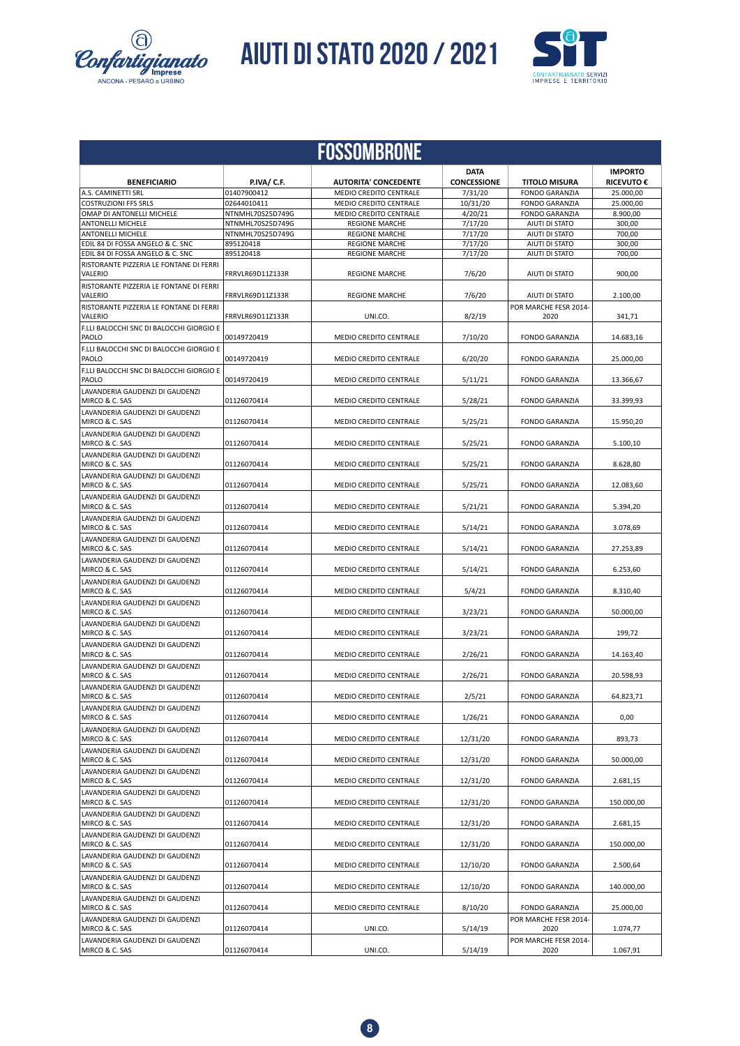![](_page_7_Picture_0.jpeg)

![](_page_7_Picture_2.jpeg)

|                                                    |                            | <b>FOSSOMBRONE</b>                                             |                     |                                                |                        |
|----------------------------------------------------|----------------------------|----------------------------------------------------------------|---------------------|------------------------------------------------|------------------------|
|                                                    |                            |                                                                | <b>DATA</b>         |                                                | <b>IMPORTO</b>         |
| <b>BENEFICIARIO</b>                                | P.IVA/ C.F.                | <b>AUTORITA' CONCEDENTE</b>                                    | <b>CONCESSIONE</b>  | <b>TITOLO MISURA</b>                           | <b>RICEVUTO €</b>      |
| A.S. CAMINETTI SRL<br><b>COSTRUZIONI FFS SRLS</b>  | 01407900412<br>02644010411 | <b>MEDIO CREDITO CENTRALE</b><br><b>MEDIO CREDITO CENTRALE</b> | 7/31/20<br>10/31/20 | <b>FONDO GARANZIA</b><br><b>FONDO GARANZIA</b> | 25.000,00<br>25.000,00 |
| OMAP DI ANTONELLI MICHELE                          | NTNMHL70S25D749G           | MEDIO CREDITO CENTRALE                                         | 4/20/21             | <b>FONDO GARANZIA</b>                          | 8.900,00               |
| <b>ANTONELLI MICHELE</b>                           | NTNMHL70S25D749G           | <b>REGIONE MARCHE</b>                                          | 7/17/20             | AIUTI DI STATO                                 | 300,00                 |
| <b>ANTONELLI MICHELE</b>                           | NTNMHL70S25D749G           | <b>REGIONE MARCHE</b>                                          | 7/17/20             | AIUTI DI STATO                                 | 700,00                 |
| EDIL 84 DI FOSSA ANGELO & C. SNC                   | 895120418                  | <b>REGIONE MARCHE</b>                                          | 7/17/20             | AIUTI DI STATO                                 | 300,00                 |
| EDIL 84 DI FOSSA ANGELO & C. SNC                   | 895120418                  | <b>REGIONE MARCHE</b>                                          | 7/17/20             | AIUTI DI STATO                                 | 700,00                 |
| RISTORANTE PIZZERIA LE FONTANE DI FERRI<br>VALERIO | FRRVLR69D11Z133R           | <b>REGIONE MARCHE</b>                                          | 7/6/20              | AIUTI DI STATO                                 | 900.00                 |
| RISTORANTE PIZZERIA LE FONTANE DI FERRI<br>VALERIO | FRRVLR69D11Z133R           | <b>REGIONE MARCHE</b>                                          | 7/6/20              | AIUTI DI STATO                                 | 2.100,00               |
| RISTORANTE PIZZERIA LE FONTANE DI FERRI<br>VALERIO | FRRVLR69D11Z133R           | UNI.CO.                                                        | 8/2/19              | POR MARCHE FESR 2014-<br>2020                  | 341,71                 |
| F.LLI BALOCCHI SNC DI BALOCCHI GIORGIO E<br>PAOLO  | 00149720419                | <b>MEDIO CREDITO CENTRALE</b>                                  | 7/10/20             | <b>FONDO GARANZIA</b>                          | 14.683,16              |
| F.LLI BALOCCHI SNC DI BALOCCHI GIORGIO E<br>PAOLO  | 00149720419                | <b>MEDIO CREDITO CENTRALE</b>                                  | 6/20/20             | <b>FONDO GARANZIA</b>                          | 25.000,00              |
| F.LLI BALOCCHI SNC DI BALOCCHI GIORGIO E<br>PAOLO  | 00149720419                | <b>MEDIO CREDITO CENTRALE</b>                                  | 5/11/21             | <b>FONDO GARANZIA</b>                          | 13.366,67              |
| LAVANDERIA GAUDENZI DI GAUDENZI<br>MIRCO & C. SAS  | 01126070414                | <b>MEDIO CREDITO CENTRALE</b>                                  | 5/28/21             | <b>FONDO GARANZIA</b>                          | 33.399.93              |
| LAVANDERIA GAUDENZI DI GAUDENZI<br>MIRCO & C. SAS  | 01126070414                | MEDIO CREDITO CENTRALE                                         | 5/25/21             | <b>FONDO GARANZIA</b>                          | 15.950,20              |
| LAVANDERIA GAUDENZI DI GAUDENZI<br>MIRCO & C. SAS  | 01126070414                | MEDIO CREDITO CENTRALE                                         | 5/25/21             | <b>FONDO GARANZIA</b>                          | 5.100,10               |
| LAVANDERIA GAUDENZI DI GAUDENZI<br>MIRCO & C. SAS  | 01126070414                | <b>MEDIO CREDITO CENTRALE</b>                                  | 5/25/21             | <b>FONDO GARANZIA</b>                          | 8.628,80               |
| LAVANDERIA GAUDENZI DI GAUDENZI<br>MIRCO & C. SAS  | 01126070414                | <b>MEDIO CREDITO CENTRALE</b>                                  | 5/25/21             | <b>FONDO GARANZIA</b>                          | 12.083,60              |
| LAVANDERIA GAUDENZI DI GAUDENZI<br>MIRCO & C. SAS  | 01126070414                | <b>MEDIO CREDITO CENTRALE</b>                                  | 5/21/21             | <b>FONDO GARANZIA</b>                          | 5.394,20               |
| LAVANDERIA GAUDENZI DI GAUDENZI<br>MIRCO & C. SAS  | 01126070414                | <b>MEDIO CREDITO CENTRALE</b>                                  | 5/14/21             | <b>FONDO GARANZIA</b>                          | 3.078,69               |
| LAVANDERIA GAUDENZI DI GAUDENZI<br>MIRCO & C. SAS  | 01126070414                | MEDIO CREDITO CENTRALE                                         | 5/14/21             | <b>FONDO GARANZIA</b>                          | 27.253,89              |
| LAVANDERIA GAUDENZI DI GAUDENZI<br>MIRCO & C. SAS  | 01126070414                | MEDIO CREDITO CENTRALE                                         | 5/14/21             | <b>FONDO GARANZIA</b>                          | 6.253,60               |
| LAVANDERIA GAUDENZI DI GAUDENZI<br>MIRCO & C. SAS  | 01126070414                | MEDIO CREDITO CENTRALE                                         | 5/4/21              | <b>FONDO GARANZIA</b>                          | 8.310,40               |
| LAVANDERIA GAUDENZI DI GAUDENZI<br>MIRCO & C. SAS  | 01126070414                | <b>MEDIO CREDITO CENTRALE</b>                                  | 3/23/21             | <b>FONDO GARANZIA</b>                          | 50.000,00              |
| LAVANDERIA GAUDENZI DI GAUDENZI<br>MIRCO & C. SAS  | 01126070414                | MEDIO CREDITO CENTRALE                                         | 3/23/21             | <b>FONDO GARANZIA</b>                          | 199,72                 |
| LAVANDERIA GAUDENZI DI GAUDENZI<br>MIRCO & C. SAS  | 01126070414                | <b>MEDIO CREDITO CENTRALE</b>                                  | 2/26/21             | <b>FONDO GARANZIA</b>                          | 14.163,40              |
| LAVANDERIA GAUDENZI DI GAUDENZI<br>MIRCO & C. SAS  | 01126070414                | <b>MEDIO CREDITO CENTRALE</b>                                  | 2/26/21             | <b>FONDO GARANZIA</b>                          | 20.598,93              |
| LAVANDERIA GAUDENZI DI GAUDENZI<br>MIRCO & C. SAS  | 01126070414                | MEDIO CREDITO CENTRALE                                         | 2/5/21              | FONDO GARANZIA                                 | 64.823,71              |
| LAVANDERIA GAUDENZI DI GAUDENZI                    |                            | MEDIO CREDITO CENTRALE                                         |                     |                                                |                        |
| MIRCO & C. SAS<br>LAVANDERIA GAUDENZI DI GAUDENZI  | 01126070414                |                                                                | 1/26/21             | FONDO GARANZIA                                 | 0,00                   |
| MIRCO & C. SAS<br>LAVANDERIA GAUDENZI DI GAUDENZI  | 01126070414                | MEDIO CREDITO CENTRALE                                         | 12/31/20            | <b>FONDO GARANZIA</b>                          | 893,73                 |
| MIRCO & C. SAS<br>LAVANDERIA GAUDENZI DI GAUDENZI  | 01126070414                | MEDIO CREDITO CENTRALE                                         | 12/31/20            | <b>FONDO GARANZIA</b>                          | 50.000,00              |
| MIRCO & C. SAS<br>LAVANDERIA GAUDENZI DI GAUDENZI  | 01126070414                | MEDIO CREDITO CENTRALE                                         | 12/31/20            | <b>FONDO GARANZIA</b>                          | 2.681,15               |
| MIRCO & C. SAS<br>LAVANDERIA GAUDENZI DI GAUDENZI  | 01126070414                | MEDIO CREDITO CENTRALE                                         | 12/31/20            | FONDO GARANZIA                                 | 150.000,00             |
| MIRCO & C. SAS<br>LAVANDERIA GAUDENZI DI GAUDENZI  | 01126070414                | MEDIO CREDITO CENTRALE                                         | 12/31/20            | <b>FONDO GARANZIA</b>                          | 2.681,15               |
| MIRCO & C. SAS<br>LAVANDERIA GAUDENZI DI GAUDENZI  | 01126070414                | MEDIO CREDITO CENTRALE                                         | 12/31/20            | FONDO GARANZIA                                 | 150.000,00             |
| MIRCO & C. SAS<br>LAVANDERIA GAUDENZI DI GAUDENZI  | 01126070414                | MEDIO CREDITO CENTRALE                                         | 12/10/20            | <b>FONDO GARANZIA</b>                          | 2.500,64               |
| MIRCO & C. SAS<br>LAVANDERIA GAUDENZI DI GAUDENZI  | 01126070414                | MEDIO CREDITO CENTRALE                                         | 12/10/20            | <b>FONDO GARANZIA</b>                          | 140.000,00             |
| MIRCO & C. SAS<br>LAVANDERIA GAUDENZI DI GAUDENZI  | 01126070414                | MEDIO CREDITO CENTRALE                                         | 8/10/20             | FONDO GARANZIA<br>POR MARCHE FESR 2014-        | 25.000,00              |
| MIRCO & C. SAS<br>LAVANDERIA GAUDENZI DI GAUDENZI  | 01126070414                | UNI.CO.                                                        | 5/14/19             | 2020<br>POR MARCHE FESR 2014-                  | 1.074,77               |
| MIRCO & C. SAS                                     | 01126070414                | UNI.CO.                                                        | 5/14/19             | 2020                                           | 1.067,91               |

![](_page_7_Picture_4.jpeg)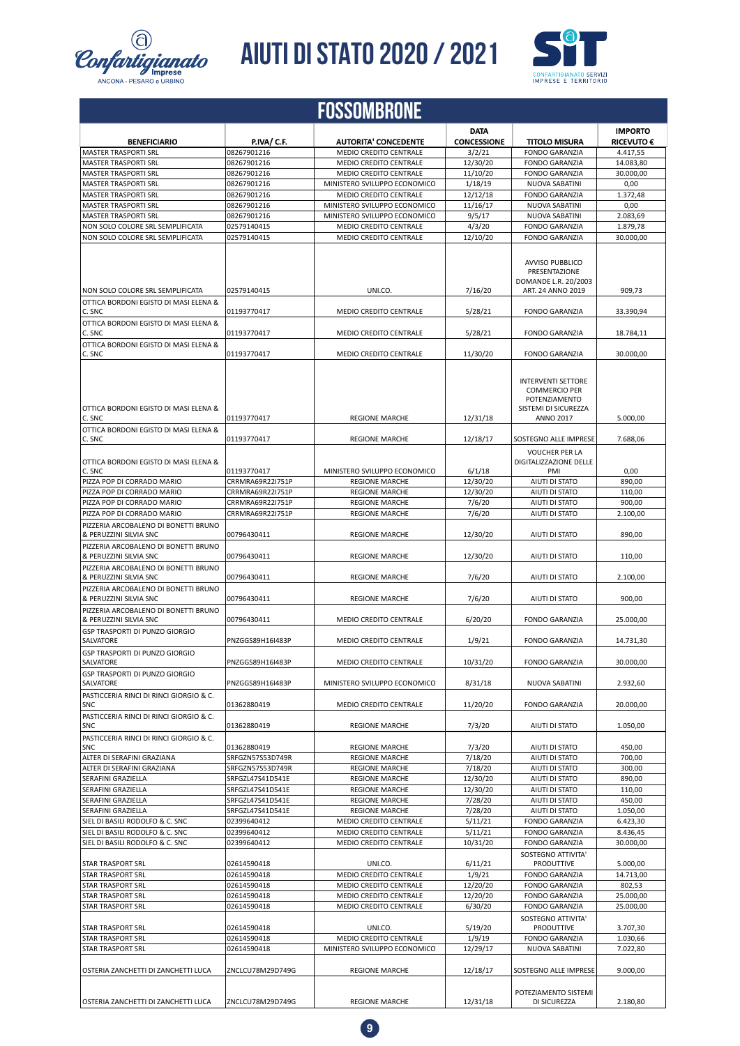![](_page_8_Picture_0.jpeg)

# *Confartigianato* **AIUTI DI STATO 2020 / 2021**

![](_page_8_Picture_2.jpeg)

| ANCONA - PESARO e URBINO |  |  |
|--------------------------|--|--|
|                          |  |  |

|                                                                                                        |                            | <b>FOSSOMBRONE</b>                                    |                                   |                                                                                                                |                                     |
|--------------------------------------------------------------------------------------------------------|----------------------------|-------------------------------------------------------|-----------------------------------|----------------------------------------------------------------------------------------------------------------|-------------------------------------|
| <b>BENEFICIARIO</b>                                                                                    | P.IVA/ C.F.                | <b>AUTORITA' CONCEDENTE</b>                           | <b>DATA</b><br><b>CONCESSIONE</b> | <b>TITOLO MISURA</b>                                                                                           | <b>IMPORTO</b><br><b>RICEVUTO €</b> |
| <b>MASTER TRASPORTI SRL</b>                                                                            | 08267901216                | MEDIO CREDITO CENTRALE                                | 3/2/21                            | <b>FONDO GARANZIA</b>                                                                                          | 4.417,55                            |
| <b>MASTER TRASPORTI SRL</b>                                                                            | 08267901216                | <b>MEDIO CREDITO CENTRALE</b>                         | 12/30/20                          | <b>FONDO GARANZIA</b>                                                                                          | 14.083,80                           |
| <b>MASTER TRASPORTI SRL</b>                                                                            | 08267901216                | <b>MEDIO CREDITO CENTRALE</b>                         | 11/10/20                          | <b>FONDO GARANZIA</b>                                                                                          | 30.000,00                           |
| <b>MASTER TRASPORTI SRL</b>                                                                            | 08267901216                | MINISTERO SVILUPPO ECONOMICO                          | 1/18/19                           | <b>NUOVA SABATINI</b>                                                                                          | 0,00                                |
| <b>MASTER TRASPORTI SRL</b>                                                                            | 08267901216                | <b>MEDIO CREDITO CENTRALE</b>                         | 12/12/18                          | <b>FONDO GARANZIA</b>                                                                                          | 1.372,48                            |
| <b>MASTER TRASPORTI SRL</b>                                                                            | 08267901216                | MINISTERO SVILUPPO ECONOMICO                          | 11/16/17                          | NUOVA SABATINI                                                                                                 | 0,00                                |
| MASTER TRASPORTI SRL                                                                                   | 08267901216                | MINISTERO SVILUPPO ECONOMICO                          | 9/5/17                            | NUOVA SABATINI                                                                                                 | 2.083,69                            |
| NON SOLO COLORE SRL SEMPLIFICATA                                                                       | 02579140415                | <b>MEDIO CREDITO CENTRALE</b>                         | 4/3/20                            | <b>FONDO GARANZIA</b>                                                                                          | 1.879.78                            |
| NON SOLO COLORE SRL SEMPLIFICATA                                                                       | 02579140415                | <b>MEDIO CREDITO CENTRALE</b>                         | 12/10/20                          | <b>FONDO GARANZIA</b>                                                                                          | 30.000,00                           |
| NON SOLO COLORE SRL SEMPLIFICATA                                                                       | 02579140415                | UNI.CO.                                               | 7/16/20                           | <b>AVVISO PUBBLICO</b><br>PRESENTAZIONE<br>DOMANDE L.R. 20/2003<br>ART. 24 ANNO 2019                           | 909,73                              |
| OTTICA BORDONI EGISTO DI MASI ELENA &<br>C. SNC                                                        | 01193770417                | MEDIO CREDITO CENTRALE                                | 5/28/21                           | <b>FONDO GARANZIA</b>                                                                                          | 33.390,94                           |
| OTTICA BORDONI EGISTO DI MASI ELENA &                                                                  |                            |                                                       |                                   |                                                                                                                |                                     |
| C. SNC<br>OTTICA BORDONI EGISTO DI MASI ELENA &                                                        | 01193770417                | <b>MEDIO CREDITO CENTRALE</b>                         | 5/28/21                           | <b>FONDO GARANZIA</b>                                                                                          | 18.784,11                           |
| C. SNC                                                                                                 | 01193770417                | <b>MEDIO CREDITO CENTRALE</b>                         | 11/30/20                          | <b>FONDO GARANZIA</b>                                                                                          | 30.000,00                           |
| OTTICA BORDONI EGISTO DI MASI ELENA &<br>C. SNC                                                        | 01193770417                | <b>REGIONE MARCHE</b>                                 | 12/31/18                          | <b>INTERVENTI SETTORE</b><br><b>COMMERCIO PER</b><br>POTENZIAMENTO<br>SISTEMI DI SICUREZZA<br><b>ANNO 2017</b> | 5.000.00                            |
| OTTICA BORDONI EGISTO DI MASI ELENA &<br>C. SNC                                                        | 01193770417                | <b>REGIONE MARCHE</b>                                 | 12/18/17                          | SOSTEGNO ALLE IMPRESE                                                                                          | 7.688,06                            |
| OTTICA BORDONI EGISTO DI MASI ELENA &<br>C. SNC                                                        | 01193770417                | MINISTERO SVILUPPO ECONOMICO                          | 6/1/18                            | <b>VOUCHER PER LA</b><br>DIGITALIZZAZIONE DELLE<br>PMI                                                         | 0,00                                |
| PIZZA POP DI CORRADO MARIO                                                                             | CRRMRA69R22I751P           | <b>REGIONE MARCHE</b>                                 | 12/30/20                          | AIUTI DI STATO                                                                                                 | 890,00                              |
| PIZZA POP DI CORRADO MARIO                                                                             | CRRMRA69R22I751P           | <b>REGIONE MARCHE</b>                                 | 12/30/20                          | AIUTI DI STATO                                                                                                 | 110,00                              |
| PIZZA POP DI CORRADO MARIO                                                                             | CRRMRA69R22I751P           | <b>REGIONE MARCHE</b>                                 | 7/6/20                            | AIUTI DI STATO                                                                                                 | 900,00                              |
| PIZZA POP DI CORRADO MARIO                                                                             | CRRMRA69R22I751P           | <b>REGIONE MARCHE</b>                                 | 7/6/20                            | <b>AIUTI DI STATO</b>                                                                                          | 2.100,00                            |
|                                                                                                        |                            |                                                       |                                   |                                                                                                                |                                     |
| PIZZERIA ARCOBALENO DI BONETTI BRUNO<br>& PERUZZINI SILVIA SNC<br>PIZZERIA ARCOBALENO DI BONETTI BRUNO | 00796430411                | <b>REGIONE MARCHE</b>                                 | 12/30/20                          | AIUTI DI STATO                                                                                                 | 890,00                              |
| & PERUZZINI SILVIA SNC                                                                                 | 00796430411                | <b>REGIONE MARCHE</b>                                 | 12/30/20                          | AIUTI DI STATO                                                                                                 | 110,00                              |
| PIZZERIA ARCOBALENO DI BONETTI BRUNO<br>& PERUZZINI SILVIA SNC                                         | 00796430411                | <b>REGIONE MARCHE</b>                                 | 7/6/20                            | AIUTI DI STATO                                                                                                 | 2.100,00                            |
| PIZZERIA ARCOBALENO DI BONETTI BRUNO<br>& PERUZZINI SILVIA SNC                                         | 00796430411                | <b>REGIONE MARCHE</b>                                 | 7/6/20                            | AIUTI DI STATO                                                                                                 | 900,00                              |
| PIZZERIA ARCOBALENO DI BONETTI BRUNO<br>& PERUZZINI SILVIA SNC                                         | 00796430411                | MEDIO CREDITO CENTRALE                                | 6/20/20                           | <b>FONDO GARANZIA</b>                                                                                          | 25.000.00                           |
| <b>GSP TRASPORTI DI PUNZO GIORGIO</b><br>SALVATORE                                                     | PNZGGS89H16I483P           | <b>MEDIO CREDITO CENTRALE</b>                         | 1/9/21                            | <b>FONDO GARANZIA</b>                                                                                          | 14.731.30                           |
| <b>GSP TRASPORTI DI PUNZO GIORGIO</b><br>SALVATORE                                                     | PNZGGS89H16I483P           | MEDIO CREDITO CENTRALE                                | 10/31/20                          | <b>FONDO GARANZIA</b>                                                                                          | 30.000,00                           |
| <b>GSP TRASPORTI DI PUNZO GIORGIO</b><br><b>SALVATORE</b>                                              | PNZGGS89H16I483P           | MINISTERO SVILUPPO ECONOMICO                          | 8/31/18                           | NUOVA SABATINI                                                                                                 | 2.932,60                            |
| PASTICCERIA RINCI DI RINCI GIORGIO & C.<br><b>SNC</b>                                                  | 01362880419                | MEDIO CREDITO CENTRALE                                | 11/20/20                          | <b>FONDO GARANZIA</b>                                                                                          | 20.000,00                           |
| PASTICCERIA RINCI DI RINCI GIORGIO & C.<br>SNC                                                         | 01362880419                | <b>REGIONE MARCHE</b>                                 | 7/3/20                            | AIUTI DI STATO                                                                                                 | 1.050,00                            |
| PASTICCERIA RINCI DI RINCI GIORGIO & C.<br>SNC                                                         | 01362880419                | <b>REGIONE MARCHE</b>                                 | 7/3/20                            | AIUTI DI STATO                                                                                                 | 450,00                              |
| ALTER DI SERAFINI GRAZIANA                                                                             | SRFGZN57S53D749R           | <b>REGIONE MARCHE</b>                                 | 7/18/20                           | AIUTI DI STATO                                                                                                 | 700,00                              |
| ALTER DI SERAFINI GRAZIANA                                                                             | SRFGZN57S53D749R           | <b>REGIONE MARCHE</b>                                 | 7/18/20                           | AIUTI DI STATO                                                                                                 | 300,00                              |
| SERAFINI GRAZIELLA                                                                                     | SRFGZL47S41D541E           | <b>REGIONE MARCHE</b>                                 | 12/30/20                          | AIUTI DI STATO                                                                                                 | 890,00                              |
| SERAFINI GRAZIELLA                                                                                     | SRFGZL47S41D541E           | <b>REGIONE MARCHE</b>                                 | 12/30/20                          | AIUTI DI STATO                                                                                                 | 110,00                              |
| SERAFINI GRAZIELLA                                                                                     | SRFGZL47S41D541E           | <b>REGIONE MARCHE</b>                                 | 7/28/20                           | AIUTI DI STATO                                                                                                 | 450,00                              |
| SERAFINI GRAZIELLA                                                                                     | SRFGZL47S41D541E           | <b>REGIONE MARCHE</b>                                 | 7/28/20                           | AIUTI DI STATO                                                                                                 | 1.050,00                            |
| SIEL DI BASILI RODOLFO & C. SNC                                                                        | 02399640412                | MEDIO CREDITO CENTRALE                                | 5/11/21                           | <b>FONDO GARANZIA</b>                                                                                          | 6.423,30                            |
| SIEL DI BASILI RODOLFO & C. SNC                                                                        | 02399640412                | MEDIO CREDITO CENTRALE                                | 5/11/21                           | <b>FONDO GARANZIA</b>                                                                                          | 8.436,45                            |
| SIEL DI BASILI RODOLFO & C. SNC                                                                        | 02399640412                | MEDIO CREDITO CENTRALE                                | 10/31/20                          | <b>FONDO GARANZIA</b><br>SOSTEGNO ATTIVITA'                                                                    | 30.000,00                           |
| <b>STAR TRASPORT SRL</b>                                                                               | 02614590418                | UNI.CO.                                               | 6/11/21                           | PRODUTTIVE                                                                                                     | 5.000,00                            |
| <b>STAR TRASPORT SRL</b>                                                                               | 02614590418                | MEDIO CREDITO CENTRALE                                | 1/9/21                            | <b>FONDO GARANZIA</b>                                                                                          | 14.713,00                           |
| <b>STAR TRASPORT SRL</b>                                                                               | 02614590418                | MEDIO CREDITO CENTRALE                                | 12/20/20                          | <b>FONDO GARANZIA</b>                                                                                          | 802,53                              |
| STAR TRASPORT SRL                                                                                      | 02614590418                | MEDIO CREDITO CENTRALE                                | 12/20/20                          | <b>FONDO GARANZIA</b>                                                                                          | 25.000,00                           |
| <b>STAR TRASPORT SRL</b>                                                                               | 02614590418                | MEDIO CREDITO CENTRALE                                | 6/30/20                           | <b>FONDO GARANZIA</b>                                                                                          | 25.000,00                           |
| <b>STAR TRASPORT SRL</b>                                                                               | 02614590418                | UNI.CO.                                               | 5/19/20                           | SOSTEGNO ATTIVITA'<br>PRODUTTIVE                                                                               | 3.707,30                            |
|                                                                                                        |                            |                                                       | 1/9/19                            |                                                                                                                |                                     |
| <b>STAR TRASPORT SRL</b><br><b>STAR TRASPORT SRL</b>                                                   | 02614590418<br>02614590418 | MEDIO CREDITO CENTRALE                                |                                   | <b>FONDO GARANZIA</b><br>NUOVA SABATINI                                                                        | 1.030,66<br>7.022,80                |
| OSTERIA ZANCHETTI DI ZANCHETTI LUCA                                                                    | ZNCLCU78M29D749G           | MINISTERO SVILUPPO ECONOMICO<br><b>REGIONE MARCHE</b> | 12/29/17<br>12/18/17              | SOSTEGNO ALLE IMPRESE                                                                                          | 9.000,00                            |
|                                                                                                        |                            |                                                       |                                   |                                                                                                                |                                     |
| OSTERIA ZANCHETTI DI ZANCHETTI LUCA                                                                    | ZNCLCU78M29D749G           | <b>REGIONE MARCHE</b>                                 | 12/31/18                          | POTEZIAMENTO SISTEMI<br>DI SICUREZZA                                                                           | 2.180,80                            |

![](_page_8_Picture_5.jpeg)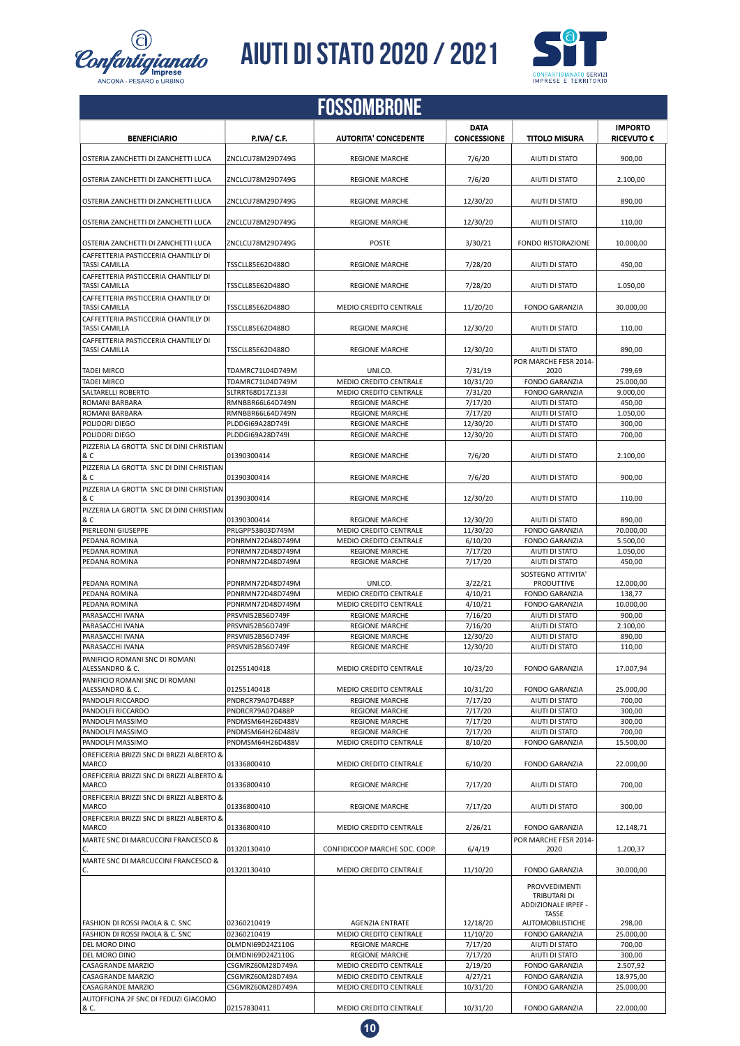![](_page_9_Picture_0.jpeg)

![](_page_9_Picture_2.jpeg)

|                                                              |                    | <b>FOSSOMBRONE</b>            |                                   |                                                      |                                     |
|--------------------------------------------------------------|--------------------|-------------------------------|-----------------------------------|------------------------------------------------------|-------------------------------------|
| <b>BENEFICIARIO</b>                                          | <b>P.IVA/ C.F.</b> | <b>AUTORITA' CONCEDENTE</b>   | <b>DATA</b><br><b>CONCESSIONE</b> | <b>TITOLO MISURA</b>                                 | <b>IMPORTO</b><br><b>RICEVUTO €</b> |
| OSTERIA ZANCHETTI DI ZANCHETTI LUCA                          | ZNCLCU78M29D749G   | <b>REGIONE MARCHE</b>         | 7/6/20                            | AIUTI DI STATO                                       | 900,00                              |
| OSTERIA ZANCHETTI DI ZANCHETTI LUCA                          | ZNCLCU78M29D749G   | <b>REGIONE MARCHE</b>         | 7/6/20                            | AIUTI DI STATO                                       | 2.100,00                            |
| OSTERIA ZANCHETTI DI ZANCHETTI LUCA                          | ZNCLCU78M29D749G   | <b>REGIONE MARCHE</b>         | 12/30/20                          | AIUTI DI STATO                                       | 890,00                              |
| OSTERIA ZANCHETTI DI ZANCHETTI LUCA                          | ZNCLCU78M29D749G   | <b>REGIONE MARCHE</b>         | 12/30/20                          | AIUTI DI STATO                                       | 110,00                              |
| OSTERIA ZANCHETTI DI ZANCHETTI LUCA                          | ZNCLCU78M29D749G   | <b>POSTE</b>                  | 3/30/21                           | FONDO RISTORAZIONE                                   | 10.000,00                           |
| CAFFETTERIA PASTICCERIA CHANTILLY DI<br>TASSI CAMILLA        | TSSCLL85E62D488O   | <b>REGIONE MARCHE</b>         | 7/28/20                           | AIUTI DI STATO                                       | 450,00                              |
| CAFFETTERIA PASTICCERIA CHANTILLY DI<br>TASSI CAMILLA        | TSSCLL85E62D488O   | <b>REGIONE MARCHE</b>         | 7/28/20                           | AIUTI DI STATO                                       | 1.050,00                            |
| CAFFETTERIA PASTICCERIA CHANTILLY DI<br><b>TASSI CAMILLA</b> | TSSCLL85E62D488O   | MEDIO CREDITO CENTRALE        | 11/20/20                          | <b>FONDO GARANZIA</b>                                | 30.000,00                           |
| CAFFETTERIA PASTICCERIA CHANTILLY DI<br>TASSI CAMILLA        | TSSCLL85E62D488O   | <b>REGIONE MARCHE</b>         | 12/30/20                          | AIUTI DI STATO                                       | 110,00                              |
| CAFFETTERIA PASTICCERIA CHANTILLY DI<br>TASSI CAMILLA        | TSSCLL85E62D488O   | <b>REGIONE MARCHE</b>         | 12/30/20                          | AIUTI DI STATO                                       | 890,00                              |
| <b>TADEI MIRCO</b>                                           | TDAMRC71L04D749M   | UNI.CO.                       | 7/31/19                           | POR MARCHE FESR 2014-<br>2020                        | 799,69                              |
| <b>TADEI MIRCO</b>                                           | TDAMRC71L04D749M   | <b>MEDIO CREDITO CENTRALE</b> | 10/31/20                          | <b>FONDO GARANZIA</b>                                | 25.000,00                           |
| SALTARELLI ROBERTO                                           | SLTRRT68D17Z133I   | <b>MEDIO CREDITO CENTRALE</b> | 7/31/20                           | <b>FONDO GARANZIA</b>                                | 9.000,00                            |
| ROMANI BARBARA                                               | RMNBBR66L64D749N   | <b>REGIONE MARCHE</b>         | 7/17/20                           | AIUTI DI STATO                                       | 450,00                              |
| ROMANI BARBARA                                               | RMNBBR66L64D749N   | <b>REGIONE MARCHE</b>         | 7/17/20                           | AIUTI DI STATO                                       | 1.050,00                            |
| POLIDORI DIEGO                                               | PLDDGI69A28D749I   | <b>REGIONE MARCHE</b>         | 12/30/20                          | AIUTI DI STATO                                       | 300,00                              |
| POLIDORI DIEGO                                               | PLDDGI69A28D749I   | <b>REGIONE MARCHE</b>         | 12/30/20                          | AIUTI DI STATO                                       | 700,00                              |
|                                                              |                    |                               |                                   |                                                      |                                     |
| PIZZERIA LA GROTTA SNC DI DINI CHRISTIAN<br>& C              | 01390300414        | <b>REGIONE MARCHE</b>         | 7/6/20                            | AIUTI DI STATO                                       | 2.100,00                            |
| PIZZERIA LA GROTTA SNC DI DINI CHRISTIAN<br>& C              | 01390300414        | <b>REGIONE MARCHE</b>         | 7/6/20                            | AIUTI DI STATO                                       | 900,00                              |
| PIZZERIA LA GROTTA SNC DI DINI CHRISTIAN<br>& C              | 01390300414        | <b>REGIONE MARCHE</b>         | 12/30/20                          | AIUTI DI STATO                                       | 110,00                              |
| PIZZERIA LA GROTTA SNC DI DINI CHRISTIAN<br>& C              | 01390300414        | <b>REGIONE MARCHE</b>         | 12/30/20                          | AIUTI DI STATO                                       | 890,00                              |
| PIERLEONI GIUSEPPE                                           | PRLGPP53B03D749M   | <b>MEDIO CREDITO CENTRALE</b> | 11/30/20                          | <b>FONDO GARANZIA</b>                                | 70.000,00                           |
| PEDANA ROMINA                                                | PDNRMN72D48D749M   | <b>MEDIO CREDITO CENTRALE</b> | 6/10/20                           | <b>FONDO GARANZIA</b>                                | 5.500,00                            |
| PEDANA ROMINA                                                | PDNRMN72D48D749M   | <b>REGIONE MARCHE</b>         | 7/17/20                           | AIUTI DI STATO                                       | 1.050,00                            |
| PEDANA ROMINA                                                | PDNRMN72D48D749M   | <b>REGIONE MARCHE</b>         | 7/17/20                           | AIUTI DI STATO                                       | 450,00                              |
|                                                              |                    |                               |                                   | SOSTEGNO ATTIVITA'                                   |                                     |
| PEDANA ROMINA                                                | PDNRMN72D48D749M   | UNI.CO.                       | 3/22/21                           | PRODUTTIVE                                           | 12.000,00                           |
|                                                              |                    |                               |                                   |                                                      |                                     |
| PEDANA ROMINA                                                | PDNRMN72D48D749M   | <b>MEDIO CREDITO CENTRALE</b> | 4/10/21                           | <b>FONDO GARANZIA</b>                                | 138,77                              |
| PEDANA ROMINA                                                | PDNRMN72D48D749M   | <b>MEDIO CREDITO CENTRALE</b> | 4/10/21                           | <b>FONDO GARANZIA</b>                                | 10.000,00                           |
| PARASACCHI IVANA                                             | PRSVNI52B56D749F   | <b>REGIONE MARCHE</b>         | 7/16/20                           | AIUTI DI STATO                                       | 900,00                              |
|                                                              |                    |                               |                                   | AIUTI DI STATO                                       |                                     |
|                                                              |                    |                               |                                   |                                                      |                                     |
| PARASACCHI IVANA                                             | PRSVNI52B56D749F   | <b>REGIONE MARCHE</b>         | 7/16/20                           |                                                      | 2.100,00                            |
| PARASACCHI IVANA                                             | PRSVNI52B56D749F   | <b>REGIONE MARCHE</b>         | 12/30/20                          | AIUTI DI STATO                                       | 890,00                              |
| PARASACCHI IVANA                                             | PRSVNI52B56D749F   | <b>REGIONE MARCHE</b>         | 12/30/20                          | AIUTI DI STATO                                       | 110,00                              |
| PANIFICIO ROMANI SNC DI ROMANI<br>ALESSANDRO & C.            | 01255140418        | MEDIO CREDITO CENTRALE        | 10/23/20                          | <b>FONDO GARANZIA</b>                                | 17.007,94                           |
| PANIFICIO ROMANI SNC DI ROMANI                               |                    |                               |                                   |                                                      |                                     |
| ALESSANDRO & C.                                              | 01255140418        | <b>MEDIO CREDITO CENTRALE</b> | 10/31/20                          | <b>FONDO GARANZIA</b>                                | 25.000,00                           |
| PANDOLFI RICCARDO                                            | PNDRCR79A07D488P   | <b>REGIONE MARCHE</b>         | 7/17/20                           | AIUTI DI STATO                                       | 700,00                              |
| PANDOLFI RICCARDO                                            | PNDRCR79A07D488P   | <b>REGIONE MARCHE</b>         | 7/17/20                           | AIUTI DI STATO                                       | 300,00                              |
| PANDOLFI MASSIMO                                             | PNDMSM64H26D488V   | <b>REGIONE MARCHE</b>         |                                   | AIUTI DI STATO                                       | 300,00                              |
|                                                              |                    |                               | 7/17/20                           |                                                      |                                     |
| PANDOLFI MASSIMO                                             | PNDMSM64H26D488V   | <b>REGIONE MARCHE</b>         | 7/17/20                           | AIUTI DI STATO                                       | 700,00                              |
| PANDOLFI MASSIMO                                             | PNDMSM64H26D488V   | MEDIO CREDITO CENTRALE        | 8/10/20                           | <b>FONDO GARANZIA</b>                                | 15.500,00                           |
| OREFICERIA BRIZZI SNC DI BRIZZI ALBERTO &<br>MARCO           | 01336800410        | MEDIO CREDITO CENTRALE        | 6/10/20                           | <b>FONDO GARANZIA</b>                                | 22.000,00                           |
| OREFICERIA BRIZZI SNC DI BRIZZI ALBERTO &<br>MARCO           | 01336800410        | <b>REGIONE MARCHE</b>         | 7/17/20                           | AIUTI DI STATO                                       | 700,00                              |
| OREFICERIA BRIZZI SNC DI BRIZZI ALBERTO &<br><b>MARCO</b>    | 01336800410        | <b>REGIONE MARCHE</b>         | 7/17/20                           | AIUTI DI STATO                                       | 300,00                              |
| OREFICERIA BRIZZI SNC DI BRIZZI ALBERTO &<br>MARCO           | 01336800410        | MEDIO CREDITO CENTRALE        | 2/26/21                           | <b>FONDO GARANZIA</b>                                | 12.148,71                           |
| MARTE SNC DI MARCUCCINI FRANCESCO &<br>С.                    | 01320130410        | CONFIDICOOP MARCHE SOC. COOP. | 6/4/19                            | POR MARCHE FESR 2014-<br>2020                        | 1.200,37                            |
| MARTE SNC DI MARCUCCINI FRANCESCO &<br>c.                    | 01320130410        | MEDIO CREDITO CENTRALE        | 11/10/20                          | <b>FONDO GARANZIA</b>                                | 30.000,00                           |
|                                                              |                    |                               |                                   | PROVVEDIMENTI<br>TRIBUTARI DI<br>ADDIZIONALE IRPEF - |                                     |
| FASHION DI ROSSI PAOLA & C. SNC                              | 02360210419        | <b>AGENZIA ENTRATE</b>        |                                   | <b>TASSE</b><br><b>AUTOMOBILISTICHE</b>              | 298,00                              |
|                                                              |                    |                               | 12/18/20                          |                                                      |                                     |
| FASHION DI ROSSI PAOLA & C. SNC                              | 02360210419        | MEDIO CREDITO CENTRALE        | 11/10/20                          | <b>FONDO GARANZIA</b>                                | 25.000,00                           |
| DEL MORO DINO                                                | DLMDNI69D24Z110G   | <b>REGIONE MARCHE</b>         | 7/17/20                           | AIUTI DI STATO                                       | 700,00                              |
| DEL MORO DINO                                                | DLMDNI69D24Z110G   | <b>REGIONE MARCHE</b>         | 7/17/20                           | AIUTI DI STATO                                       | 300,00                              |
| CASAGRANDE MARZIO                                            | CSGMRZ60M28D749A   | MEDIO CREDITO CENTRALE        | 2/19/20                           | <b>FONDO GARANZIA</b>                                | 2.507,92                            |
| CASAGRANDE MARZIO                                            | CSGMRZ60M28D749A   | MEDIO CREDITO CENTRALE        | 4/27/21                           | <b>FONDO GARANZIA</b>                                | 18.975,00                           |
| CASAGRANDE MARZIO                                            | CSGMRZ60M28D749A   | MEDIO CREDITO CENTRALE        | 10/31/20                          | <b>FONDO GARANZIA</b>                                | 25.000,00                           |
| AUTOFFICINA 2F SNC DI FEDUZI GIACOMO                         |                    |                               |                                   |                                                      |                                     |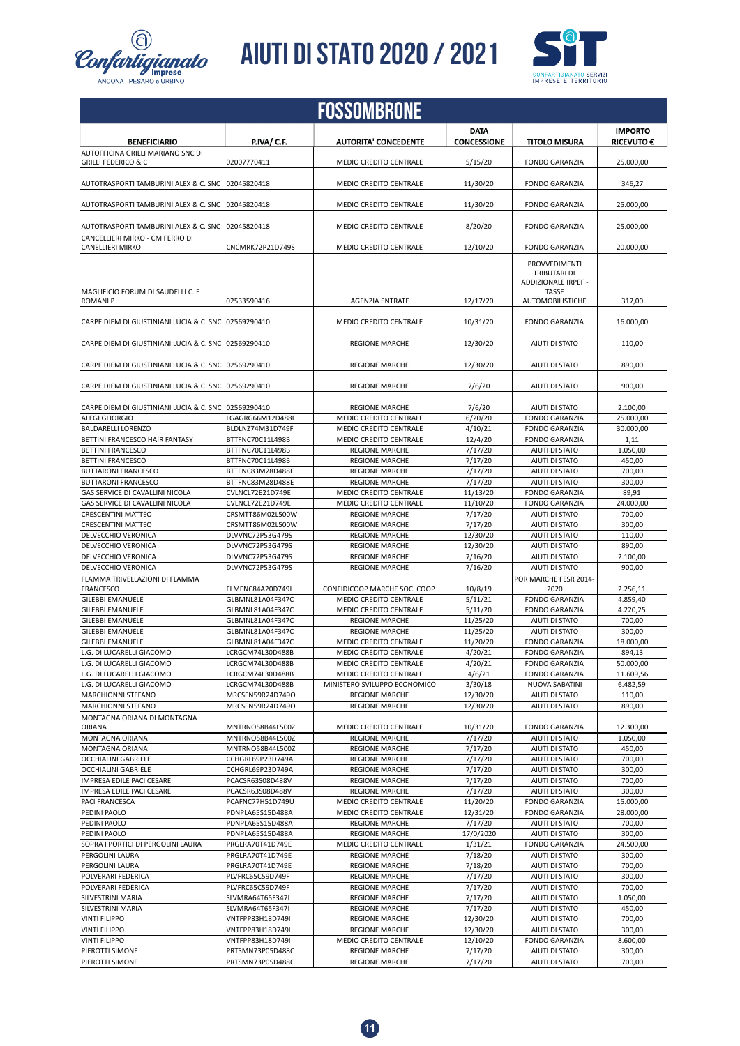![](_page_10_Picture_0.jpeg)

![](_page_10_Picture_2.jpeg)

| <b>FOSSOMBRONE</b>                                                  |                                      |                                                         |                                   |                                                                                                 |                                     |
|---------------------------------------------------------------------|--------------------------------------|---------------------------------------------------------|-----------------------------------|-------------------------------------------------------------------------------------------------|-------------------------------------|
| <b>BENEFICIARIO</b>                                                 | <b>P.IVA/ C.F.</b>                   | <b>AUTORITA' CONCEDENTE</b>                             | <b>DATA</b><br><b>CONCESSIONE</b> | <b>TITOLO MISURA</b>                                                                            | <b>IMPORTO</b><br><b>RICEVUTO €</b> |
| AUTOFFICINA GRILLI MARIANO SNC DI<br><b>GRILLI FEDERICO &amp; C</b> | 02007770411                          | MEDIO CREDITO CENTRALE                                  | 5/15/20                           | <b>FONDO GARANZIA</b>                                                                           | 25.000,00                           |
| AUTOTRASPORTI TAMBURINI ALEX & C. SNC                               | 02045820418                          | <b>MEDIO CREDITO CENTRALE</b>                           | 11/30/20                          | <b>FONDO GARANZIA</b>                                                                           | 346,27                              |
| AUTOTRASPORTI TAMBURINI ALEX & C. SNC                               | 02045820418                          | MEDIO CREDITO CENTRALE                                  | 11/30/20                          | <b>FONDO GARANZIA</b>                                                                           | 25.000,00                           |
| AUTOTRASPORTI TAMBURINI ALEX & C. SNC                               | 02045820418                          | <b>MEDIO CREDITO CENTRALE</b>                           | 8/20/20                           | <b>FONDO GARANZIA</b>                                                                           | 25.000,00                           |
| CANCELLIERI MIRKO - CM FERRO DI<br><b>CANELLIERI MIRKO</b>          | CNCMRK72P21D749S                     | MEDIO CREDITO CENTRALE                                  | 12/10/20                          | <b>FONDO GARANZIA</b>                                                                           | 20.000,00                           |
| MAGLIFICIO FORUM DI SAUDELLI C. E<br><b>ROMANIP</b>                 | 02533590416                          | <b>AGENZIA ENTRATE</b>                                  | 12/17/20                          | <b>PROVVEDIMENTI</b><br>TRIBUTARI DI<br>ADDIZIONALE IRPEF -<br><b>TASSE</b><br>AUTOMOBILISTICHE | 317,00                              |
| CARPE DIEM DI GIUSTINIANI LUCIA & C. SNC 02569290410                |                                      |                                                         |                                   |                                                                                                 | 16.000,00                           |
|                                                                     |                                      | MEDIO CREDITO CENTRALE                                  | 10/31/20                          | <b>FONDO GARANZIA</b>                                                                           |                                     |
| CARPE DIEM DI GIUSTINIANI LUCIA & C. SNC                            | 02569290410                          | <b>REGIONE MARCHE</b>                                   | 12/30/20                          | AIUTI DI STATO                                                                                  | 110.00                              |
| CARPE DIEM DI GIUSTINIANI LUCIA & C. SNC 02569290410                |                                      | <b>REGIONE MARCHE</b>                                   | 12/30/20                          | AIUTI DI STATO                                                                                  | 890,00                              |
| CARPE DIEM DI GIUSTINIANI LUCIA & C. SNC                            | 02569290410                          | <b>REGIONE MARCHE</b>                                   | 7/6/20                            | AIUTI DI STATO                                                                                  | 900,00                              |
| CARPE DIEM DI GIUSTINIANI LUCIA & C. SNC (02569290410               |                                      | <b>REGIONE MARCHE</b>                                   | 7/6/20                            | AIUTI DI STATO                                                                                  | 2.100,00                            |
| <b>ALEGI GLIORGIO</b>                                               | LGAGRG66M12D488L                     | MEDIO CREDITO CENTRALE                                  | 6/20/20                           | <b>FONDO GARANZIA</b>                                                                           | 25.000,00                           |
| <b>BALDARELLI LORENZO</b><br>BETTINI FRANCESCO HAIR FANTASY         | BLDLNZ74M31D749F<br>BTTFNC70C11L498B | <b>MEDIO CREDITO CENTRALE</b><br>MEDIO CREDITO CENTRALE | 4/10/21<br>12/4/20                | <b>FONDO GARANZIA</b><br><b>FONDO GARANZIA</b>                                                  | 30.000,00<br>1,11                   |
| <b>BETTINI FRANCESCO</b>                                            | BTTFNC70C11L498B                     | <b>REGIONE MARCHE</b>                                   | 7/17/20                           | AIUTI DI STATO                                                                                  | 1.050,00                            |
| <b>BETTINI FRANCESCO</b>                                            | BTTFNC70C11L498B                     | <b>REGIONE MARCHE</b>                                   | 7/17/20                           | AIUTI DI STATO                                                                                  | 450,00                              |
| <b>BUTTARONI FRANCESCO</b>                                          | BTTFNC83M28D488E                     | <b>REGIONE MARCHE</b>                                   | 7/17/20                           | AIUTI DI STATO                                                                                  | 700,00                              |
| <b>BUTTARONI FRANCESCO</b>                                          | BTTFNC83M28D488E                     | <b>REGIONE MARCHE</b>                                   | 7/17/20                           | AIUTI DI STATO                                                                                  | 300,00                              |
| GAS SERVICE DI CAVALLINI NICOLA                                     | CVLNCL72E21D749E                     | MEDIO CREDITO CENTRALE                                  | 11/13/20                          | <b>FONDO GARANZIA</b>                                                                           | 89,91                               |
| GAS SERVICE DI CAVALLINI NICOLA                                     | CVLNCL72E21D749E                     | <b>MEDIO CREDITO CENTRALE</b>                           | 11/10/20                          | <b>FONDO GARANZIA</b>                                                                           | 24.000,00                           |
| <b>CRESCENTINI MATTEO</b>                                           | CRSMTT86M02L500W                     | <b>REGIONE MARCHE</b>                                   | 7/17/20                           | AIUTI DI STATO                                                                                  | 700,00                              |
| <b>CRESCENTINI MATTEO</b>                                           | CRSMTT86M02L500W                     | <b>REGIONE MARCHE</b>                                   | 7/17/20                           | AIUTI DI STATO                                                                                  | 300,00                              |
| DELVECCHIO VERONICA                                                 | DLVVNC72P53G479S                     | <b>REGIONE MARCHE</b>                                   | 12/30/20                          | AIUTI DI STATO                                                                                  | 110,00                              |
| DELVECCHIO VERONICA                                                 | DLVVNC72P53G479S                     | <b>REGIONE MARCHE</b>                                   | 12/30/20                          | AIUTI DI STATO                                                                                  | 890,00                              |
| DELVECCHIO VERONICA                                                 | DLVVNC72P53G479S                     | <b>REGIONE MARCHE</b>                                   | 7/16/20                           | AIUTI DI STATO                                                                                  | 2.100,00                            |
| DELVECCHIO VERONICA                                                 | DLVVNC72P53G479S                     | <b>REGIONE MARCHE</b>                                   | 7/16/20                           | AIUTI DI STATO                                                                                  | 900.00                              |
| FLAMMA TRIVELLAZIONI DI FLAMMA                                      |                                      |                                                         |                                   | POR MARCHE FESR 2014-                                                                           |                                     |
| FRANCESCO                                                           | FLMFNC84A20D749L                     | CONFIDICOOP MARCHE SOC. COOP.                           | 10/8/19                           | 2020                                                                                            | 2.256,11                            |
| <b>GILEBBI EMANUELE</b>                                             | GLBMNL81A04F347C                     | MEDIO CREDITO CENTRALE                                  | 5/11/21                           | <b>FONDO GARANZIA</b>                                                                           | 4.859,40                            |
| <b>GILEBBI EMANUELE</b>                                             | GLBMNL81A04F347C                     | MEDIO CREDITO CENTRALE                                  | 5/11/20                           | <b>FONDO GARANZIA</b>                                                                           | 4.220.25                            |
| <b>GILEBBI EMANUELE</b>                                             | GLBMNL81A04F347C                     | <b>REGIONE MARCHE</b>                                   | 11/25/20                          | AIUTI DI STATO                                                                                  | 700.00                              |
| <b>GILEBBI EMANUELE</b>                                             | GLBMNL81A04F347C                     | <b>REGIONE MARCHE</b>                                   | 11/25/20                          | AIUTI DI STATO                                                                                  | 300,00                              |
| <b>GILEBBI EMANUELE</b>                                             | GLBMNL81A04F347C                     | MEDIO CREDITO CENTRALE                                  | 11/20/20                          | <b>FONDO GARANZIA</b>                                                                           | 18.000,00                           |
| L.G. DI LUCARELLI GIACOMO                                           | LCRGCM74L30D488B                     | <b>MEDIO CREDITO CENTRALE</b>                           | 4/20/21                           | <b>FONDO GARANZIA</b>                                                                           | 894,13                              |
| L.G. DI LUCARELLI GIACOMO                                           | LCRGCM74L30D488B                     | MEDIO CREDITO CENTRALE                                  | 4/20/21                           | <b>FONDO GARANZIA</b>                                                                           | 50.000,00                           |
| L.G. DI LUCARELLI GIACOMO                                           | LCRGCM74L30D488B                     | MEDIO CREDITO CENTRALE                                  | 4/6/21                            | <b>FONDO GARANZIA</b>                                                                           | 11.609,56                           |
| L.G. DI LUCARELLI GIACOMO                                           | LCRGCM74L30D488B                     | MINISTERO SVILUPPO ECONOMICO                            | 3/30/18                           | NUOVA SABATINI                                                                                  | 6.482,59                            |
| <b>MARCHIONNI STEFANO</b>                                           | MRCSFN59R24D749O                     | <b>REGIONE MARCHE</b>                                   | 12/30/20                          | AIUTI DI STATO                                                                                  | 110,00                              |
| <b>MARCHIONNI STEFANO</b>                                           | MRCSFN59R24D749O                     | <b>REGIONE MARCHE</b>                                   | 12/30/20                          | AIUTI DI STATO                                                                                  | 890,00                              |
| MONTAGNA ORIANA DI MONTAGNA<br>ORIANA                               | MNTRNO58B44L500Z                     | <b>MEDIO CREDITO CENTRALE</b>                           | 10/31/20                          | <b>FONDO GARANZIA</b>                                                                           | 12.300,00                           |
| MONTAGNA ORIANA                                                     | MNTRNO58B44L500Z                     | <b>REGIONE MARCHE</b>                                   | 7/17/20                           | AIUTI DI STATO                                                                                  | 1.050,00                            |
| MONTAGNA ORIANA                                                     | MNTRNO58B44L500Z                     | <b>REGIONE MARCHE</b>                                   | 7/17/20                           | AIUTI DI STATO                                                                                  | 450,00                              |
| <b>OCCHIALINI GABRIELE</b>                                          | CCHGRL69P23D749A                     | <b>REGIONE MARCHE</b>                                   | 7/17/20                           | AIUTI DI STATO                                                                                  | 700,00                              |
| <b>OCCHIALINI GABRIELE</b>                                          | CCHGRL69P23D749A                     | <b>REGIONE MARCHE</b>                                   | 7/17/20                           | AIUTI DI STATO                                                                                  | 300,00                              |
| IMPRESA EDILE PACI CESARE                                           | PCACSR63S08D488V                     | <b>REGIONE MARCHE</b>                                   | 7/17/20                           | AIUTI DI STATO                                                                                  | 700,00                              |
| IMPRESA EDILE PACI CESARE                                           | PCACSR63S08D488V                     | <b>REGIONE MARCHE</b>                                   | 7/17/20                           | AIUTI DI STATO                                                                                  | 300,00                              |
| PACI FRANCESCA                                                      | PCAFNC77H51D749U                     | MEDIO CREDITO CENTRALE                                  | 11/20/20                          | <b>FONDO GARANZIA</b>                                                                           | 15.000,00                           |
| PEDINI PAOLO                                                        | PDNPLA65S15D488A                     | <b>MEDIO CREDITO CENTRALE</b>                           | 12/31/20                          | <b>FONDO GARANZIA</b>                                                                           | 28.000,00                           |
| PEDINI PAOLO                                                        | PDNPLA65S15D488A                     | <b>REGIONE MARCHE</b>                                   | 7/17/20                           | AIUTI DI STATO                                                                                  | 700,00                              |
| PEDINI PAOLO                                                        | PDNPLA65S15D488A                     | <b>REGIONE MARCHE</b>                                   | 17/0/2020                         | AIUTI DI STATO                                                                                  | 300,00                              |
| SOPRA I PORTICI DI PERGOLINI LAURA                                  | PRGLRA70T41D749E                     | MEDIO CREDITO CENTRALE                                  | 1/31/21                           | <b>FONDO GARANZIA</b>                                                                           | 24.500,00                           |
| PERGOLINI LAURA                                                     | PRGLRA70T41D749E                     | <b>REGIONE MARCHE</b>                                   | 7/18/20                           | AIUTI DI STATO                                                                                  | 300,00                              |
| PERGOLINI LAURA                                                     | PRGLRA70T41D749E                     | <b>REGIONE MARCHE</b>                                   | 7/18/20                           | AIUTI DI STATO                                                                                  | 700,00                              |
| POLVERARI FEDERICA                                                  | PLVFRC65C59D749F                     | <b>REGIONE MARCHE</b>                                   | 7/17/20                           | AIUTI DI STATO                                                                                  | 300,00                              |
| POLVERARI FEDERICA                                                  | PLVFRC65C59D749F                     | <b>REGIONE MARCHE</b>                                   | 7/17/20                           | AIUTI DI STATO                                                                                  | 700,00                              |
| SILVESTRINI MARIA                                                   | SLVMRA64T65F347I                     | <b>REGIONE MARCHE</b>                                   | 7/17/20                           | AIUTI DI STATO                                                                                  | 1.050,00                            |
| SILVESTRINI MARIA                                                   | SLVMRA64T65F347I                     | <b>REGIONE MARCHE</b>                                   | 7/17/20                           | AIUTI DI STATO                                                                                  | 450,00                              |
| <b>VINTI FILIPPO</b>                                                | VNTFPP83H18D749I                     | <b>REGIONE MARCHE</b>                                   | 12/30/20                          | AIUTI DI STATO                                                                                  | 700,00                              |
| <b>VINTI FILIPPO</b>                                                | VNTFPP83H18D749I                     | <b>REGIONE MARCHE</b>                                   | 12/30/20                          | AIUTI DI STATO                                                                                  | 300,00                              |
| <b>VINTI FILIPPO</b>                                                | VNTFPP83H18D749I                     | MEDIO CREDITO CENTRALE                                  | 12/10/20                          | <b>FONDO GARANZIA</b>                                                                           | 8.600,00                            |
| PIEROTTI SIMONE                                                     | PRTSMN73P05D488C                     | <b>REGIONE MARCHE</b>                                   | 7/17/20                           | AIUTI DI STATO                                                                                  | 300,00                              |
| PIEROTTI SIMONE                                                     | PRTSMN73P05D488C                     | <b>REGIONE MARCHE</b>                                   | 7/17/20                           | AIUTI DI STATO                                                                                  | 700,00                              |
|                                                                     |                                      |                                                         |                                   |                                                                                                 |                                     |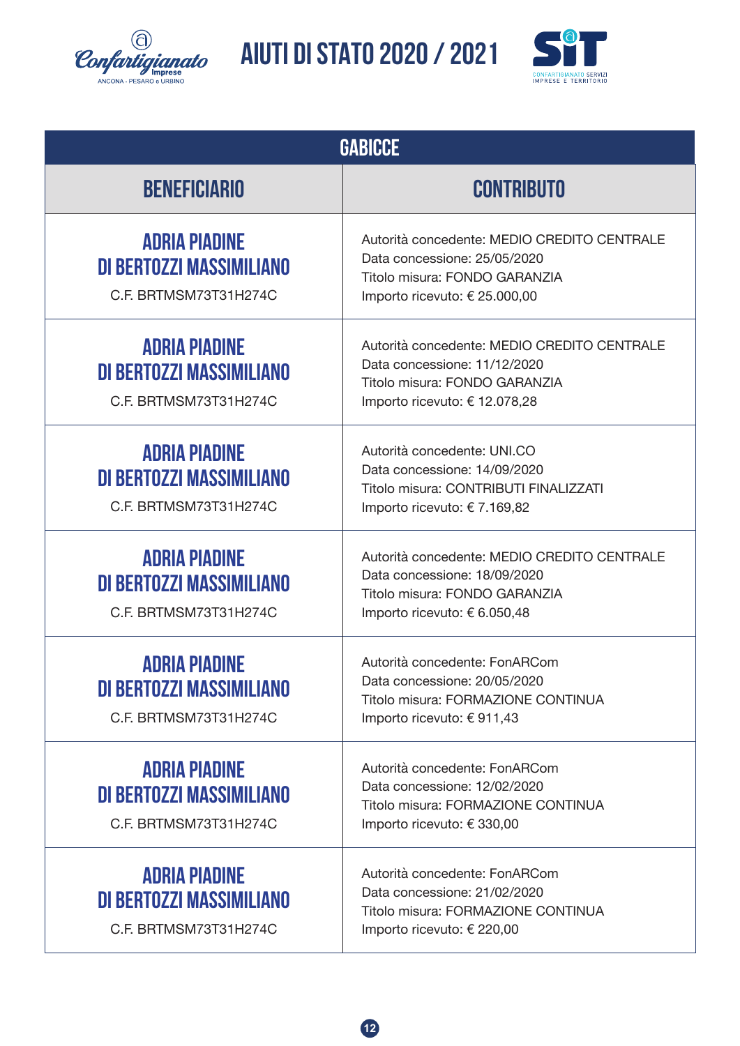![](_page_11_Picture_0.jpeg)

![](_page_11_Picture_2.jpeg)

| <b>GABICCE</b>                                                            |                                                                                                                                               |  |
|---------------------------------------------------------------------------|-----------------------------------------------------------------------------------------------------------------------------------------------|--|
| <b>BENEFICIARIO</b>                                                       | <b>CONTRIBUTO</b>                                                                                                                             |  |
| <b>ADRIA PIADINE</b><br>DI BERTOZZI MASSIMILIANO<br>C.F. BRTMSM73T31H274C | Autorità concedente: MEDIO CREDITO CENTRALE<br>Data concessione: 25/05/2020<br>Titolo misura: FONDO GARANZIA<br>Importo ricevuto: € 25.000,00 |  |
| <b>ADRIA PIADINE</b><br>DI BERTOZZI MASSIMILIANO<br>C.F. BRTMSM73T31H274C | Autorità concedente: MEDIO CREDITO CENTRALE<br>Data concessione: 11/12/2020<br>Titolo misura: FONDO GARANZIA<br>Importo ricevuto: € 12.078,28 |  |
| <b>ADRIA PIADINE</b><br>DI BERTOZZI MASSIMILIANO<br>C.F. BRTMSM73T31H274C | Autorità concedente: UNI.CO<br>Data concessione: 14/09/2020<br>Titolo misura: CONTRIBUTI FINALIZZATI<br>Importo ricevuto: €7.169,82           |  |
| <b>ADRIA PIADINE</b><br>DI BERTOZZI MASSIMILIANO<br>C.F. BRTMSM73T31H274C | Autorità concedente: MEDIO CREDITO CENTRALE<br>Data concessione: 18/09/2020<br>Titolo misura: FONDO GARANZIA<br>Importo ricevuto: € 6.050,48  |  |
| <b>ADRIA PIADINE</b><br>DI BERTOZZI MASSIMILIANO<br>C.F. BRTMSM73T31H274C | Autorità concedente: FonARCom<br>Data concessione: 20/05/2020<br>Titolo misura: FORMAZIONE CONTINUA<br>Importo ricevuto: €911,43              |  |
| <b>ADRIA PIADINE</b><br>DI BERTOZZI MASSIMILIANO<br>C.F. BRTMSM73T31H274C | Autorità concedente: FonARCom<br>Data concessione: 12/02/2020<br>Titolo misura: FORMAZIONE CONTINUA<br>Importo ricevuto: € 330,00             |  |
| <b>ADRIA PIADINE</b><br>DI BERTOZZI MASSIMILIANO<br>C.F. BRTMSM73T31H274C | Autorità concedente: FonARCom<br>Data concessione: 21/02/2020<br>Titolo misura: FORMAZIONE CONTINUA<br>Importo ricevuto: € 220,00             |  |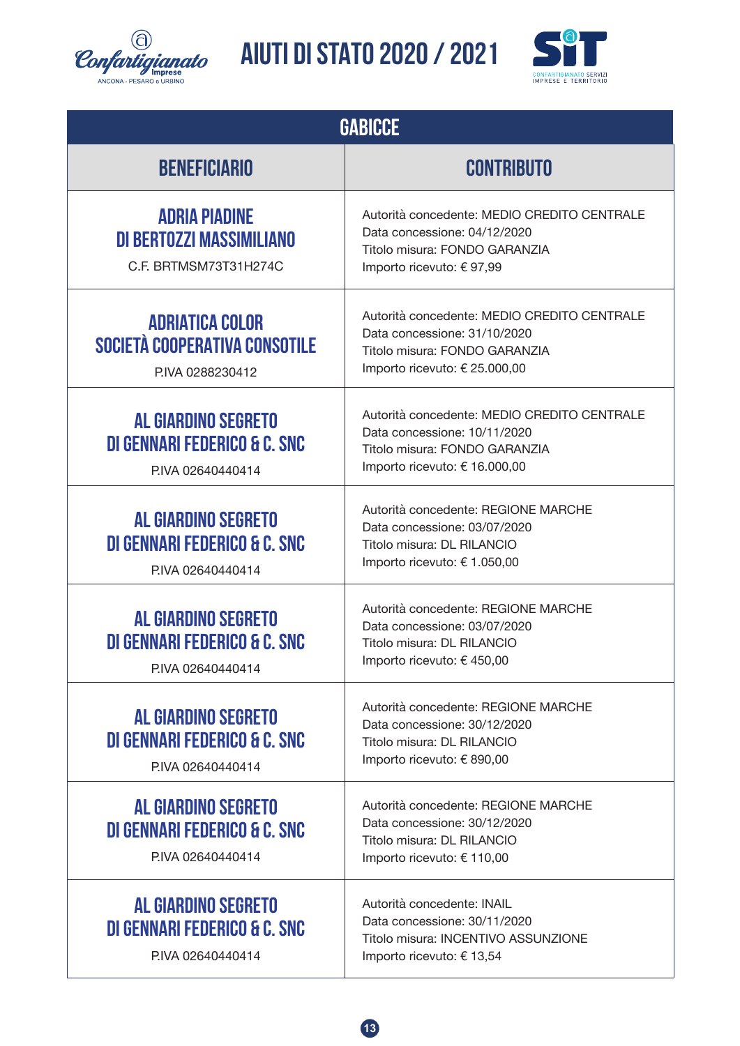![](_page_12_Picture_0.jpeg)

![](_page_12_Picture_2.jpeg)

| <b>GABICCE</b>                                                                             |                                                                                                                                               |  |
|--------------------------------------------------------------------------------------------|-----------------------------------------------------------------------------------------------------------------------------------------------|--|
| <b>BENEFICIARIO</b>                                                                        | <b>CONTRIBUTO</b>                                                                                                                             |  |
| <b>ADRIA PIADINE</b><br>DI BERTOZZI MASSIMILIANO<br>C.F. BRTMSM73T31H274C                  | Autorità concedente: MEDIO CREDITO CENTRALE<br>Data concessione: 04/12/2020<br>Titolo misura: FONDO GARANZIA<br>Importo ricevuto: €97,99      |  |
| <b>ADRIATICA COLOR</b><br><b>SOCIETÀ COOPERATIVA CONSOTILE</b><br>PIVA 0288230412          | Autorità concedente: MEDIO CREDITO CENTRALE<br>Data concessione: 31/10/2020<br>Titolo misura: FONDO GARANZIA<br>Importo ricevuto: € 25.000,00 |  |
| <b>AL GIARDINO SEGRETO</b><br><b>DI GENNARI FEDERICO &amp; C. SNC</b><br>P.IVA 02640440414 | Autorità concedente: MEDIO CREDITO CENTRALE<br>Data concessione: 10/11/2020<br>Titolo misura: FONDO GARANZIA<br>Importo ricevuto: € 16.000,00 |  |
| <b>AL GIARDINO SEGRETO</b><br><b>DI GENNARI FEDERICO &amp; C. SNC</b><br>P.IVA 02640440414 | Autorità concedente: REGIONE MARCHE<br>Data concessione: 03/07/2020<br>Titolo misura: DL RILANCIO<br>Importo ricevuto: € 1.050,00             |  |
| <b>AL GIARDINO SEGRETO</b><br>DI GENNARI FEDERICO & C. SNC<br>PIVA 02640440414             | Autorità concedente: REGIONE MARCHE<br>Data concessione: 03/07/2020<br>Titolo misura: DL RILANCIO<br>Importo ricevuto: € 450,00               |  |
| <b>AL GIARDINO SEGRETO</b><br>DI GENNARI FEDERICO & C. SNC<br>P.IVA 02640440414            | Autorità concedente: REGIONE MARCHE<br>Data concessione: 30/12/2020<br>Titolo misura: DL RILANCIO<br>Importo ricevuto: € 890,00               |  |
| <b>AL GIARDINO SEGRETO</b><br>DI GENNARI FEDERICO & C. SNC<br>P.IVA 02640440414            | Autorità concedente: REGIONE MARCHE<br>Data concessione: 30/12/2020<br>Titolo misura: DL RILANCIO<br>Importo ricevuto: € 110,00               |  |
| <b>AL GIARDINO SEGRETO</b><br>DI GENNARI FEDERICO & C. SNC<br>P.IVA 02640440414            | Autorità concedente: INAIL<br>Data concessione: 30/11/2020<br>Titolo misura: INCENTIVO ASSUNZIONE<br>Importo ricevuto: € 13,54                |  |

![](_page_12_Picture_4.jpeg)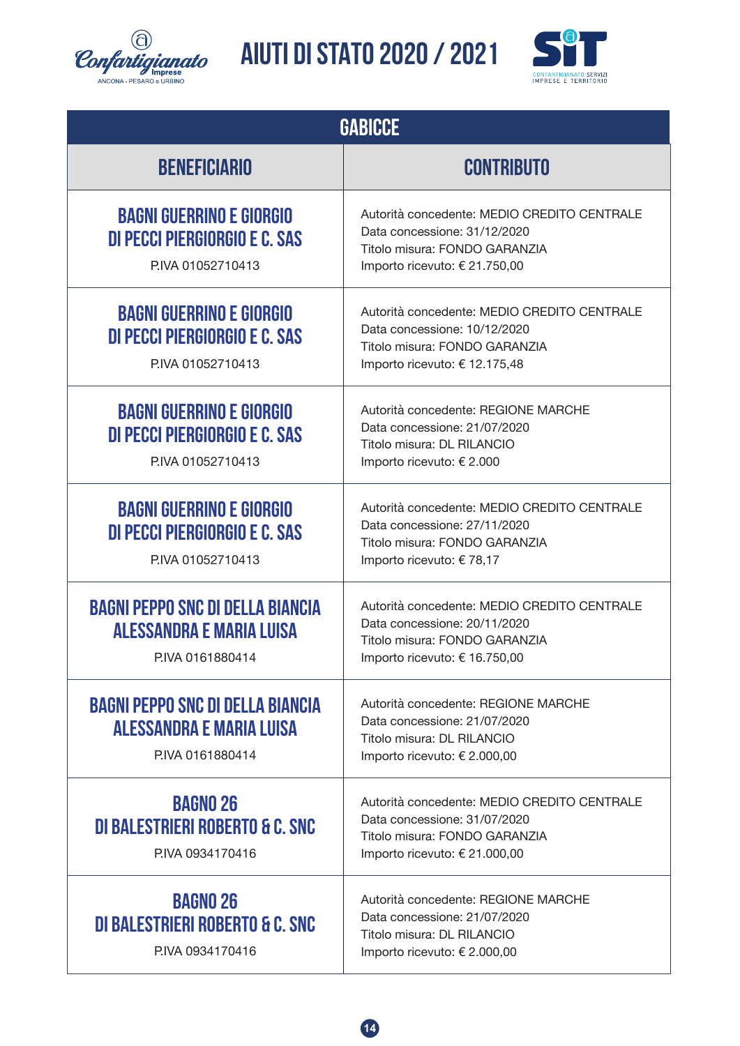![](_page_13_Picture_0.jpeg)

![](_page_13_Picture_2.jpeg)

| <b>GABICCE</b>                                                                                |                                                                                                                                               |  |
|-----------------------------------------------------------------------------------------------|-----------------------------------------------------------------------------------------------------------------------------------------------|--|
| <b>BENEFICIARIO</b>                                                                           | <b>CONTRIBUTO</b>                                                                                                                             |  |
| <b>BAGNI GUERRINO E GIORGIO</b><br>DI PECCI PIERGIORGIO E C. SAS<br>P.IVA 01052710413         | Autorità concedente: MEDIO CREDITO CENTRALE<br>Data concessione: 31/12/2020<br>Titolo misura: FONDO GARANZIA<br>Importo ricevuto: € 21.750,00 |  |
| <b>BAGNI GUERRINO E GIORGIO</b><br>DI PECCI PIERGIORGIO E C. SAS<br>P.IVA 01052710413         | Autorità concedente: MEDIO CREDITO CENTRALE<br>Data concessione: 10/12/2020<br>Titolo misura: FONDO GARANZIA<br>Importo ricevuto: € 12.175,48 |  |
| <b>BAGNI GUERRINO E GIORGIO</b><br>DI PECCI PIERGIORGIO E C. SAS<br>P.IVA 01052710413         | Autorità concedente: REGIONE MARCHE<br>Data concessione: 21/07/2020<br>Titolo misura: DL RILANCIO<br>Importo ricevuto: € 2.000                |  |
| <b>BAGNI GUERRINO E GIORGIO</b><br>DI PECCI PIERGIORGIO E C. SAS<br>P.IVA 01052710413         | Autorità concedente: MEDIO CREDITO CENTRALE<br>Data concessione: 27/11/2020<br>Titolo misura: FONDO GARANZIA<br>Importo ricevuto: € 78,17     |  |
| <b>BAGNI PEPPO SNC DI DELLA BIANCIA</b><br>ALESSANDRA E MARIA LUISA<br>PIVA 0161880414        | Autorità concedente: MEDIO CREDITO CENTRALE<br>Data concessione: 20/11/2020<br>Titolo misura: FONDO GARANZIA<br>Importo ricevuto: € 16.750,00 |  |
| <b>BAGNI PEPPO SNC DI DELLA BIANCIA</b><br><b>ALESSANDRA E MARIA LUISA</b><br>PIVA 0161880414 | Autorità concedente: REGIONE MARCHE<br>Data concessione: 21/07/2020<br>Titolo misura: DL RILANCIO<br>Importo ricevuto: € 2.000,00             |  |
| <b>BAGNO 26</b><br><b>DI BALESTRIERI ROBERTO &amp; C. SNC</b><br>PIVA 0934170416              | Autorità concedente: MEDIO CREDITO CENTRALE<br>Data concessione: 31/07/2020<br>Titolo misura: FONDO GARANZIA<br>Importo ricevuto: € 21.000,00 |  |
| <b>BAGNO 26</b><br>DI BALESTRIERI ROBERTO & C. SNC<br>PIVA 0934170416                         | Autorità concedente: REGIONE MARCHE<br>Data concessione: 21/07/2020<br>Titolo misura: DL RILANCIO<br>Importo ricevuto: € 2.000,00             |  |

![](_page_13_Picture_4.jpeg)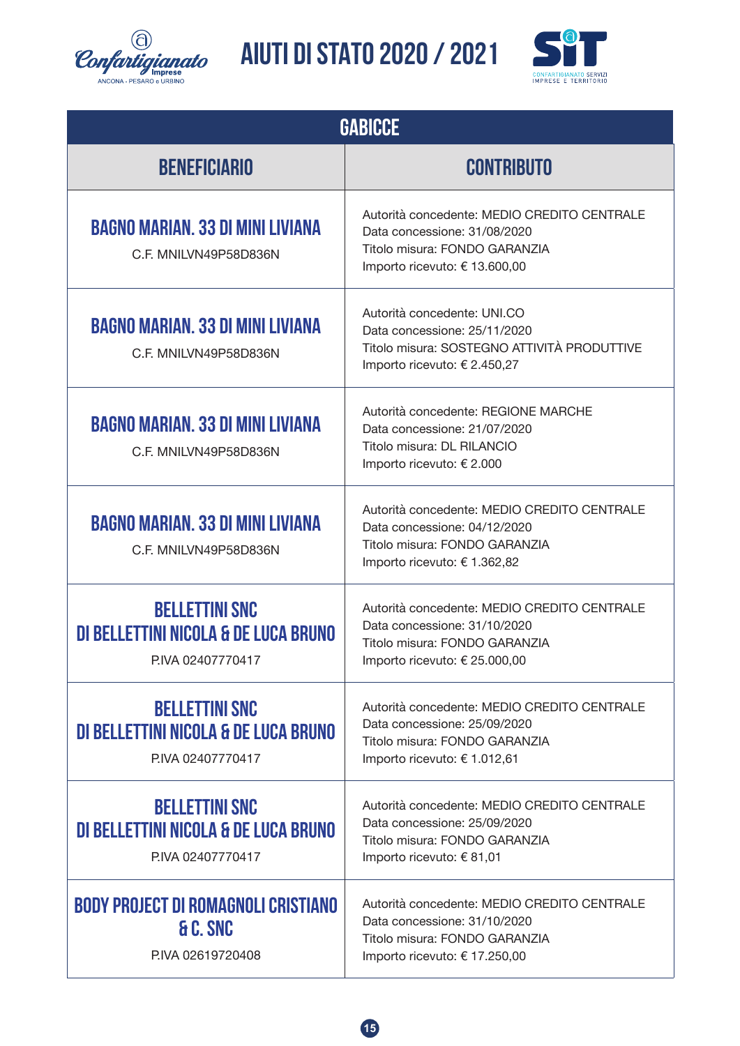![](_page_14_Picture_0.jpeg)

![](_page_14_Picture_2.jpeg)

| <b>GABICCE</b>                                                                     |                                                                                                                                               |  |
|------------------------------------------------------------------------------------|-----------------------------------------------------------------------------------------------------------------------------------------------|--|
| <b>BENEFICIARIO</b>                                                                | <b>CONTRIBUTO</b>                                                                                                                             |  |
| <b>BAGNO MARIAN. 33 DI MINI LIVIANA</b><br>C.F. MNILVN49P58D836N                   | Autorità concedente: MEDIO CREDITO CENTRALE<br>Data concessione: 31/08/2020<br>Titolo misura: FONDO GARANZIA<br>Importo ricevuto: € 13.600,00 |  |
| <b>BAGNO MARIAN. 33 DI MINI LIVIANA</b><br>C.F. MNILVN49P58D836N                   | Autorità concedente: UNI.CO<br>Data concessione: 25/11/2020<br>Titolo misura: SOSTEGNO ATTIVITÀ PRODUTTIVE<br>Importo ricevuto: € 2.450,27    |  |
| <b>BAGNO MARIAN. 33 DI MINI LIVIANA</b><br>C.F. MNILVN49P58D836N                   | Autorità concedente: REGIONE MARCHE<br>Data concessione: 21/07/2020<br>Titolo misura: DL RILANCIO<br>Importo ricevuto: € 2.000                |  |
| <b>BAGNO MARIAN. 33 DI MINI LIVIANA</b><br>C.F. MNILVN49P58D836N                   | Autorità concedente: MEDIO CREDITO CENTRALE<br>Data concessione: 04/12/2020<br>Titolo misura: FONDO GARANZIA<br>Importo ricevuto: € 1.362,82  |  |
| <b>BELLETTINI SNC</b><br>DI BELLETTINI NICOLA & DE LUCA BRUNO<br>P.IVA 02407770417 | Autorità concedente: MEDIO CREDITO CENTRALE<br>Data concessione: 31/10/2020<br>Titolo misura: FONDO GARANZIA<br>Importo ricevuto: € 25.000,00 |  |
| <b>BELLETTINI SNC</b><br>DI BELLETTINI NICOLA & DE LUCA BRUNO<br>P.IVA 02407770417 | Autorità concedente: MEDIO CREDITO CENTRALE<br>Data concessione: 25/09/2020<br>Titolo misura: FONDO GARANZIA<br>Importo ricevuto: € 1.012,61  |  |
| <b>BELLETTINI SNC</b><br>DI BELLETTINI NICOLA & DE LUCA BRUNO<br>P.IVA 02407770417 | Autorità concedente: MEDIO CREDITO CENTRALE<br>Data concessione: 25/09/2020<br>Titolo misura: FONDO GARANZIA<br>Importo ricevuto: € 81,01     |  |
| <b>BODY PROJECT DI ROMAGNOLI CRISTIANO</b><br>& C. SNC<br>P.IVA 02619720408        | Autorità concedente: MEDIO CREDITO CENTRALE<br>Data concessione: 31/10/2020<br>Titolo misura: FONDO GARANZIA<br>Importo ricevuto: € 17.250,00 |  |

![](_page_14_Picture_4.jpeg)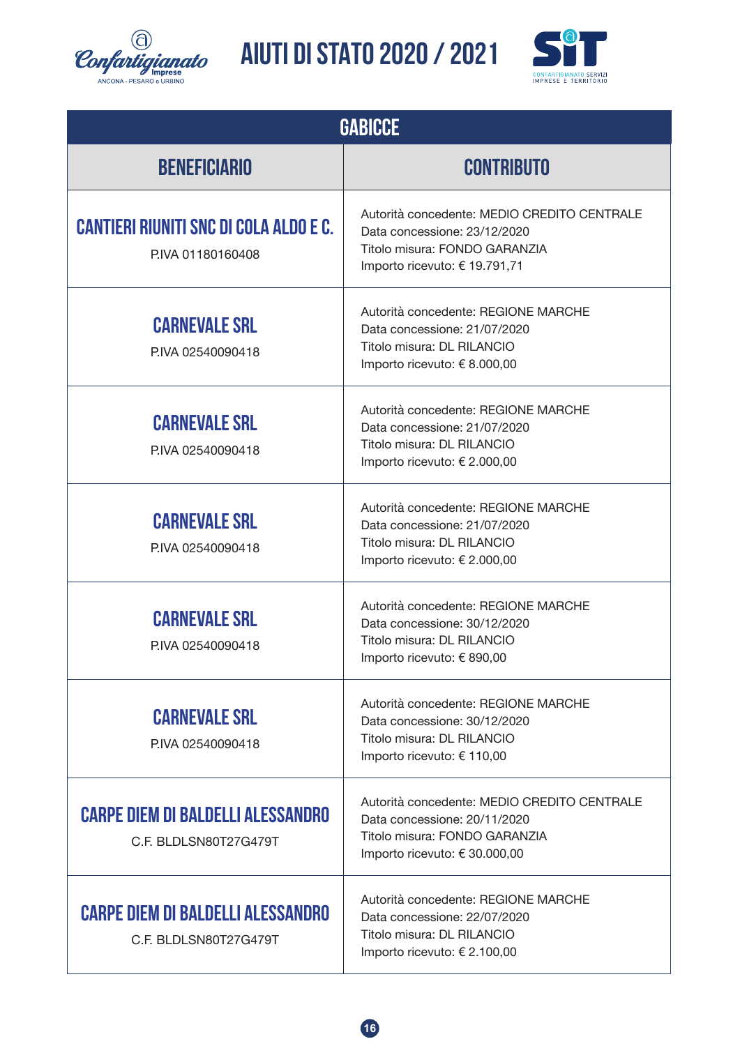![](_page_15_Picture_0.jpeg)

![](_page_15_Picture_2.jpeg)

| <b>GABICCE</b>                                                     |                                                                                                                                               |  |
|--------------------------------------------------------------------|-----------------------------------------------------------------------------------------------------------------------------------------------|--|
| <b>BENEFICIARIO</b>                                                | <b>CONTRIBUTO</b>                                                                                                                             |  |
| <b>CANTIERI RIUNITI SNC DI COLA ALDO E C.</b><br>P.IVA 01180160408 | Autorità concedente: MEDIO CREDITO CENTRALE<br>Data concessione: 23/12/2020<br>Titolo misura: FONDO GARANZIA<br>Importo ricevuto: € 19.791,71 |  |
| <b>CARNEVALE SRL</b><br>P.IVA 02540090418                          | Autorità concedente: REGIONE MARCHE<br>Data concessione: 21/07/2020<br>Titolo misura: DL RILANCIO<br>Importo ricevuto: € 8.000,00             |  |
| <b>CARNEVALE SRL</b><br>P.IVA 02540090418                          | Autorità concedente: REGIONE MARCHE<br>Data concessione: 21/07/2020<br>Titolo misura: DL RILANCIO<br>Importo ricevuto: € 2.000,00             |  |
| <b>CARNEVALE SRL</b><br>P.IVA 02540090418                          | Autorità concedente: REGIONE MARCHE<br>Data concessione: 21/07/2020<br>Titolo misura: DL RILANCIO<br>Importo ricevuto: € 2.000,00             |  |
| <b>CARNEVALE SRL</b><br>P.IVA 02540090418                          | Autorità concedente: REGIONE MARCHE<br>Data concessione: 30/12/2020<br>Titolo misura: DL RILANCIO<br>Importo ricevuto: € 890,00               |  |
| <b>CARNEVALE SRL</b><br>PIVA 02540090418                           | Autorità concedente: REGIONE MARCHE<br>Data concessione: 30/12/2020<br>Titolo misura: DL RILANCIO<br>Importo ricevuto: € 110,00               |  |
| <b>CARPE DIEM DI BALDELLI ALESSANDRO</b><br>C.F. BLDLSN80T27G479T  | Autorità concedente: MEDIO CREDITO CENTRALE<br>Data concessione: 20/11/2020<br>Titolo misura: FONDO GARANZIA<br>Importo ricevuto: € 30.000,00 |  |
| <b>CARPE DIEM DI BALDELLI ALESSANDRO</b><br>C.F. BLDLSN80T27G479T  | Autorità concedente: REGIONE MARCHE<br>Data concessione: 22/07/2020<br>Titolo misura: DL RILANCIO<br>Importo ricevuto: € 2.100,00             |  |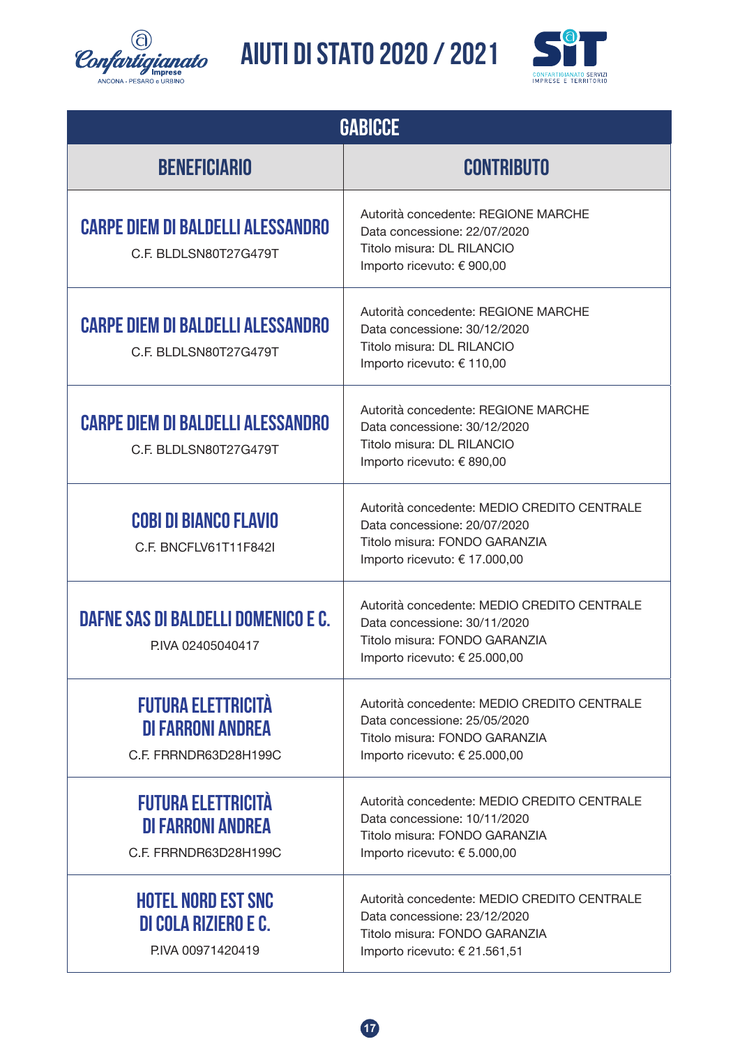![](_page_16_Picture_0.jpeg)

![](_page_16_Picture_2.jpeg)

| <b>GABICCE</b>                                                                 |                                                                                                                                               |  |
|--------------------------------------------------------------------------------|-----------------------------------------------------------------------------------------------------------------------------------------------|--|
| <b>BENEFICIARIO</b>                                                            | <b>CONTRIBUTO</b>                                                                                                                             |  |
| <b>CARPE DIEM DI BALDELLI ALESSANDRO</b><br>C.F. BLDLSN80T27G479T              | Autorità concedente: REGIONE MARCHE<br>Data concessione: 22/07/2020<br>Titolo misura: DL RILANCIO<br>Importo ricevuto: € 900,00               |  |
| <b>CARPE DIEM DI BALDELLI ALESSANDRO</b><br>C.F. BLDLSN80T27G479T              | Autorità concedente: REGIONE MARCHE<br>Data concessione: 30/12/2020<br>Titolo misura: DL RILANCIO<br>Importo ricevuto: € 110,00               |  |
| <b>CARPE DIEM DI BALDELLI ALESSANDRO</b><br>C.F. BLDLSN80T27G479T              | Autorità concedente: REGIONE MARCHE<br>Data concessione: 30/12/2020<br>Titolo misura: DL RILANCIO<br>Importo ricevuto: € 890,00               |  |
| <b>COBI DI BIANCO FLAVIO</b><br>C.F. BNCFLV61T11F842I                          | Autorità concedente: MEDIO CREDITO CENTRALE<br>Data concessione: 20/07/2020<br>Titolo misura: FONDO GARANZIA<br>Importo ricevuto: € 17.000,00 |  |
| DAFNE SAS DI BALDELLI DOMENICO E C.<br>P.IVA 02405040417                       | Autorità concedente: MEDIO CREDITO CENTRALE<br>Data concessione: 30/11/2020<br>Titolo misura: FONDO GARANZIA<br>Importo ricevuto: € 25.000,00 |  |
| <b>FUTURA ELETTRICITÀ</b><br><b>DI FARRONI ANDREA</b><br>C.F. FRRNDR63D28H199C | Autorità concedente: MEDIO CREDITO CENTRALE<br>Data concessione: 25/05/2020<br>Titolo misura: FONDO GARANZIA<br>Importo ricevuto: € 25.000,00 |  |
| <b>FUTURA ELETTRICITÀ</b><br><b>DI FARRONI ANDREA</b><br>C.F. FRRNDR63D28H199C | Autorità concedente: MEDIO CREDITO CENTRALE<br>Data concessione: 10/11/2020<br>Titolo misura: FONDO GARANZIA<br>Importo ricevuto: € 5.000,00  |  |
| <b>HOTEL NORD EST SNC</b><br><b>DI COLA RIZIERO E C.</b><br>P.IVA 00971420419  | Autorità concedente: MEDIO CREDITO CENTRALE<br>Data concessione: 23/12/2020<br>Titolo misura: FONDO GARANZIA<br>Importo ricevuto: € 21.561,51 |  |

![](_page_16_Picture_4.jpeg)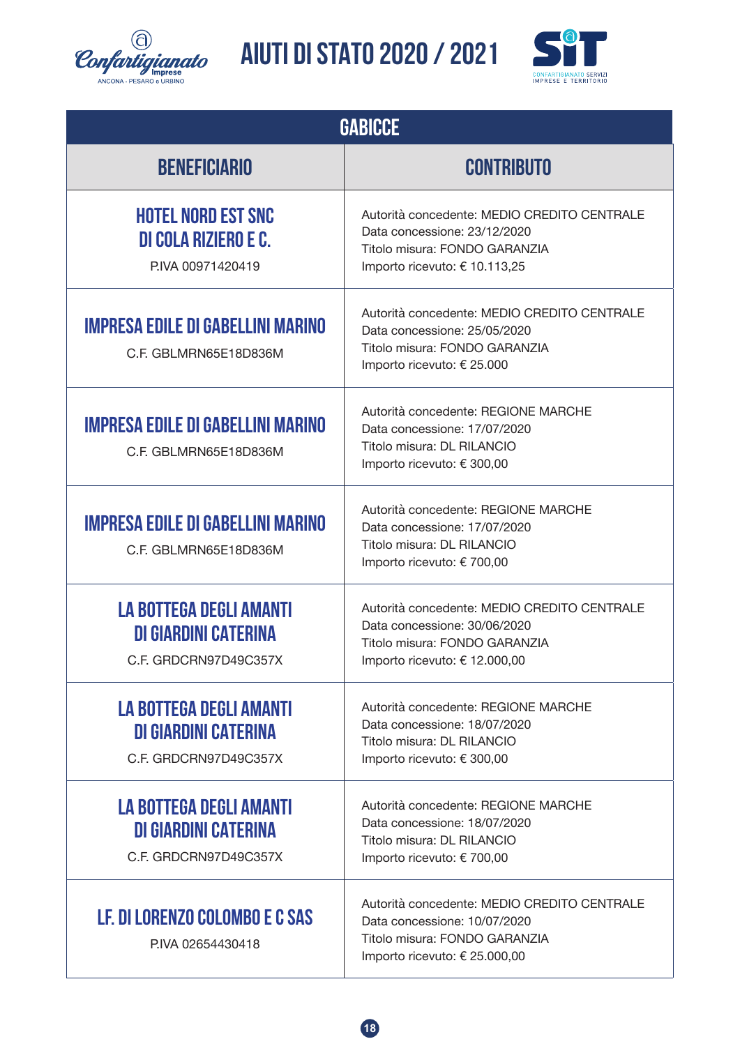![](_page_17_Picture_0.jpeg)

![](_page_17_Picture_2.jpeg)

| <b>GABICCE</b>                                                                         |                                                                                                                                               |  |
|----------------------------------------------------------------------------------------|-----------------------------------------------------------------------------------------------------------------------------------------------|--|
| <b>BENEFICIARIO</b>                                                                    | <b>CONTRIBUTO</b>                                                                                                                             |  |
| <b>HOTEL NORD EST SNC</b><br><b>DI COLA RIZIERO E C.</b><br>P.IVA 00971420419          | Autorità concedente: MEDIO CREDITO CENTRALE<br>Data concessione: 23/12/2020<br>Titolo misura: FONDO GARANZIA<br>Importo ricevuto: € 10.113,25 |  |
| <b>IMPRESA EDILE DI GABELLINI MARINO</b><br>C.F. GBLMRN65E18D836M                      | Autorità concedente: MEDIO CREDITO CENTRALE<br>Data concessione: 25/05/2020<br>Titolo misura: FONDO GARANZIA<br>Importo ricevuto: € 25.000    |  |
| <b>IMPRESA EDILE DI GABELLINI MARINO</b><br>C.F. GBLMRN65E18D836M                      | Autorità concedente: REGIONE MARCHE<br>Data concessione: 17/07/2020<br>Titolo misura: DL RILANCIO<br>Importo ricevuto: € 300,00               |  |
| <b>IMPRESA EDILE DI GABELLINI MARINO</b><br>C.F. GBLMRN65E18D836M                      | Autorità concedente: REGIONE MARCHE<br>Data concessione: 17/07/2020<br>Titolo misura: DL RILANCIO<br>Importo ricevuto: € 700,00               |  |
| <b>LA BOTTEGA DEGLI AMANTI</b><br><b>DI GIARDINI CATERINA</b><br>C.F. GRDCRN97D49C357X | Autorità concedente: MEDIO CREDITO CENTRALE<br>Data concessione: 30/06/2020<br>Titolo misura: FONDO GARANZIA<br>Importo ricevuto: € 12.000,00 |  |
| <b>LA BOTTEGA DEGLI AMANTI</b><br><b>DI GIARDINI CATERINA</b><br>C.F. GRDCRN97D49C357X | Autorità concedente: REGIONE MARCHE<br>Data concessione: 18/07/2020<br>Titolo misura: DL RILANCIO<br>Importo ricevuto: € 300,00               |  |
| <b>LA BOTTEGA DEGLI AMANTI</b><br><b>DI GIARDINI CATERINA</b><br>C.F. GRDCRN97D49C357X | Autorità concedente: REGIONE MARCHE<br>Data concessione: 18/07/2020<br>Titolo misura: DL RILANCIO<br>Importo ricevuto: € 700,00               |  |
| LF. DI LORENZO COLOMBO E C SAS<br>PIVA 02654430418                                     | Autorità concedente: MEDIO CREDITO CENTRALE<br>Data concessione: 10/07/2020<br>Titolo misura: FONDO GARANZIA<br>Importo ricevuto: € 25.000,00 |  |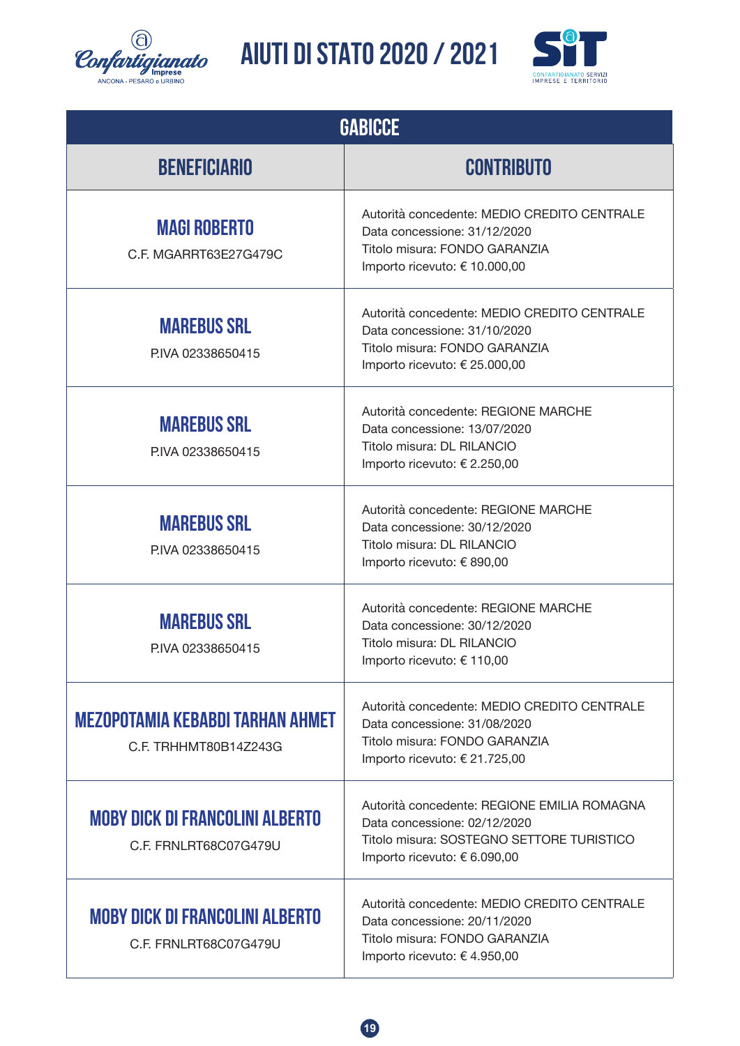![](_page_18_Picture_0.jpeg)

![](_page_18_Picture_2.jpeg)

| <b>GABICCE</b>                                                   |                                                                                                                                                          |  |
|------------------------------------------------------------------|----------------------------------------------------------------------------------------------------------------------------------------------------------|--|
| <b>BENEFICIARIO</b>                                              | <b>CONTRIBUTO</b>                                                                                                                                        |  |
| <b>MAGI ROBERTO</b><br>C.F. MGARRT63E27G479C                     | Autorità concedente: MEDIO CREDITO CENTRALE<br>Data concessione: 31/12/2020<br>Titolo misura: FONDO GARANZIA<br>Importo ricevuto: € 10.000,00            |  |
| <b>MAREBUS SRL</b><br>PIVA 02338650415                           | Autorità concedente: MEDIO CREDITO CENTRALE<br>Data concessione: 31/10/2020<br>Titolo misura: FONDO GARANZIA<br>Importo ricevuto: € 25.000,00            |  |
| <b>MAREBUS SRL</b><br>PIVA 02338650415                           | Autorità concedente: REGIONE MARCHE<br>Data concessione: 13/07/2020<br>Titolo misura: DL RILANCIO<br>Importo ricevuto: € 2.250,00                        |  |
| <b>MAREBUS SRL</b><br>PIVA 02338650415                           | Autorità concedente: REGIONE MARCHE<br>Data concessione: 30/12/2020<br>Titolo misura: DL RILANCIO<br>Importo ricevuto: € 890,00                          |  |
| <b>MAREBUS SRL</b><br>PIVA 02338650415                           | Autorità concedente: REGIONE MARCHE<br>Data concessione: 30/12/2020<br>Titolo misura: DL RILANCIO<br>Importo ricevuto: € 110,00                          |  |
| <b>MEZOPOTAMIA KEBABDI TARHAN AHMET</b><br>C.F. TRHHMT80B14Z243G | Autorità concedente: MEDIO CREDITO CENTRALE<br>Data concessione: 31/08/2020<br>Titolo misura: FONDO GARANZIA<br>Importo ricevuto: € 21.725,00            |  |
| <b>MOBY DICK DI FRANCOLINI ALBERTO</b><br>C.F. FRNLRT68C07G479U  | Autorità concedente: REGIONE EMILIA ROMAGNA<br>Data concessione: 02/12/2020<br>Titolo misura: SOSTEGNO SETTORE TURISTICO<br>Importo ricevuto: € 6.090,00 |  |
| <b>MOBY DICK DI FRANCOLINI ALBERTO</b><br>C.F. FRNLRT68C07G479U  | Autorità concedente: MEDIO CREDITO CENTRALE<br>Data concessione: 20/11/2020<br>Titolo misura: FONDO GARANZIA<br>Importo ricevuto: € 4.950,00             |  |

![](_page_18_Picture_4.jpeg)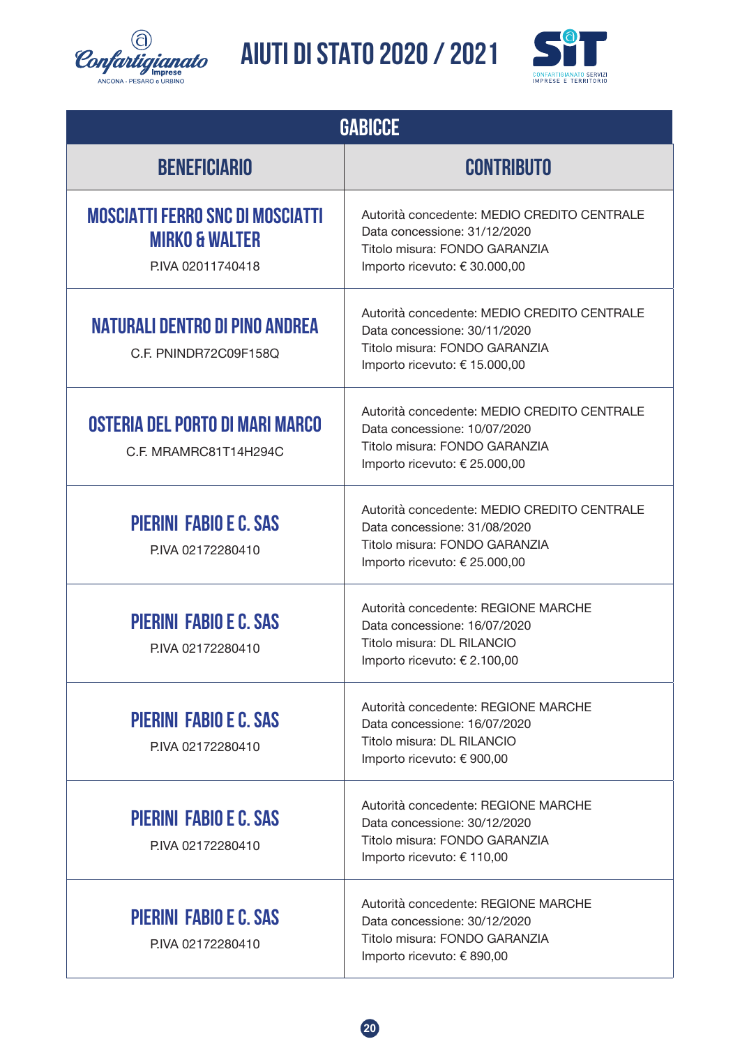![](_page_19_Picture_0.jpeg)

![](_page_19_Picture_2.jpeg)

| <b>GABICCE</b>                                                                            |                                                                                                                                               |  |
|-------------------------------------------------------------------------------------------|-----------------------------------------------------------------------------------------------------------------------------------------------|--|
| <b>BENEFICIARIO</b>                                                                       | <b>CONTRIBUTO</b>                                                                                                                             |  |
| <b>MOSCIATTI FERRO SNC DI MOSCIATTI</b><br><b>MIRKO &amp; WALTER</b><br>P.IVA 02011740418 | Autorità concedente: MEDIO CREDITO CENTRALE<br>Data concessione: 31/12/2020<br>Titolo misura: FONDO GARANZIA<br>Importo ricevuto: € 30.000,00 |  |
| <b>NATURALI DENTRO DI PINO ANDREA</b><br>C.F. PNINDR72C09F158Q                            | Autorità concedente: MEDIO CREDITO CENTRALE<br>Data concessione: 30/11/2020<br>Titolo misura: FONDO GARANZIA<br>Importo ricevuto: € 15.000,00 |  |
| OSTERIA DEL PORTO DI MARI MARCO<br>C.F. MRAMRC81T14H294C                                  | Autorità concedente: MEDIO CREDITO CENTRALE<br>Data concessione: 10/07/2020<br>Titolo misura: FONDO GARANZIA<br>Importo ricevuto: € 25.000,00 |  |
| <b>PIERINI FABIO E C. SAS</b><br>P.IVA 02172280410                                        | Autorità concedente: MEDIO CREDITO CENTRALE<br>Data concessione: 31/08/2020<br>Titolo misura: FONDO GARANZIA<br>Importo ricevuto: € 25.000,00 |  |
| <b>PIERINI FABIO E C. SAS</b><br>PIVA 02172280410                                         | Autorità concedente: REGIONE MARCHE<br>Data concessione: 16/07/2020<br>Titolo misura: DL RILANCIO<br>Importo ricevuto: € 2.100,00             |  |
| <b>PIERINI FABIO E C. SAS</b><br>P.IVA 02172280410                                        | Autorità concedente: REGIONE MARCHE<br>Data concessione: 16/07/2020<br>Titolo misura: DL RILANCIO<br>Importo ricevuto: € 900,00               |  |
| <b>PIERINI FABIO E C. SAS</b><br>P.IVA 02172280410                                        | Autorità concedente: REGIONE MARCHE<br>Data concessione: 30/12/2020<br>Titolo misura: FONDO GARANZIA<br>Importo ricevuto: € 110,00            |  |
| <b>PIERINI FABIO E C. SAS</b><br>P.IVA 02172280410                                        | Autorità concedente: REGIONE MARCHE<br>Data concessione: 30/12/2020<br>Titolo misura: FONDO GARANZIA<br>Importo ricevuto: € 890,00            |  |

![](_page_19_Picture_4.jpeg)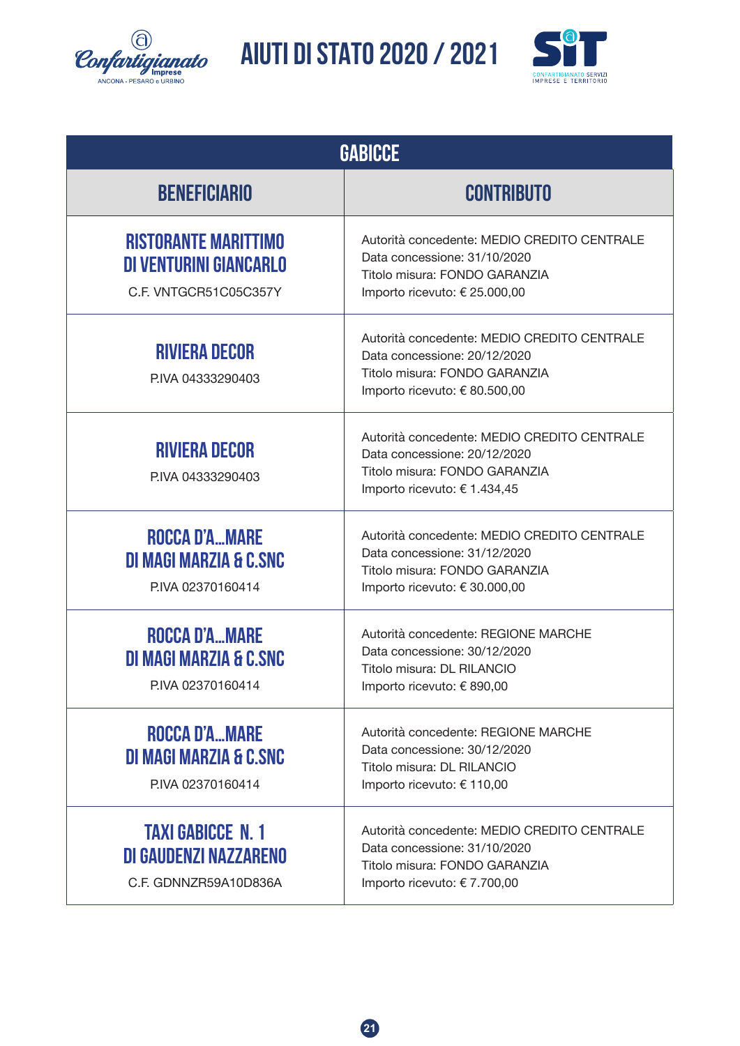![](_page_20_Picture_0.jpeg)

![](_page_20_Picture_2.jpeg)

| <b>GABICCE</b>                                                                 |                                                                                                                                               |  |
|--------------------------------------------------------------------------------|-----------------------------------------------------------------------------------------------------------------------------------------------|--|
| <b>BENEFICIARIO</b>                                                            | <b>CONTRIBUTO</b>                                                                                                                             |  |
| <b>RISTORANTE MARITTIMO</b><br>DI VENTURINI GIANCARLO<br>C.F. VNTGCR51C05C357Y | Autorità concedente: MEDIO CREDITO CENTRALE<br>Data concessione: 31/10/2020<br>Titolo misura: FONDO GARANZIA<br>Importo ricevuto: € 25.000,00 |  |
| <b>RIVIERA DECOR</b><br>P.IVA 04333290403                                      | Autorità concedente: MEDIO CREDITO CENTRALE<br>Data concessione: 20/12/2020<br>Titolo misura: FONDO GARANZIA<br>Importo ricevuto: € 80.500,00 |  |
| <b>RIVIERA DECOR</b><br>P.IVA 04333290403                                      | Autorità concedente: MEDIO CREDITO CENTRALE<br>Data concessione: 20/12/2020<br>Titolo misura: FONDO GARANZIA<br>Importo ricevuto: € 1.434,45  |  |
| <b>ROCCA D'AMARE</b><br>DI MAGI MARZIA & C.SNC<br>P.IVA 02370160414            | Autorità concedente: MEDIO CREDITO CENTRALE<br>Data concessione: 31/12/2020<br>Titolo misura: FONDO GARANZIA<br>Importo ricevuto: € 30.000,00 |  |
| <b>ROCCA D'AMARE</b><br>DI MAGI MARZIA & C.SNC<br>PIVA 02370160414             | Autorità concedente: REGIONE MARCHE<br>Data concessione: 30/12/2020<br>Titolo misura: DL RILANCIO<br>Importo ricevuto: € 890,00               |  |
| ROCCA D'AMARE<br>DI MAGI MARZIA & C.SNC<br>P.IVA 02370160414                   | Autorità concedente: REGIONE MARCHE<br>Data concessione: 30/12/2020<br>Titolo misura: DL RILANCIO<br>Importo ricevuto: € 110,00               |  |
| <b>TAXI GABICCE N. 1</b><br>DI GAUDENZI NAZZARENO<br>C.F. GDNNZR59A10D836A     | Autorità concedente: MEDIO CREDITO CENTRALE<br>Data concessione: 31/10/2020<br>Titolo misura: FONDO GARANZIA<br>Importo ricevuto: € 7.700,00  |  |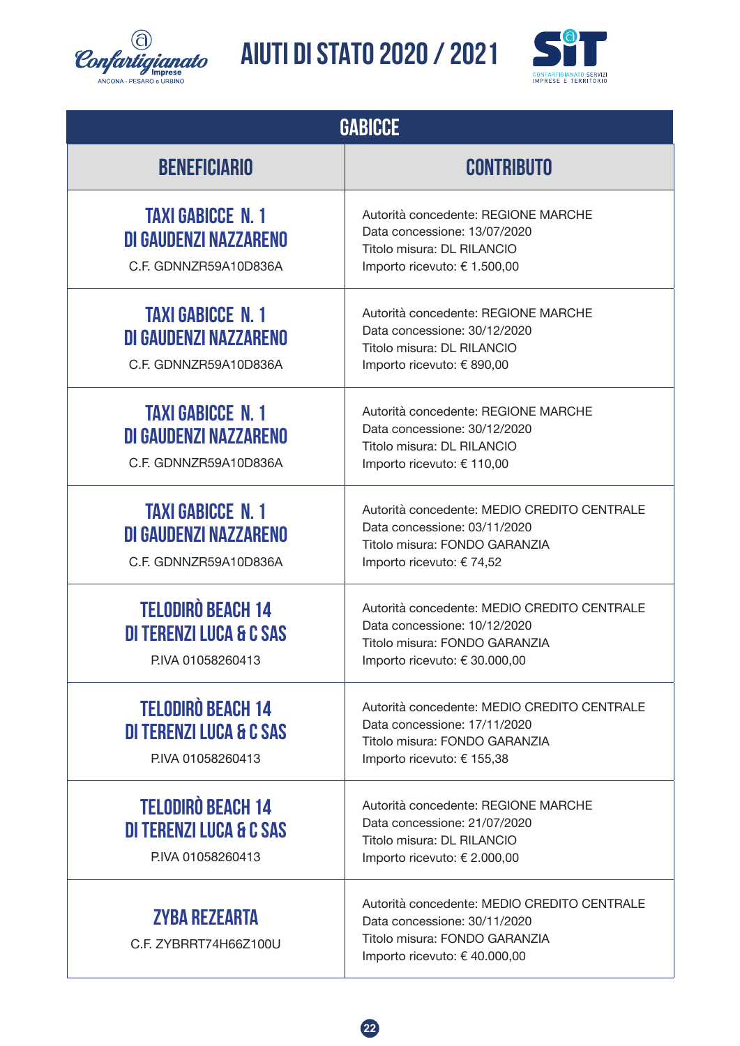![](_page_21_Picture_0.jpeg)

![](_page_21_Picture_2.jpeg)

| <b>GABICCE</b>                                                                     |                                                                                                                                               |  |
|------------------------------------------------------------------------------------|-----------------------------------------------------------------------------------------------------------------------------------------------|--|
| <b>BENEFICIARIO</b>                                                                | <b>CONTRIBUTO</b>                                                                                                                             |  |
| <b>TAXI GABICCE N. 1</b><br>DI GAUDENZI NAZZARENO<br>C.F. GDNNZR59A10D836A         | Autorità concedente: REGIONE MARCHE<br>Data concessione: 13/07/2020<br>Titolo misura: DL RILANCIO<br>Importo ricevuto: € 1.500,00             |  |
| <b>TAXI GABICCE N. 1</b><br>DI GAUDENZI NAZZARENO<br>C.F. GDNNZR59A10D836A         | Autorità concedente: REGIONE MARCHE<br>Data concessione: 30/12/2020<br>Titolo misura: DL RILANCIO<br>Importo ricevuto: € 890,00               |  |
| <b>TAXI GABICCE N. 1</b><br>DI GAUDENZI NAZZARENO<br>C.F. GDNNZR59A10D836A         | Autorità concedente: REGIONE MARCHE<br>Data concessione: 30/12/2020<br>Titolo misura: DL RILANCIO<br>Importo ricevuto: € 110,00               |  |
| <b>TAXI GABICCE N. 1</b><br>DI GAUDENZI NAZZARENO<br>C.F. GDNNZR59A10D836A         | Autorità concedente: MEDIO CREDITO CENTRALE<br>Data concessione: 03/11/2020<br>Titolo misura: FONDO GARANZIA<br>Importo ricevuto: € 74,52     |  |
| <b>TELODIRÒ BEACH 14</b><br><b>DI TERENZI LUCA &amp; C SAS</b><br>PIVA 01058260413 | Autorità concedente: MEDIO CREDITO CENTRALE<br>Data concessione: 10/12/2020<br>Titolo misura: FONDO GARANZIA<br>Importo ricevuto: € 30.000,00 |  |
| <b>TELODIRÒ BEACH 14</b><br><b>DI TERENZI LUCA &amp; C SAS</b><br>PIVA 01058260413 | Autorità concedente: MEDIO CREDITO CENTRALE<br>Data concessione: 17/11/2020<br>Titolo misura: FONDO GARANZIA<br>Importo ricevuto: € 155,38    |  |
| <b>TELODIRÒ BEACH 14</b><br><b>DI TERENZI LUCA &amp; C SAS</b><br>PIVA 01058260413 | Autorità concedente: REGIONE MARCHE<br>Data concessione: 21/07/2020<br>Titolo misura: DL RILANCIO<br>Importo ricevuto: € 2.000,00             |  |
| <b>ZYBA REZEARTA</b><br>C.F. ZYBRRT74H66Z100U                                      | Autorità concedente: MEDIO CREDITO CENTRALE<br>Data concessione: 30/11/2020<br>Titolo misura: FONDO GARANZIA<br>Importo ricevuto: € 40.000,00 |  |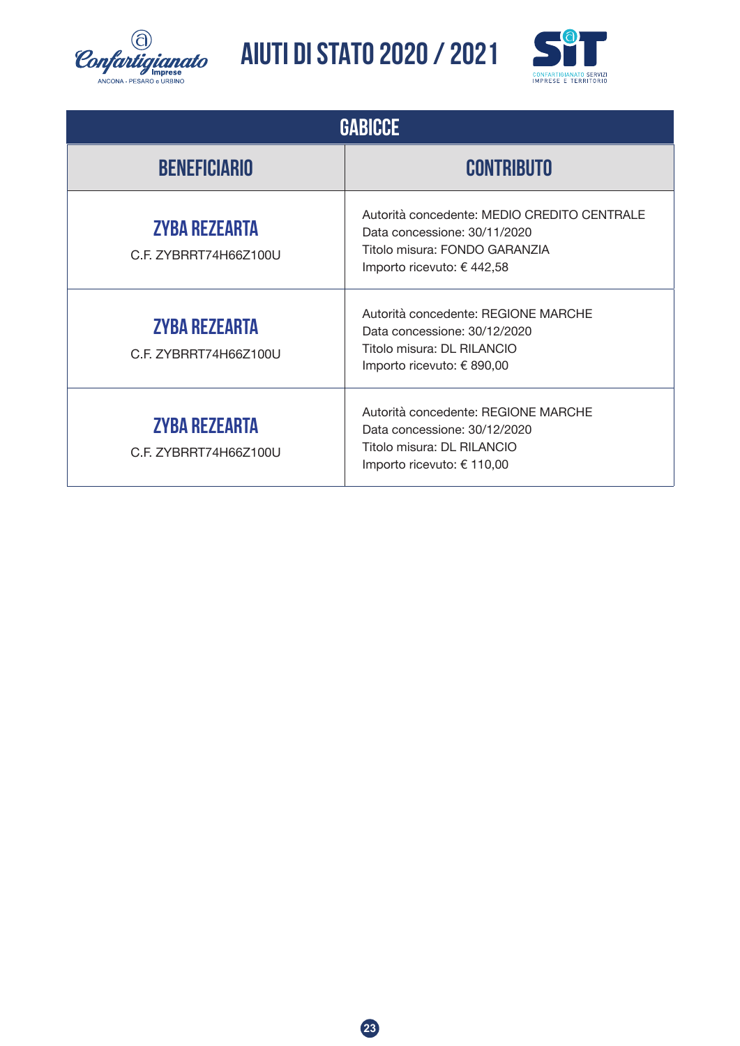![](_page_22_Picture_0.jpeg)

![](_page_22_Picture_2.jpeg)

| <b>GABICCE</b>                                |                                                                                                                                            |  |
|-----------------------------------------------|--------------------------------------------------------------------------------------------------------------------------------------------|--|
| <b>BENEFICIARIO</b>                           | <b>CONTRIBUTO</b>                                                                                                                          |  |
| <b>ZYBA REZEARTA</b><br>C.F. ZYBRRT74H66Z100U | Autorità concedente: MEDIO CREDITO CENTRALE<br>Data concessione: 30/11/2020<br>Titolo misura: FONDO GARANZIA<br>Importo ricevuto: € 442,58 |  |
| <b>ZYBA REZEARTA</b><br>C.F. ZYBRRT74H66Z100U | Autorità concedente: REGIONE MARCHE<br>Data concessione: 30/12/2020<br>Titolo misura: DL RILANCIO<br>Importo ricevuto: € 890,00            |  |
| <b>ZYBA REZEARTA</b><br>C.F. ZYBRRT74H66Z100U | Autorità concedente: REGIONE MARCHE<br>Data concessione: 30/12/2020<br>Titolo misura: DL RILANCIO<br>Importo ricevuto: € 110,00            |  |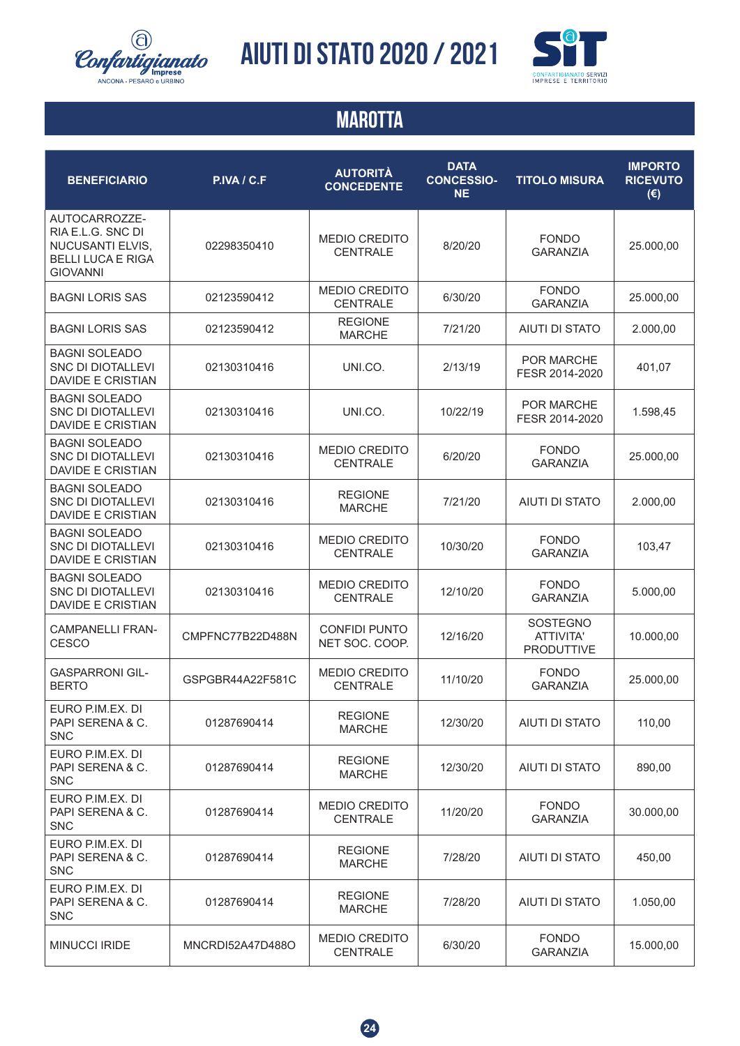![](_page_23_Picture_0.jpeg)

![](_page_23_Picture_2.jpeg)

#### **MAROTTA**

| <b>BENEFICIARIO</b>                                                                                   | P.IVA / C.F      | <b>AUTORITÀ</b><br><b>CONCEDENTE</b>    | <b>DATA</b><br><b>CONCESSIO-</b><br><b>NE</b> | <b>TITOLO MISURA</b>                                     | <b>IMPORTO</b><br><b>RICEVUTO</b><br>$(\epsilon)$ |
|-------------------------------------------------------------------------------------------------------|------------------|-----------------------------------------|-----------------------------------------------|----------------------------------------------------------|---------------------------------------------------|
| AUTOCARROZZE-<br>RIA E.L.G. SNC DI<br>NUCUSANTI ELVIS,<br><b>BELLI LUCA E RIGA</b><br><b>GIOVANNI</b> | 02298350410      | <b>MEDIO CREDITO</b><br><b>CENTRALE</b> | 8/20/20                                       | <b>FONDO</b><br><b>GARANZIA</b>                          | 25.000,00                                         |
| <b>BAGNI LORIS SAS</b>                                                                                | 02123590412      | <b>MEDIO CREDITO</b><br><b>CENTRALE</b> | 6/30/20                                       | <b>FONDO</b><br><b>GARANZIA</b>                          | 25.000,00                                         |
| <b>BAGNI LORIS SAS</b>                                                                                | 02123590412      | <b>REGIONE</b><br><b>MARCHE</b>         | 7/21/20                                       | AIUTI DI STATO                                           | 2.000,00                                          |
| <b>BAGNI SOLEADO</b><br>SNC DI DIOTALLEVI<br><b>DAVIDE E CRISTIAN</b>                                 | 02130310416      | UNI.CO.                                 | 2/13/19                                       | <b>POR MARCHE</b><br>FESR 2014-2020                      | 401,07                                            |
| <b>BAGNI SOLEADO</b><br>SNC DI DIOTALLEVI<br><b>DAVIDE E CRISTIAN</b>                                 | 02130310416      | UNI.CO.                                 | 10/22/19                                      | <b>POR MARCHE</b><br>FESR 2014-2020                      | 1.598,45                                          |
| <b>BAGNI SOLEADO</b><br><b>SNC DI DIOTALLEVI</b><br><b>DAVIDE E CRISTIAN</b>                          | 02130310416      | <b>MEDIO CREDITO</b><br><b>CENTRALE</b> | 6/20/20                                       | <b>FONDO</b><br><b>GARANZIA</b>                          | 25.000,00                                         |
| <b>BAGNI SOLEADO</b><br><b>SNC DI DIOTALLEVI</b><br><b>DAVIDE E CRISTIAN</b>                          | 02130310416      | <b>REGIONE</b><br><b>MARCHE</b>         | 7/21/20                                       | <b>AIUTI DI STATO</b>                                    | 2.000,00                                          |
| <b>BAGNI SOLEADO</b><br>SNC DI DIOTALLEVI<br><b>DAVIDE E CRISTIAN</b>                                 | 02130310416      | <b>MEDIO CREDITO</b><br><b>CENTRALE</b> | 10/30/20                                      | <b>FONDO</b><br><b>GARANZIA</b>                          | 103,47                                            |
| <b>BAGNI SOLEADO</b><br>SNC DI DIOTALLEVI<br><b>DAVIDE E CRISTIAN</b>                                 | 02130310416      | <b>MEDIO CREDITO</b><br>CENTRALE        | 12/10/20                                      | <b>FONDO</b><br><b>GARANZIA</b>                          | 5.000,00                                          |
| <b>CAMPANELLI FRAN-</b><br><b>CESCO</b>                                                               | CMPFNC77B22D488N | <b>CONFIDI PUNTO</b><br>NET SOC. COOP.  | 12/16/20                                      | <b>SOSTEGNO</b><br><b>ATTIVITA'</b><br><b>PRODUTTIVE</b> | 10.000,00                                         |
| <b>GASPARRONI GIL-</b><br><b>BERTO</b>                                                                | GSPGBR44A22F581C | MEDIO CREDITO<br><b>CENTRALE</b>        | 11/10/20                                      | <b>FONDO</b><br><b>GARANZIA</b>                          | 25.000,00                                         |
| EURO P.IM.EX. DI<br>PAPI SERENA & C.<br><b>SNC</b>                                                    | 01287690414      | <b>REGIONE</b><br><b>MARCHE</b>         | 12/30/20                                      | <b>AIUTI DI STATO</b>                                    | 110,00                                            |
| EURO P.IM.EX. DI<br>PAPI SERENA & C.<br><b>SNC</b>                                                    | 01287690414      | <b>REGIONE</b><br><b>MARCHE</b>         | 12/30/20                                      | AIUTI DI STATO                                           | 890,00                                            |
| EURO P.IM.EX. DI<br>PAPI SERENA & C.<br><b>SNC</b>                                                    | 01287690414      | <b>MEDIO CREDITO</b><br><b>CENTRALE</b> | 11/20/20                                      | <b>FONDO</b><br><b>GARANZIA</b>                          | 30.000,00                                         |
| EURO P.IM.EX. DI<br>PAPI SERENA & C.<br><b>SNC</b>                                                    | 01287690414      | <b>REGIONE</b><br><b>MARCHE</b>         | 7/28/20                                       | AIUTI DI STATO                                           | 450,00                                            |
| EURO P.IM.EX. DI<br>PAPI SERENA & C.<br><b>SNC</b>                                                    | 01287690414      | <b>REGIONE</b><br><b>MARCHE</b>         | 7/28/20                                       | AIUTI DI STATO                                           | 1.050,00                                          |
| <b>MINUCCI IRIDE</b>                                                                                  | MNCRDI52A47D488O | <b>MEDIO CREDITO</b><br>CENTRALE        | 6/30/20                                       | <b>FONDO</b><br><b>GARANZIA</b>                          | 15.000,00                                         |

![](_page_23_Picture_5.jpeg)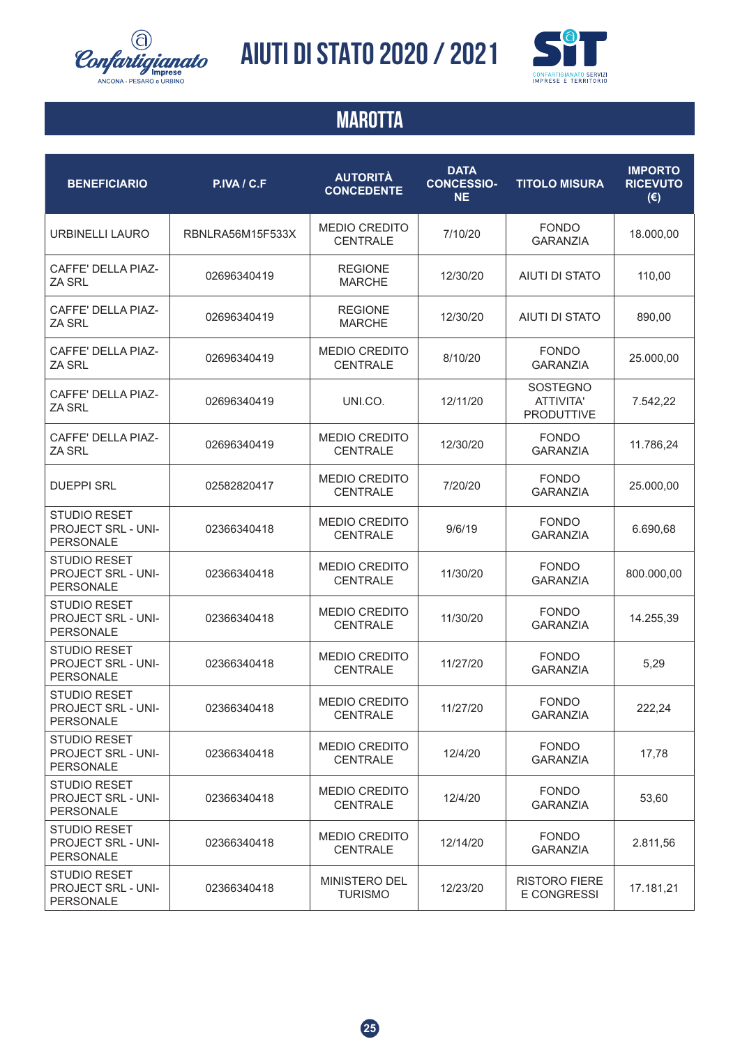![](_page_24_Picture_0.jpeg)

![](_page_24_Picture_2.jpeg)

#### **MAROTTA**

| <b>BENEFICIARIO</b>                                           | P.IVA / C.F      | <b>AUTORITÀ</b><br><b>CONCEDENTE</b>    | <b>DATA</b><br><b>CONCESSIO-</b><br><b>NE</b> | <b>TITOLO MISURA</b>                       | <b>IMPORTO</b><br><b>RICEVUTO</b><br>$(\epsilon)$ |
|---------------------------------------------------------------|------------------|-----------------------------------------|-----------------------------------------------|--------------------------------------------|---------------------------------------------------|
| URBINELLI LAURO                                               | RBNLRA56M15F533X | <b>MEDIO CREDITO</b><br><b>CENTRALE</b> | 7/10/20                                       | <b>FONDO</b><br><b>GARANZIA</b>            | 18.000,00                                         |
| CAFFE' DELLA PIAZ-<br><b>ZA SRL</b>                           | 02696340419      | <b>REGIONE</b><br><b>MARCHE</b>         | 12/30/20                                      | <b>AIUTI DI STATO</b>                      | 110,00                                            |
| <b>CAFFE' DELLA PIAZ-</b><br>ZA SRL                           | 02696340419      | <b>REGIONE</b><br><b>MARCHE</b>         | 12/30/20                                      | AIUTI DI STATO                             | 890,00                                            |
| <b>CAFFE' DELLA PIAZ-</b><br>ZA SRL                           | 02696340419      | <b>MEDIO CREDITO</b><br>CENTRALE        | 8/10/20                                       | <b>FONDO</b><br><b>GARANZIA</b>            | 25.000,00                                         |
| <b>CAFFE' DELLA PIAZ-</b><br><b>ZA SRL</b>                    | 02696340419      | UNI.CO.                                 | 12/11/20                                      | SOSTEGNO<br>ATTIVITA'<br><b>PRODUTTIVE</b> | 7.542,22                                          |
| <b>CAFFE' DELLA PIAZ-</b><br><b>ZA SRL</b>                    | 02696340419      | <b>MEDIO CREDITO</b><br><b>CENTRALE</b> | 12/30/20                                      | <b>FONDO</b><br><b>GARANZIA</b>            | 11.786,24                                         |
| <b>DUEPPI SRL</b>                                             | 02582820417      | <b>MEDIO CREDITO</b><br><b>CENTRALE</b> | 7/20/20                                       | <b>FONDO</b><br><b>GARANZIA</b>            | 25.000,00                                         |
| STUDIO RESET<br>PROJECT SRL - UNI-<br>PERSONALE               | 02366340418      | <b>MEDIO CREDITO</b><br><b>CENTRALE</b> | 9/6/19                                        | <b>FONDO</b><br><b>GARANZIA</b>            | 6.690,68                                          |
| <b>STUDIO RESET</b><br>PROJECT SRL - UNI-<br>PERSONALE        | 02366340418      | <b>MEDIO CREDITO</b><br><b>CENTRALE</b> | 11/30/20                                      | <b>FONDO</b><br><b>GARANZIA</b>            | 800.000,00                                        |
| <b>STUDIO RESET</b><br>PROJECT SRL - UNI-<br>PERSONALE        | 02366340418      | <b>MEDIO CREDITO</b><br><b>CENTRALE</b> | 11/30/20                                      | <b>FONDO</b><br><b>GARANZIA</b>            | 14.255,39                                         |
| <b>STUDIO RESET</b><br>PROJECT SRL - UNI-<br>PERSONALE        | 02366340418      | <b>MEDIO CREDITO</b><br><b>CENTRALE</b> | 11/27/20                                      | <b>FONDO</b><br><b>GARANZIA</b>            | 5,29                                              |
| <b>STUDIO RESET</b><br>PROJECT SRL - UNI-<br><b>PERSONALE</b> | 02366340418      | <b>MEDIO CREDITO</b><br><b>CENTRALE</b> | 11/27/20                                      | <b>FONDO</b><br><b>GARANZIA</b>            | 222,24                                            |
| <b>STUDIO RESET</b><br>PROJECT SRL - UNI-<br>PERSONALE        | 02366340418      | <b>MEDIO CREDITO</b><br><b>CENTRALE</b> | 12/4/20                                       | <b>FONDO</b><br><b>GARANZIA</b>            | 17,78                                             |
| <b>STUDIO RESET</b><br>PROJECT SRL - UNI-<br>PERSONALE        | 02366340418      | <b>MEDIO CREDITO</b><br><b>CENTRALE</b> | 12/4/20                                       | <b>FONDO</b><br><b>GARANZIA</b>            | 53,60                                             |
| <b>STUDIO RESET</b><br>PROJECT SRL - UNI-<br>PERSONALE        | 02366340418      | <b>MEDIO CREDITO</b><br><b>CENTRALE</b> | 12/14/20                                      | <b>FONDO</b><br><b>GARANZIA</b>            | 2.811,56                                          |
| <b>STUDIO RESET</b><br>PROJECT SRL - UNI-<br>PERSONALE        | 02366340418      | MINISTERO DEL<br><b>TURISMO</b>         | 12/23/20                                      | <b>RISTORO FIERE</b><br>E CONGRESSI        | 17.181,21                                         |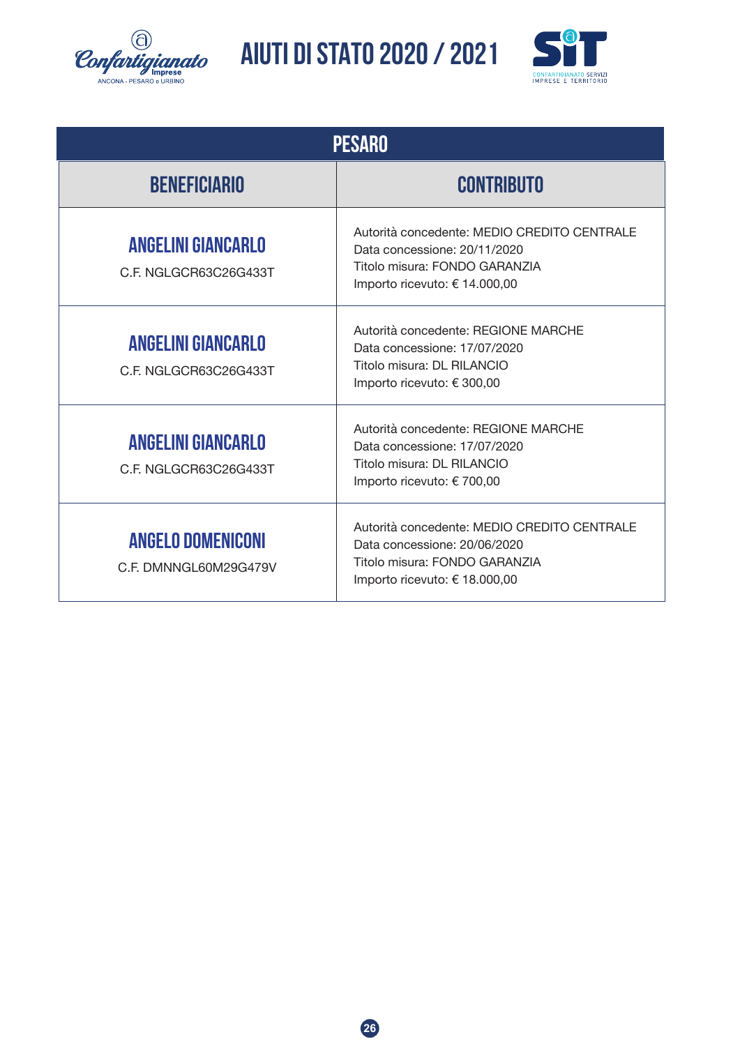![](_page_25_Picture_0.jpeg)

![](_page_25_Picture_2.jpeg)

| <b>PESARO</b>                                      |                                                                                                                                               |  |
|----------------------------------------------------|-----------------------------------------------------------------------------------------------------------------------------------------------|--|
| <b>BENEFICIARIO</b>                                | <b>CONTRIBUTO</b>                                                                                                                             |  |
| <b>ANGELINI GIANCARLO</b><br>C.F. NGLGCR63C26G433T | Autorità concedente: MEDIO CREDITO CENTRALE<br>Data concessione: 20/11/2020<br>Titolo misura: FONDO GARANZIA<br>Importo ricevuto: € 14.000,00 |  |
| <b>ANGELINI GIANCARLO</b><br>C.F. NGLGCR63C26G433T | Autorità concedente: REGIONE MARCHE<br>Data concessione: 17/07/2020<br>Titolo misura: DL RILANCIO<br>Importo ricevuto: € 300,00               |  |
| <b>ANGELINI GIANCARLO</b><br>C.F. NGLGCR63C26G433T | Autorità concedente: REGIONE MARCHE<br>Data concessione: 17/07/2020<br>Titolo misura: DL RILANCIO<br>Importo ricevuto: € 700,00               |  |
| <b>ANGELO DOMENICONI</b><br>C.F. DMNNGL60M29G479V  | Autorità concedente: MEDIO CREDITO CENTRALE<br>Data concessione: 20/06/2020<br>Titolo misura: FONDO GARANZIA<br>Importo ricevuto: € 18.000,00 |  |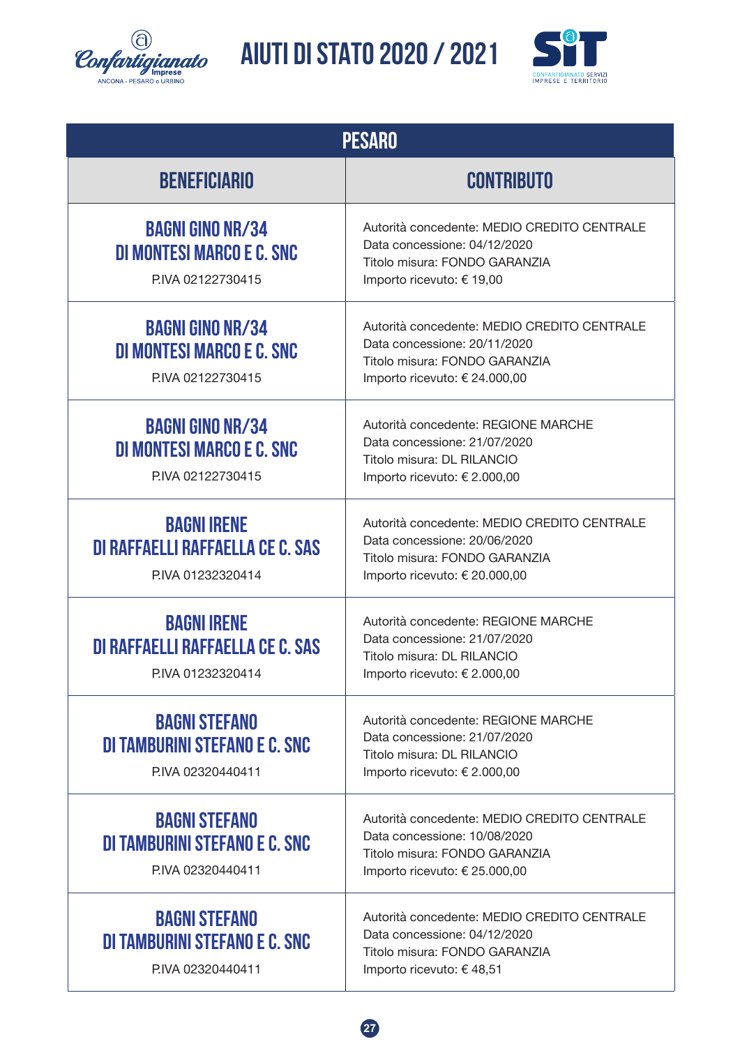![](_page_26_Picture_0.jpeg)

![](_page_26_Picture_2.jpeg)

| <b>PESARO</b>                                                                      |                                                                                                                                               |  |
|------------------------------------------------------------------------------------|-----------------------------------------------------------------------------------------------------------------------------------------------|--|
| <b>BENEFICIARIO</b>                                                                | <b>CONTRIBUTO</b>                                                                                                                             |  |
| <b>BAGNI GINO NR/34</b><br><b>DI MONTESI MARCO E C. SNC</b><br>P.IVA 02122730415   | Autorità concedente: MEDIO CREDITO CENTRALE<br>Data concessione: 04/12/2020<br>Titolo misura: FONDO GARANZIA<br>Importo ricevuto: € 19,00     |  |
| <b>BAGNI GINO NR/34</b><br>DI MONTESI MARCO E C. SNC<br>P.IVA 02122730415          | Autorità concedente: MEDIO CREDITO CENTRALE<br>Data concessione: 20/11/2020<br>Titolo misura: FONDO GARANZIA<br>Importo ricevuto: € 24.000,00 |  |
| <b>BAGNI GINO NR/34</b><br>DI MONTESI MARCO E C. SNC<br>P.IVA 02122730415          | Autorità concedente: REGIONE MARCHE<br>Data concessione: 21/07/2020<br>Titolo misura: DL RILANCIO<br>Importo ricevuto: € 2.000,00             |  |
| <b>BAGNI IRENE</b><br><b>DI RAFFAELLI RAFFAELLA CE C. SAS</b><br>P.IVA 01232320414 | Autorità concedente: MEDIO CREDITO CENTRALE<br>Data concessione: 20/06/2020<br>Titolo misura: FONDO GARANZIA<br>Importo ricevuto: € 20.000,00 |  |
| <b>BAGNI IRENE</b><br>DI RAFFAELLI RAFFAELLA CE C. SAS<br>P.IVA 01232320414        | Autorità concedente: REGIONE MARCHE<br>Data concessione: 21/07/2020<br>Titolo misura: DL RILANCIO<br>Importo ricevuto: € 2.000,00             |  |
| <b>BAGNI STEFANO</b><br>DI TAMBURINI STEFANO E C. SNC<br>P.IVA 02320440411         | Autorità concedente: REGIONE MARCHE<br>Data concessione: 21/07/2020<br>Titolo misura: DL RILANCIO<br>Importo ricevuto: € 2.000,00             |  |
| <b>BAGNI STEFANO</b><br>DI TAMBURINI STEFANO E C. SNC<br>P.IVA 02320440411         | Autorità concedente: MEDIO CREDITO CENTRALE<br>Data concessione: 10/08/2020<br>Titolo misura: FONDO GARANZIA<br>Importo ricevuto: € 25.000,00 |  |
| <b>BAGNI STEFANO</b><br>DI TAMBURINI STEFANO E C. SNC<br>P.IVA 02320440411         | Autorità concedente: MEDIO CREDITO CENTRALE<br>Data concessione: 04/12/2020<br>Titolo misura: FONDO GARANZIA<br>Importo ricevuto: € 48,51     |  |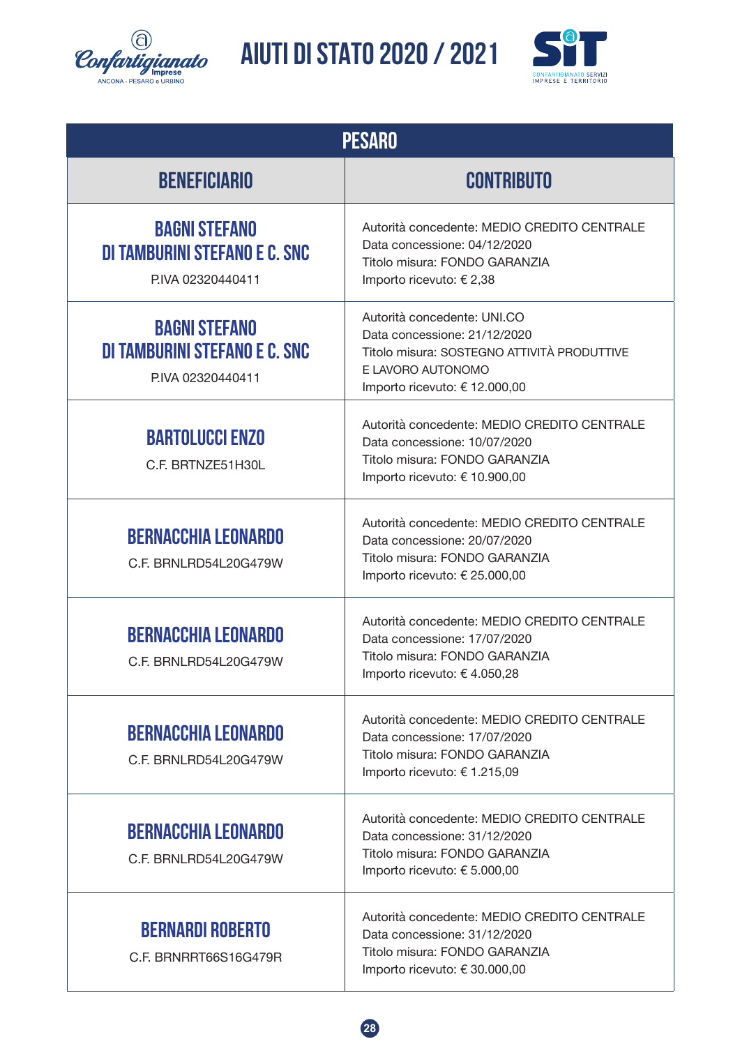![](_page_27_Picture_0.jpeg)

![](_page_27_Picture_2.jpeg)

| <b>PESARO</b>                                                              |                                                                                                                                                                  |  |
|----------------------------------------------------------------------------|------------------------------------------------------------------------------------------------------------------------------------------------------------------|--|
| <b>BENEFICIARIO</b>                                                        | <b>CONTRIBUTO</b>                                                                                                                                                |  |
| <b>BAGNI STEFANO</b><br>DI TAMBURINI STEFANO E C. SNC<br>P.IVA 02320440411 | Autorità concedente: MEDIO CREDITO CENTRALE<br>Data concessione: 04/12/2020<br>Titolo misura: FONDO GARANZIA<br>Importo ricevuto: € 2,38                         |  |
| <b>BAGNI STEFANO</b><br>DI TAMBURINI STEFANO E C. SNC<br>P.IVA 02320440411 | Autorità concedente: UNI.CO<br>Data concessione: 21/12/2020<br>Titolo misura: SOSTEGNO ATTIVITÀ PRODUTTIVE<br>E LAVORO AUTONOMO<br>Importo ricevuto: € 12.000,00 |  |
| <b>BARTOLUCCI ENZO</b><br>C.F. BRTNZE51H30L                                | Autorità concedente: MEDIO CREDITO CENTRALE<br>Data concessione: 10/07/2020<br>Titolo misura: FONDO GARANZIA<br>Importo ricevuto: € 10.900,00                    |  |
| <b>BERNACCHIA LEONARDO</b><br>C.F. BRNLRD54L20G479W                        | Autorità concedente: MEDIO CREDITO CENTRALE<br>Data concessione: 20/07/2020<br>Titolo misura: FONDO GARANZIA<br>Importo ricevuto: € 25.000,00                    |  |
| <b>BERNACCHIA LEONARDO</b><br>C.F. BRNLRD54L20G479W                        | Autorità concedente: MEDIO CREDITO CENTRALE<br>Data concessione: 17/07/2020<br>Titolo misura: FONDO GARANZIA<br>Importo ricevuto: €4.050,28                      |  |
| <b>BERNACCHIA LEONARDO</b><br>C.F. BRNLRD54L20G479W                        | Autorità concedente: MEDIO CREDITO CENTRALE<br>Data concessione: 17/07/2020<br>Titolo misura: FONDO GARANZIA<br>Importo ricevuto: € 1.215,09                     |  |
| <b>BERNACCHIA LEONARDO</b><br>C.F. BRNLRD54L20G479W                        | Autorità concedente: MEDIO CREDITO CENTRALE<br>Data concessione: 31/12/2020<br>Titolo misura: FONDO GARANZIA<br>Importo ricevuto: € 5.000,00                     |  |
| <b>BERNARDI ROBERTO</b><br>C.F. BRNRRT66S16G479R                           | Autorità concedente: MEDIO CREDITO CENTRALE<br>Data concessione: 31/12/2020<br>Titolo misura: FONDO GARANZIA<br>Importo ricevuto: € 30.000,00                    |  |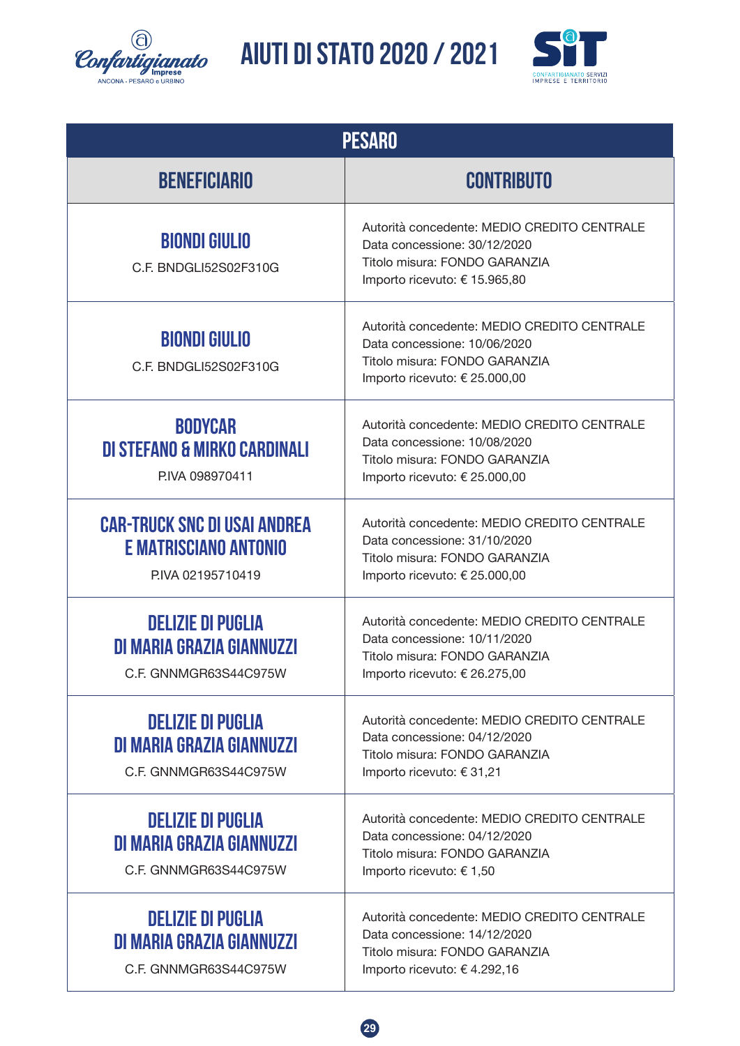![](_page_28_Picture_0.jpeg)

![](_page_28_Picture_2.jpeg)

| PESARO                                                                           |                                                                                                                                               |  |
|----------------------------------------------------------------------------------|-----------------------------------------------------------------------------------------------------------------------------------------------|--|
| <b>BENEFICIARIO</b>                                                              | <b>CONTRIBUTO</b>                                                                                                                             |  |
| <b>BIONDI GIULIO</b><br>C.F. BNDGLI52S02F310G                                    | Autorità concedente: MEDIO CREDITO CENTRALE<br>Data concessione: 30/12/2020<br>Titolo misura: FONDO GARANZIA<br>Importo ricevuto: € 15.965,80 |  |
| <b>BIONDI GIULIO</b><br>C.F. BNDGLI52S02F310G                                    | Autorità concedente: MEDIO CREDITO CENTRALE<br>Data concessione: 10/06/2020<br>Titolo misura: FONDO GARANZIA<br>Importo ricevuto: € 25.000,00 |  |
| <b>BODYCAR</b><br>DI STEFANO & MIRKO CARDINALI<br>P.IVA 098970411                | Autorità concedente: MEDIO CREDITO CENTRALE<br>Data concessione: 10/08/2020<br>Titolo misura: FONDO GARANZIA<br>Importo ricevuto: € 25.000,00 |  |
| <b>CAR-TRUCK SNC DI USAI ANDREA</b><br>E MATRISCIANO ANTONIO<br>PIVA 02195710419 | Autorità concedente: MEDIO CREDITO CENTRALE<br>Data concessione: 31/10/2020<br>Titolo misura: FONDO GARANZIA<br>Importo ricevuto: € 25.000,00 |  |
| <b>DELIZIE DI PUGLIA</b><br>DI MARIA GRAZIA GIANNUZZI<br>C.F. GNNMGR63S44C975W   | Autorità concedente: MEDIO CREDITO CENTRALE<br>Data concessione: 10/11/2020<br>Titolo misura: FONDO GARANZIA<br>Importo ricevuto: € 26.275,00 |  |
| <b>DELIZIE DI PUGLIA</b><br>DI MARIA GRAZIA GIANNUZZI<br>C.F. GNNMGR63S44C975W   | Autorità concedente: MEDIO CREDITO CENTRALE<br>Data concessione: 04/12/2020<br>Titolo misura: FONDO GARANZIA<br>Importo ricevuto: €31,21      |  |
| <b>DELIZIE DI PUGLIA</b><br>DI MARIA GRAZIA GIANNUZZI<br>C.F. GNNMGR63S44C975W   | Autorità concedente: MEDIO CREDITO CENTRALE<br>Data concessione: 04/12/2020<br>Titolo misura: FONDO GARANZIA<br>Importo ricevuto: € 1,50      |  |
| <b>DELIZIE DI PUGLIA</b><br>DI MARIA GRAZIA GIANNUZZI<br>C.F. GNNMGR63S44C975W   | Autorità concedente: MEDIO CREDITO CENTRALE<br>Data concessione: 14/12/2020<br>Titolo misura: FONDO GARANZIA<br>Importo ricevuto: € 4.292,16  |  |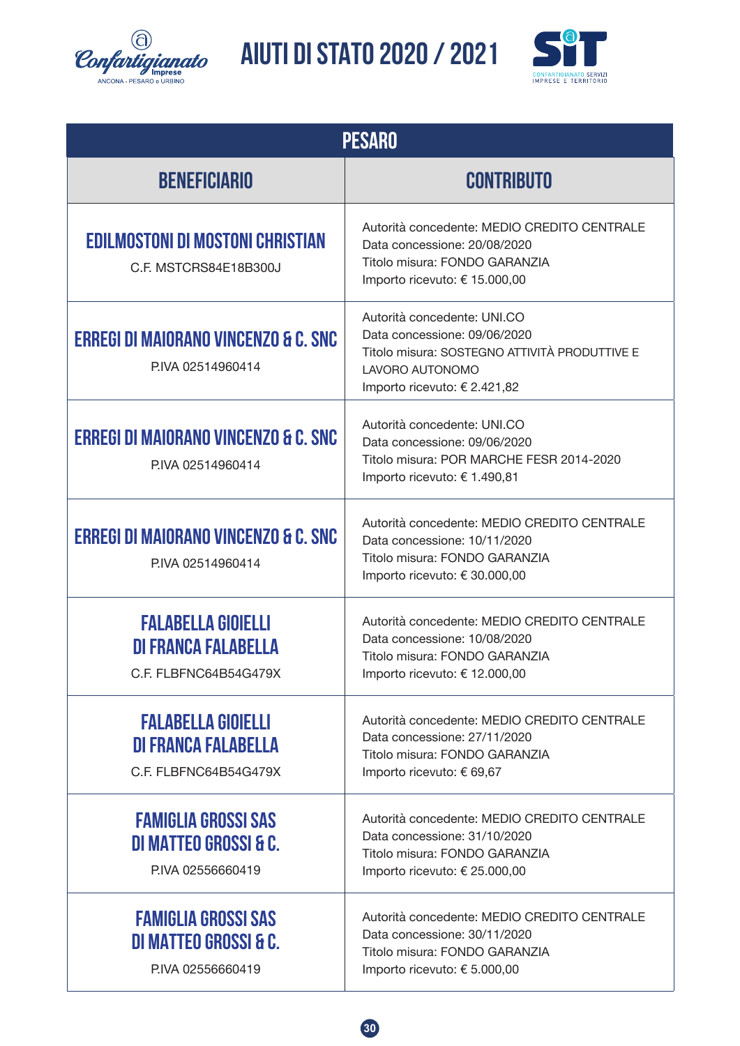![](_page_29_Picture_0.jpeg)

![](_page_29_Picture_2.jpeg)

| <b>PESARO</b>                                                                       |                                                                                                                                                                 |  |
|-------------------------------------------------------------------------------------|-----------------------------------------------------------------------------------------------------------------------------------------------------------------|--|
| <b>BENEFICIARIO</b>                                                                 | <b>CONTRIBUTO</b>                                                                                                                                               |  |
| <b>EDILMOSTONI DI MOSTONI CHRISTIAN</b><br>C.F. MSTCRS84E18B300J                    | Autorità concedente: MEDIO CREDITO CENTRALE<br>Data concessione: 20/08/2020<br>Titolo misura: FONDO GARANZIA<br>Importo ricevuto: € 15.000,00                   |  |
| <b>ERREGI DI MAIORANO VINCENZO &amp; C. SNC</b><br>PIVA 02514960414                 | Autorità concedente: UNI.CO<br>Data concessione: 09/06/2020<br>Titolo misura: SOSTEGNO ATTIVITÀ PRODUTTIVE E<br>LAVORO AUTONOMO<br>Importo ricevuto: € 2.421,82 |  |
| <b>ERREGI DI MAIORANO VINCENZO &amp; C. SNC</b><br>PIVA 02514960414                 | Autorità concedente: UNI.CO<br>Data concessione: 09/06/2020<br>Titolo misura: POR MARCHE FESR 2014-2020<br>Importo ricevuto: € 1.490,81                         |  |
| <b>ERREGI DI MAIORANO VINCENZO &amp; C. SNC</b><br>PIVA 02514960414                 | Autorità concedente: MEDIO CREDITO CENTRALE<br>Data concessione: 10/11/2020<br>Titolo misura: FONDO GARANZIA<br>Importo ricevuto: € 30.000,00                   |  |
| <b>FALABELLA GIOIELLI</b><br><b>DI FRANCA FALABELLA</b><br>C.F. FLBFNC64B54G479X    | Autorità concedente: MEDIO CREDITO CENTRALE<br>Data concessione: 10/08/2020<br>Titolo misura: FONDO GARANZIA<br>Importo ricevuto: € 12.000,00                   |  |
| <b>FALABELLA GIOIELLI</b><br><b>DI FRANCA FALABELLA</b><br>C.F. FLBFNC64B54G479X    | Autorità concedente: MEDIO CREDITO CENTRALE<br>Data concessione: 27/11/2020<br>Titolo misura: FONDO GARANZIA<br>Importo ricevuto: € 69,67                       |  |
| <b>FAMIGLIA GROSSI SAS</b><br><b>DI MATTEO GROSSI &amp; C.</b><br>P.IVA 02556660419 | Autorità concedente: MEDIO CREDITO CENTRALE<br>Data concessione: 31/10/2020<br>Titolo misura: FONDO GARANZIA<br>Importo ricevuto: € 25.000,00                   |  |
| <b>FAMIGLIA GROSSI SAS</b><br>DI MATTEO GROSSI & C.<br>P.IVA 02556660419            | Autorità concedente: MEDIO CREDITO CENTRALE<br>Data concessione: 30/11/2020<br>Titolo misura: FONDO GARANZIA<br>Importo ricevuto: € 5.000,00                    |  |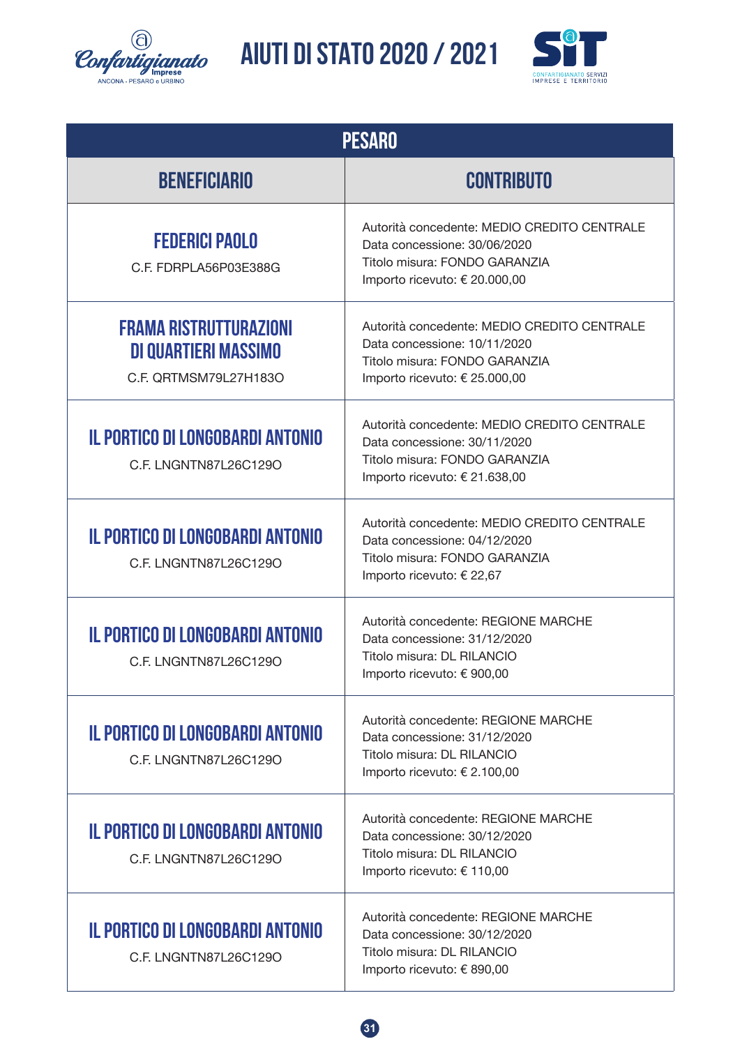![](_page_30_Picture_0.jpeg)

![](_page_30_Picture_2.jpeg)

| <b>PESARO</b>                                                                         |                                                                                                                                               |  |
|---------------------------------------------------------------------------------------|-----------------------------------------------------------------------------------------------------------------------------------------------|--|
| <b>BENEFICIARIO</b>                                                                   | <b>CONTRIBUTO</b>                                                                                                                             |  |
| <b>FEDERICI PAOLO</b><br>C.F. FDRPLA56P03E388G                                        | Autorità concedente: MEDIO CREDITO CENTRALE<br>Data concessione: 30/06/2020<br>Titolo misura: FONDO GARANZIA<br>Importo ricevuto: € 20.000,00 |  |
| <b>FRAMA RISTRUTTURAZIONI</b><br><b>DI QUARTIERI MASSIMO</b><br>C.F. QRTMSM79L27H183O | Autorità concedente: MEDIO CREDITO CENTRALE<br>Data concessione: 10/11/2020<br>Titolo misura: FONDO GARANZIA<br>Importo ricevuto: € 25.000,00 |  |
| <b>IL PORTICO DI LONGOBARDI ANTONIO</b><br>C.F. LNGNTN87L26C129O                      | Autorità concedente: MEDIO CREDITO CENTRALE<br>Data concessione: 30/11/2020<br>Titolo misura: FONDO GARANZIA<br>Importo ricevuto: € 21.638,00 |  |
| <b>IL PORTICO DI LONGOBARDI ANTONIO</b><br>C.F. LNGNTN87L26C129O                      | Autorità concedente: MEDIO CREDITO CENTRALE<br>Data concessione: 04/12/2020<br>Titolo misura: FONDO GARANZIA<br>Importo ricevuto: € 22,67     |  |
| <b>IL PORTICO DI LONGOBARDI ANTONIO</b><br>C.F. LNGNTN87L26C129O                      | Autorità concedente: REGIONE MARCHE<br>Data concessione: 31/12/2020<br>Titolo misura: DL RILANCIO<br>Importo ricevuto: € 900,00               |  |
| <b>IL PORTICO DI LONGOBARDI ANTONIO</b><br>C.F. LNGNTN87L26C129O                      | Autorità concedente: REGIONE MARCHE<br>Data concessione: 31/12/2020<br>Titolo misura: DL RILANCIO<br>Importo ricevuto: € 2.100,00             |  |
| IL PORTICO DI LONGOBARDI ANTONIO<br>C.F. LNGNTN87L26C129O                             | Autorità concedente: REGIONE MARCHE<br>Data concessione: 30/12/2020<br>Titolo misura: DL RILANCIO<br>Importo ricevuto: € 110,00               |  |
| IL PORTICO DI LONGOBARDI ANTONIO<br>C.F. LNGNTN87L26C129O                             | Autorità concedente: REGIONE MARCHE<br>Data concessione: 30/12/2020<br>Titolo misura: DL RILANCIO<br>Importo ricevuto: € 890,00               |  |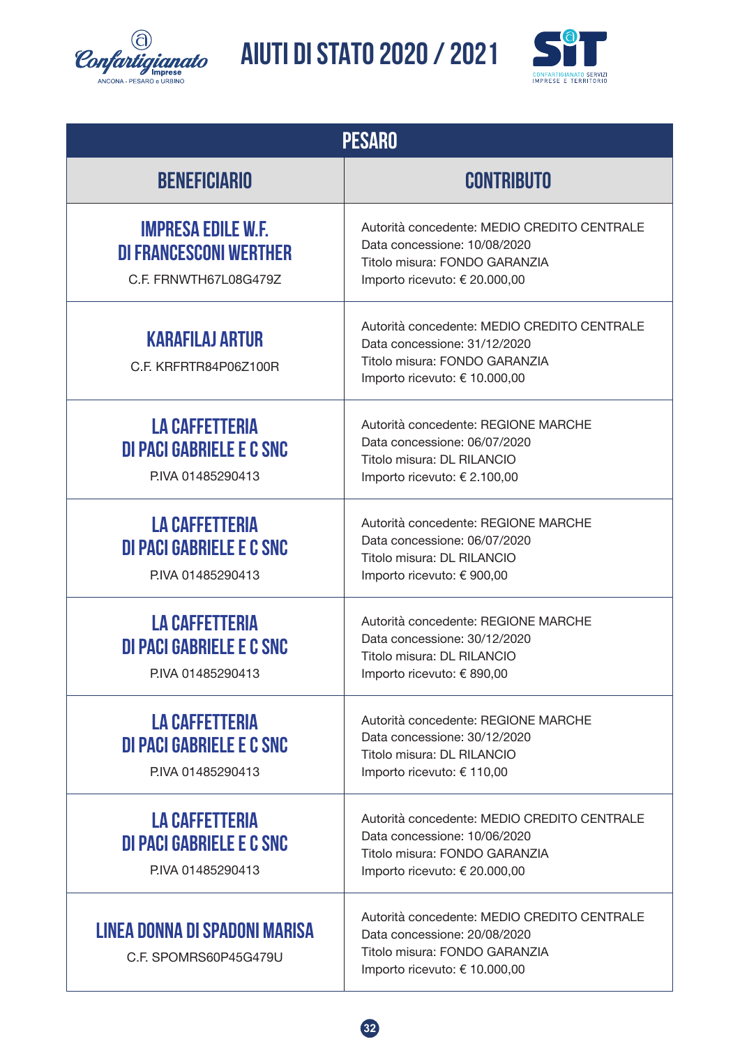![](_page_31_Picture_0.jpeg)

![](_page_31_Picture_2.jpeg)

| <b>PESARO</b>                                                                       |                                                                                                                                               |  |
|-------------------------------------------------------------------------------------|-----------------------------------------------------------------------------------------------------------------------------------------------|--|
| <b>BENEFICIARIO</b>                                                                 | <b>CONTRIBUTO</b>                                                                                                                             |  |
| <b>IMPRESA EDILE W.F.</b><br><b>DI FRANCESCONI WERTHER</b><br>C.F. FRNWTH67L08G479Z | Autorità concedente: MEDIO CREDITO CENTRALE<br>Data concessione: 10/08/2020<br>Titolo misura: FONDO GARANZIA<br>Importo ricevuto: € 20.000,00 |  |
| <b>KARAFILAJ ARTUR</b><br>C.F. KRFRTR84P06Z100R                                     | Autorità concedente: MEDIO CREDITO CENTRALE<br>Data concessione: 31/12/2020<br>Titolo misura: FONDO GARANZIA<br>Importo ricevuto: € 10.000,00 |  |
| <b>LA CAFFETTERIA</b><br>DI PACI GABRIELE E C SNC<br>P.IVA 01485290413              | Autorità concedente: REGIONE MARCHE<br>Data concessione: 06/07/2020<br>Titolo misura: DL RILANCIO<br>Importo ricevuto: € 2.100,00             |  |
| <b>LA CAFFETTERIA</b><br><b>DI PACI GABRIELE E C SNC</b><br>P.IVA 01485290413       | Autorità concedente: REGIONE MARCHE<br>Data concessione: 06/07/2020<br>Titolo misura: DL RILANCIO<br>Importo ricevuto: € 900,00               |  |
| <b>LA CAFFETTERIA</b><br>DI PACI GABRIELE E C SNC<br>P.IVA 01485290413              | Autorità concedente: REGIONE MARCHE<br>Data concessione: 30/12/2020<br>Titolo misura: DL RILANCIO<br>Importo ricevuto: € 890,00               |  |
| <b>LA CAFFETTERIA</b><br>DI PACI GABRIELE E C SNC<br>P.IVA 01485290413              | Autorità concedente: REGIONE MARCHE<br>Data concessione: 30/12/2020<br>Titolo misura: DL RILANCIO<br>Importo ricevuto: € 110,00               |  |
| <b>LA CAFFETTERIA</b><br>DI PACI GABRIELE E C SNC<br>P.IVA 01485290413              | Autorità concedente: MEDIO CREDITO CENTRALE<br>Data concessione: 10/06/2020<br>Titolo misura: FONDO GARANZIA<br>Importo ricevuto: € 20.000,00 |  |
| LINEA DONNA DI SPADONI MARISA<br>C.F. SPOMRS60P45G479U                              | Autorità concedente: MEDIO CREDITO CENTRALE<br>Data concessione: 20/08/2020<br>Titolo misura: FONDO GARANZIA<br>Importo ricevuto: € 10.000,00 |  |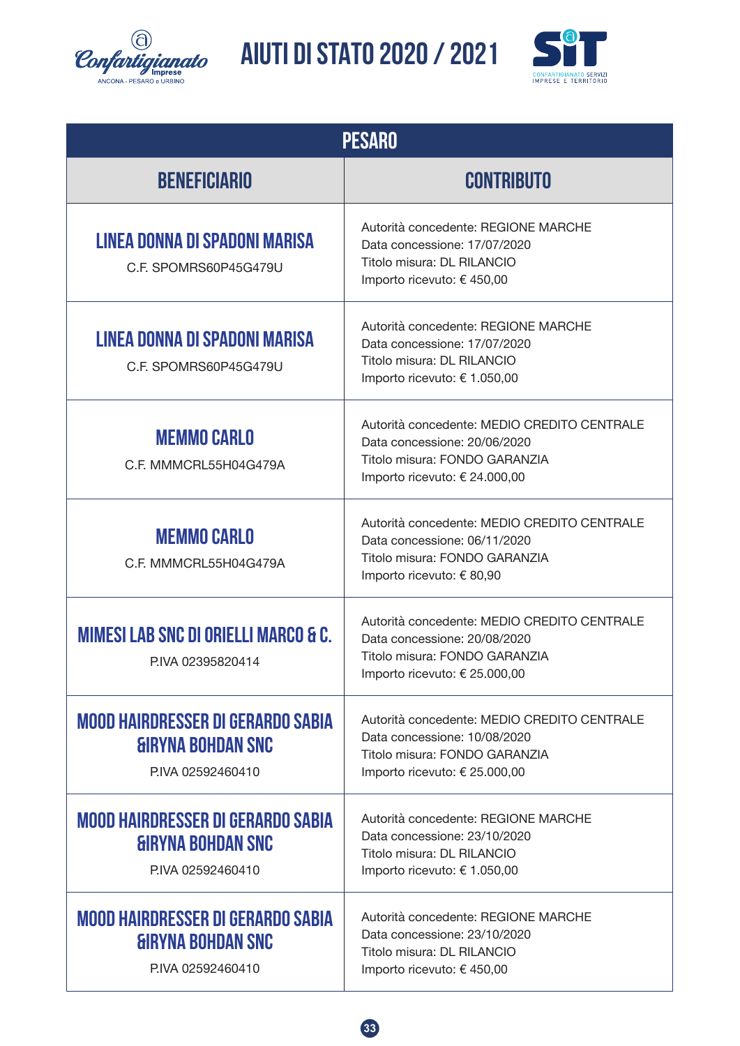![](_page_32_Picture_0.jpeg)

![](_page_32_Picture_2.jpeg)

| <b>PESARO</b>                                                                                    |                                                                                                                                               |  |
|--------------------------------------------------------------------------------------------------|-----------------------------------------------------------------------------------------------------------------------------------------------|--|
| <b>BENEFICIARIO</b>                                                                              | <b>CONTRIBUTO</b>                                                                                                                             |  |
| LINEA DONNA DI SPADONI MARISA<br>C.F. SPOMRS60P45G479U                                           | Autorità concedente: REGIONE MARCHE<br>Data concessione: 17/07/2020<br>Titolo misura: DL RILANCIO<br>Importo ricevuto: € 450,00               |  |
| LINEA DONNA DI SPADONI MARISA<br>C.F. SPOMRS60P45G479U                                           | Autorità concedente: REGIONE MARCHE<br>Data concessione: 17/07/2020<br>Titolo misura: DL RILANCIO<br>Importo ricevuto: € 1.050,00             |  |
| <b>MEMMO CARLO</b><br>C.F. MMMCRL55H04G479A                                                      | Autorità concedente: MEDIO CREDITO CENTRALE<br>Data concessione: 20/06/2020<br>Titolo misura: FONDO GARANZIA<br>Importo ricevuto: € 24.000,00 |  |
| <b>MEMMO CARLO</b><br>C.F. MMMCRL55H04G479A                                                      | Autorità concedente: MEDIO CREDITO CENTRALE<br>Data concessione: 06/11/2020<br>Titolo misura: FONDO GARANZIA<br>Importo ricevuto: € 80,90     |  |
| <b>MIMESI LAB SNC DI ORIELLI MARCO &amp; C.</b><br>PIVA 02395820414                              | Autorità concedente: MEDIO CREDITO CENTRALE<br>Data concessione: 20/08/2020<br>Titolo misura: FONDO GARANZIA<br>Importo ricevuto: € 25.000,00 |  |
| <b>MOOD HAIRDRESSER DI GERARDO SABIA</b><br><b>GIRYNA BOHDAN SNC</b><br>P.IVA 02592460410        | Autorità concedente: MEDIO CREDITO CENTRALE<br>Data concessione: 10/08/2020<br>Titolo misura: FONDO GARANZIA<br>Importo ricevuto: € 25.000,00 |  |
| <b>MOOD HAIRDRESSER DI GERARDO SABIA</b><br><b><i>GIRYNA BOHDAN SNC</i></b><br>P.IVA 02592460410 | Autorità concedente: REGIONE MARCHE<br>Data concessione: 23/10/2020<br>Titolo misura: DL RILANCIO<br>Importo ricevuto: € 1.050,00             |  |
| <b>MOOD HAIRDRESSER DI GERARDO SABIA</b><br><b>GIRYNA BOHDAN SNC</b><br>P.IVA 02592460410        | Autorità concedente: REGIONE MARCHE<br>Data concessione: 23/10/2020<br>Titolo misura: DL RILANCIO<br>Importo ricevuto: € 450,00               |  |

![](_page_32_Picture_4.jpeg)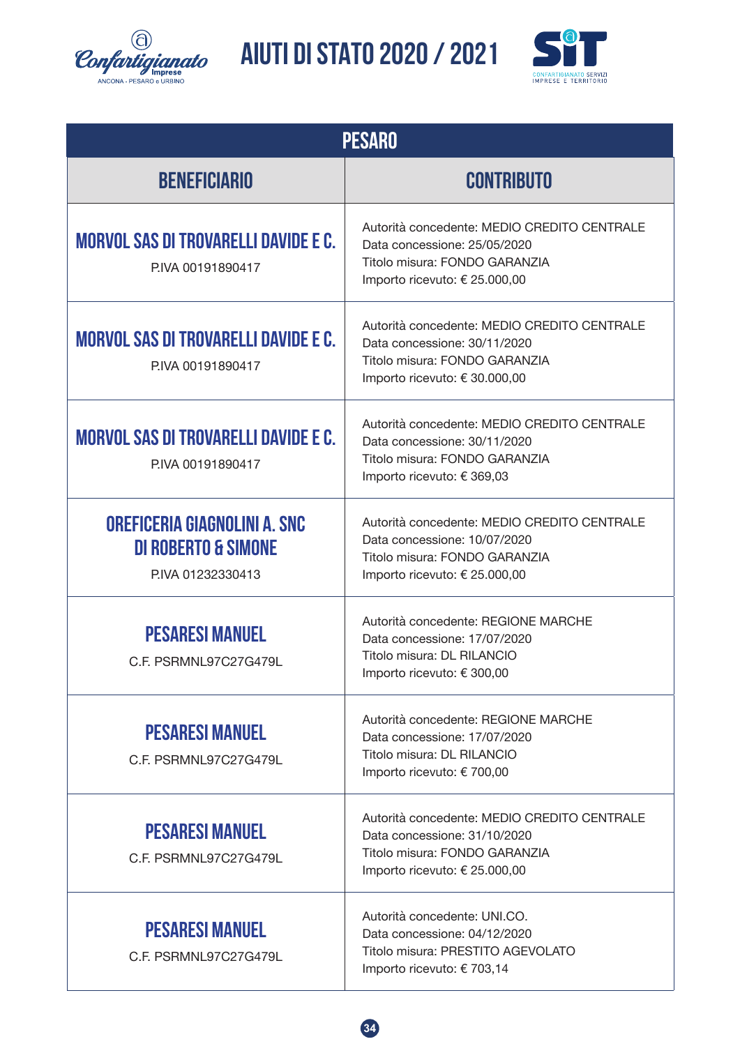![](_page_33_Picture_0.jpeg)

![](_page_33_Picture_2.jpeg)

| <b>PESARO</b>                                                                      |                                                                                                                                               |  |
|------------------------------------------------------------------------------------|-----------------------------------------------------------------------------------------------------------------------------------------------|--|
| <b>BENEFICIARIO</b>                                                                | <b>CONTRIBUTO</b>                                                                                                                             |  |
| <b>MORVOL SAS DI TROVARELLI DAVIDE E C.</b><br>PIVA 00191890417                    | Autorità concedente: MEDIO CREDITO CENTRALE<br>Data concessione: 25/05/2020<br>Titolo misura: FONDO GARANZIA<br>Importo ricevuto: € 25.000,00 |  |
| <b>MORVOL SAS DI TROVARELLI DAVIDE E C.</b><br>PIVA 00191890417                    | Autorità concedente: MEDIO CREDITO CENTRALE<br>Data concessione: 30/11/2020<br>Titolo misura: FONDO GARANZIA<br>Importo ricevuto: € 30.000,00 |  |
| <b>MORVOL SAS DI TROVARELLI DAVIDE E C.</b><br>PIVA 00191890417                    | Autorità concedente: MEDIO CREDITO CENTRALE<br>Data concessione: 30/11/2020<br>Titolo misura: FONDO GARANZIA<br>Importo ricevuto: € 369,03    |  |
| OREFICERIA GIAGNOLINI A. SNC<br><b>DI ROBERTO &amp; SIMONE</b><br>PIVA 01232330413 | Autorità concedente: MEDIO CREDITO CENTRALE<br>Data concessione: 10/07/2020<br>Titolo misura: FONDO GARANZIA<br>Importo ricevuto: € 25.000,00 |  |
| <b>PESARESI MANUEL</b><br>C.F. PSRMNL97C27G479L                                    | Autorità concedente: REGIONE MARCHE<br>Data concessione: 17/07/2020<br>Titolo misura: DL RILANCIO<br>Importo ricevuto: € 300,00               |  |
| <b>PESARESI MANUEL</b><br>C.F. PSRMNL97C27G479L                                    | Autorità concedente: REGIONE MARCHE<br>Data concessione: 17/07/2020<br>Titolo misura: DL RILANCIO<br>Importo ricevuto: € 700,00               |  |
| <b>PESARESI MANUEL</b><br>C.F. PSRMNL97C27G479L                                    | Autorità concedente: MEDIO CREDITO CENTRALE<br>Data concessione: 31/10/2020<br>Titolo misura: FONDO GARANZIA<br>Importo ricevuto: € 25.000,00 |  |
| <b>PESARESI MANUEL</b><br>C.F. PSRMNL97C27G479L                                    | Autorità concedente: UNI.CO.<br>Data concessione: 04/12/2020<br>Titolo misura: PRESTITO AGEVOLATO<br>Importo ricevuto: € 703,14               |  |

![](_page_33_Picture_4.jpeg)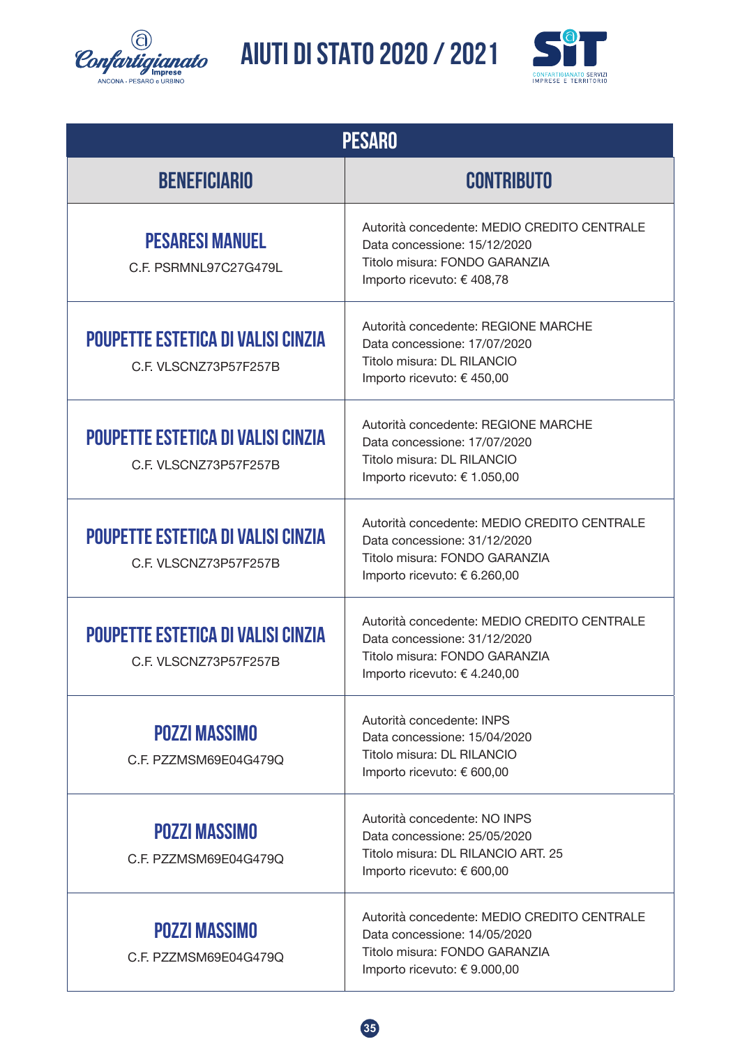![](_page_34_Picture_0.jpeg)

![](_page_34_Picture_2.jpeg)

| <b>PESARO</b>                                                      |                                                                                                                                              |  |  |  |
|--------------------------------------------------------------------|----------------------------------------------------------------------------------------------------------------------------------------------|--|--|--|
| <b>BENEFICIARIO</b>                                                | <b>CONTRIBUTO</b>                                                                                                                            |  |  |  |
| <b>PESARESI MANUEL</b><br>C.F. PSRMNL97C27G479L                    | Autorità concedente: MEDIO CREDITO CENTRALE<br>Data concessione: 15/12/2020<br>Titolo misura: FONDO GARANZIA<br>Importo ricevuto: € 408,78   |  |  |  |
| <b>POUPETTE ESTETICA DI VALISI CINZIA</b><br>C.F. VLSCNZ73P57F257B | Autorità concedente: REGIONE MARCHE<br>Data concessione: 17/07/2020<br>Titolo misura: DL RILANCIO<br>Importo ricevuto: € 450,00              |  |  |  |
| <b>POUPETTE ESTETICA DI VALISI CINZIA</b><br>C.F. VLSCNZ73P57F257B | Autorità concedente: REGIONE MARCHE<br>Data concessione: 17/07/2020<br>Titolo misura: DL RILANCIO<br>Importo ricevuto: € 1.050,00            |  |  |  |
| <b>POUPETTE ESTETICA DI VALISI CINZIA</b><br>C.F. VLSCNZ73P57F257B | Autorità concedente: MEDIO CREDITO CENTRALE<br>Data concessione: 31/12/2020<br>Titolo misura: FONDO GARANZIA<br>Importo ricevuto: € 6.260,00 |  |  |  |
| <b>POUPETTE ESTETICA DI VALISI CINZIA</b><br>C.F. VLSCNZ73P57F257B | Autorità concedente: MEDIO CREDITO CENTRALE<br>Data concessione: 31/12/2020<br>Titolo misura: FONDO GARANZIA<br>Importo ricevuto: € 4.240,00 |  |  |  |
| <b>POZZI MASSIMO</b><br>C.F. PZZMSM69E04G479Q                      | Autorità concedente: INPS<br>Data concessione: 15/04/2020<br>Titolo misura: DL RILANCIO<br>Importo ricevuto: € 600,00                        |  |  |  |
| <b>POZZI MASSIMO</b><br>C.F. PZZMSM69E04G479Q                      | Autorità concedente: NO INPS<br>Data concessione: 25/05/2020<br>Titolo misura: DL RILANCIO ART. 25<br>Importo ricevuto: € 600,00             |  |  |  |
| <b>POZZI MASSIMO</b><br>C.F. PZZMSM69E04G479Q                      | Autorità concedente: MEDIO CREDITO CENTRALE<br>Data concessione: 14/05/2020<br>Titolo misura: FONDO GARANZIA<br>Importo ricevuto: € 9.000,00 |  |  |  |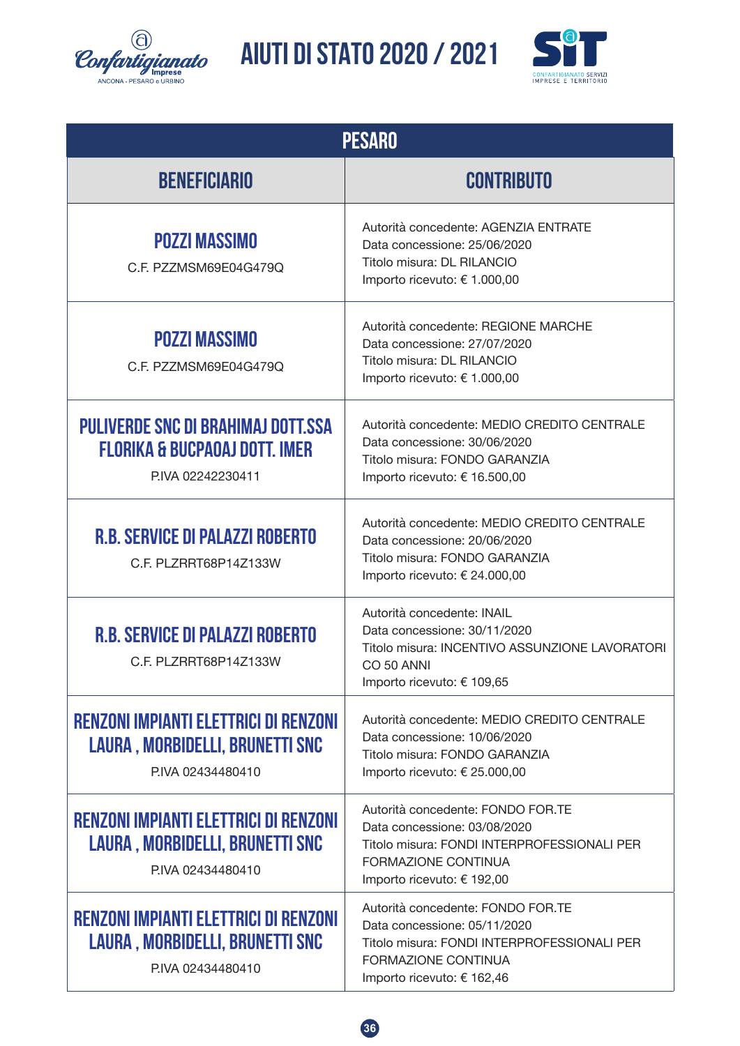![](_page_35_Picture_0.jpeg)

![](_page_35_Picture_2.jpeg)

| <b>PESARO</b>                                                                                       |                                                                                                                                                                       |  |  |  |
|-----------------------------------------------------------------------------------------------------|-----------------------------------------------------------------------------------------------------------------------------------------------------------------------|--|--|--|
| <b>BENEFICIARIO</b>                                                                                 | <b>CONTRIBUTO</b>                                                                                                                                                     |  |  |  |
| <b>POZZI MASSIMO</b><br>C.F. PZZMSM69E04G479Q                                                       | Autorità concedente: AGENZIA ENTRATE<br>Data concessione: 25/06/2020<br>Titolo misura: DL RILANCIO<br>Importo ricevuto: € 1.000,00                                    |  |  |  |
| <b>POZZI MASSIMO</b><br>C.F. PZZMSM69E04G479Q                                                       | Autorità concedente: REGIONE MARCHE<br>Data concessione: 27/07/2020<br>Titolo misura: DL RILANCIO<br>Importo ricevuto: € 1.000,00                                     |  |  |  |
| PULIVERDE SNC DI BRAHIMAJ DOTT.SSA<br><b>FLORIKA &amp; BUCPAOAJ DOTT, IMER</b><br>PIVA 02242230411  | Autorità concedente: MEDIO CREDITO CENTRALE<br>Data concessione: 30/06/2020<br>Titolo misura: FONDO GARANZIA<br>Importo ricevuto: € 16.500,00                         |  |  |  |
| <b>R.B. SERVICE DI PALAZZI ROBERTO</b><br>C.F. PLZRRT68P14Z133W                                     | Autorità concedente: MEDIO CREDITO CENTRALE<br>Data concessione: 20/06/2020<br>Titolo misura: FONDO GARANZIA<br>Importo ricevuto: € 24.000,00                         |  |  |  |
| <b>R.B. SERVICE DI PALAZZI ROBERTO</b><br>C.F. PLZRRT68P14Z133W                                     | Autorità concedente: INAIL<br>Data concessione: 30/11/2020<br>Titolo misura: INCENTIVO ASSUNZIONE LAVORATORI<br>CO 50 ANNI<br>Importo ricevuto: € 109,65              |  |  |  |
| RENZONI IMPIANTI ELETTRICI DI RENZONI<br>LAURA, MORBIDELLI, BRUNETTI SNC<br>PIVA 02434480410        | Autorità concedente: MEDIO CREDITO CENTRALE<br>Data concessione: 10/06/2020<br>Titolo misura: FONDO GARANZIA<br>Importo ricevuto: € 25.000,00                         |  |  |  |
| RENZONI IMPIANTI ELETTRICI DI RENZONI<br>LAURA, MORBIDELLI, BRUNETTI SNC<br>PIVA 02434480410        | Autorità concedente: FONDO FOR.TE<br>Data concessione: 03/08/2020<br>Titolo misura: FONDI INTERPROFESSIONALI PER<br>FORMAZIONE CONTINUA<br>Importo ricevuto: € 192,00 |  |  |  |
| <b>RENZONI IMPIANTI ELETTRICI DI RENZONI</b><br>LAURA, MORBIDELLI, BRUNETTI SNC<br>PIVA 02434480410 | Autorità concedente: FONDO FOR.TE<br>Data concessione: 05/11/2020<br>Titolo misura: FONDI INTERPROFESSIONALI PER<br>FORMAZIONE CONTINUA<br>Importo ricevuto: € 162,46 |  |  |  |

![](_page_35_Picture_4.jpeg)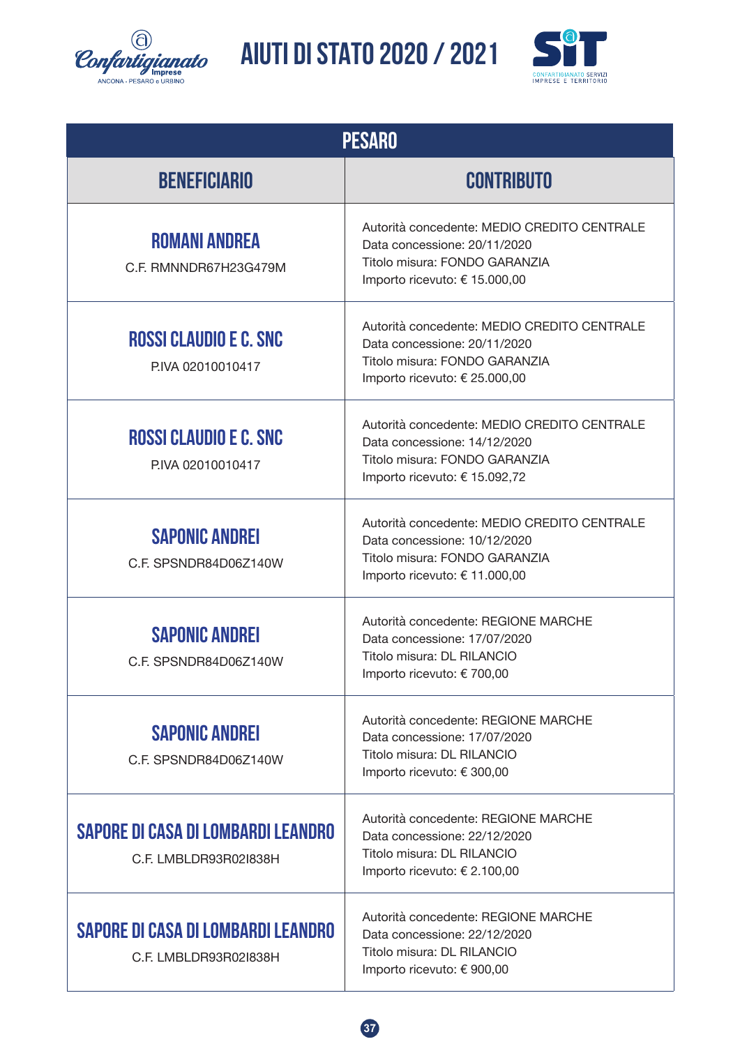![](_page_36_Picture_0.jpeg)

![](_page_36_Picture_2.jpeg)

| <b>PESARO</b>                                               |                                                                                                                                               |  |  |  |
|-------------------------------------------------------------|-----------------------------------------------------------------------------------------------------------------------------------------------|--|--|--|
| <b>BENEFICIARIO</b>                                         | <b>CONTRIBUTO</b>                                                                                                                             |  |  |  |
| <b>ROMANI ANDREA</b><br>C.F. RMNNDR67H23G479M               | Autorità concedente: MEDIO CREDITO CENTRALE<br>Data concessione: 20/11/2020<br>Titolo misura: FONDO GARANZIA<br>Importo ricevuto: € 15.000,00 |  |  |  |
| <b>ROSSI CLAUDIO E C. SNC</b><br>PIVA 02010010417           | Autorità concedente: MEDIO CREDITO CENTRALE<br>Data concessione: 20/11/2020<br>Titolo misura: FONDO GARANZIA<br>Importo ricevuto: € 25.000,00 |  |  |  |
| <b>ROSSI CLAUDIO E C. SNC</b><br>PIVA 02010010417           | Autorità concedente: MEDIO CREDITO CENTRALE<br>Data concessione: 14/12/2020<br>Titolo misura: FONDO GARANZIA<br>Importo ricevuto: € 15.092,72 |  |  |  |
| <b>SAPONIC ANDREI</b><br>C.F. SPSNDR84D06Z140W              | Autorità concedente: MEDIO CREDITO CENTRALE<br>Data concessione: 10/12/2020<br>Titolo misura: FONDO GARANZIA<br>Importo ricevuto: € 11.000,00 |  |  |  |
| <b>SAPONIC ANDREI</b><br>C.F. SPSNDR84D06Z140W              | Autorità concedente: REGIONE MARCHE<br>Data concessione: 17/07/2020<br>Titolo misura: DL RILANCIO<br>Importo ricevuto: € 700,00               |  |  |  |
| <b>SAPONIC ANDREI</b><br>C.F. SPSNDR84D06Z140W              | Autorità concedente: REGIONE MARCHE<br>Data concessione: 17/07/2020<br>Titolo misura: DL RILANCIO<br>Importo ricevuto: € 300,00               |  |  |  |
| SAPORE DI CASA DI LOMBARDI LEANDRO<br>C.F. LMBLDR93R02I838H | Autorità concedente: REGIONE MARCHE<br>Data concessione: 22/12/2020<br>Titolo misura: DL RILANCIO<br>Importo ricevuto: € 2.100,00             |  |  |  |
| SAPORE DI CASA DI LOMBARDI LEANDRO<br>C.F. LMBLDR93R02I838H | Autorità concedente: REGIONE MARCHE<br>Data concessione: 22/12/2020<br>Titolo misura: DL RILANCIO<br>Importo ricevuto: € 900,00               |  |  |  |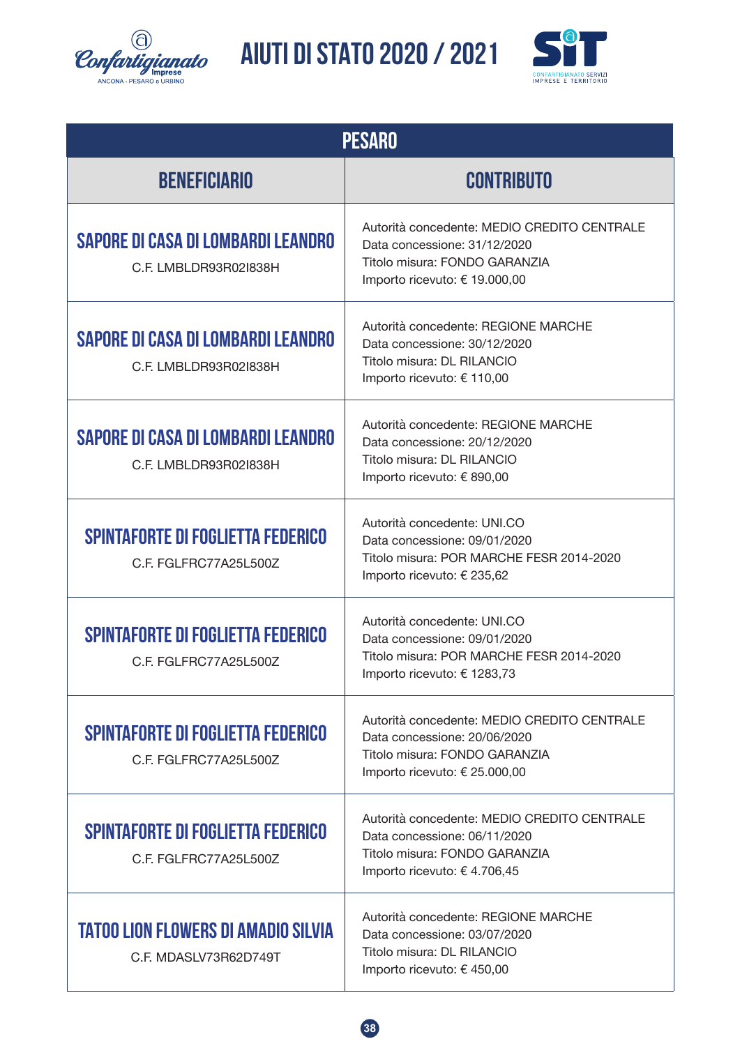![](_page_37_Picture_0.jpeg)

![](_page_37_Picture_2.jpeg)

| <b>PESARO</b>                                                       |                                                                                                                                               |  |  |  |
|---------------------------------------------------------------------|-----------------------------------------------------------------------------------------------------------------------------------------------|--|--|--|
| <b>BENEFICIARIO</b>                                                 | <b>CONTRIBUTO</b>                                                                                                                             |  |  |  |
| SAPORE DI CASA DI LOMBARDI LEANDRO<br>C.F. LMBLDR93R02I838H         | Autorità concedente: MEDIO CREDITO CENTRALE<br>Data concessione: 31/12/2020<br>Titolo misura: FONDO GARANZIA<br>Importo ricevuto: € 19.000,00 |  |  |  |
| SAPORE DI CASA DI LOMBARDI LEANDRO<br>C.F. LMBLDR93R02I838H         | Autorità concedente: REGIONE MARCHE<br>Data concessione: 30/12/2020<br>Titolo misura: DL RILANCIO<br>Importo ricevuto: € 110,00               |  |  |  |
| SAPORE DI CASA DI LOMBARDI LEANDRO<br>C.F. LMBLDR93R02I838H         | Autorità concedente: REGIONE MARCHE<br>Data concessione: 20/12/2020<br>Titolo misura: DL RILANCIO<br>Importo ricevuto: € 890,00               |  |  |  |
| <b>SPINTAFORTE DI FOGLIETTA FEDERICO</b><br>C.F. FGLFRC77A25L500Z   | Autorità concedente: UNI.CO<br>Data concessione: 09/01/2020<br>Titolo misura: POR MARCHE FESR 2014-2020<br>Importo ricevuto: € 235,62         |  |  |  |
| <b>SPINTAFORTE DI FOGLIETTA FEDERICO</b><br>C.F. FGLFRC77A25L500Z   | Autorità concedente: UNI.CO<br>Data concessione: 09/01/2020<br>Titolo misura: POR MARCHE FESR 2014-2020<br>Importo ricevuto: € 1283,73        |  |  |  |
| <b>SPINTAFORTE DI FOGLIETTA FEDERICO</b><br>C.F. FGLFRC77A25L500Z   | Autorità concedente: MEDIO CREDITO CENTRALE<br>Data concessione: 20/06/2020<br>Titolo misura: FONDO GARANZIA<br>Importo ricevuto: € 25.000,00 |  |  |  |
| <b>SPINTAFORTE DI FOGLIETTA FEDERICO</b><br>C.F. FGLFRC77A25L500Z   | Autorità concedente: MEDIO CREDITO CENTRALE<br>Data concessione: 06/11/2020<br>Titolo misura: FONDO GARANZIA<br>Importo ricevuto: € 4.706,45  |  |  |  |
| <b>TATOO LION FLOWERS DI AMADIO SILVIA</b><br>C.F. MDASLV73R62D749T | Autorità concedente: REGIONE MARCHE<br>Data concessione: 03/07/2020<br>Titolo misura: DL RILANCIO<br>Importo ricevuto: € 450,00               |  |  |  |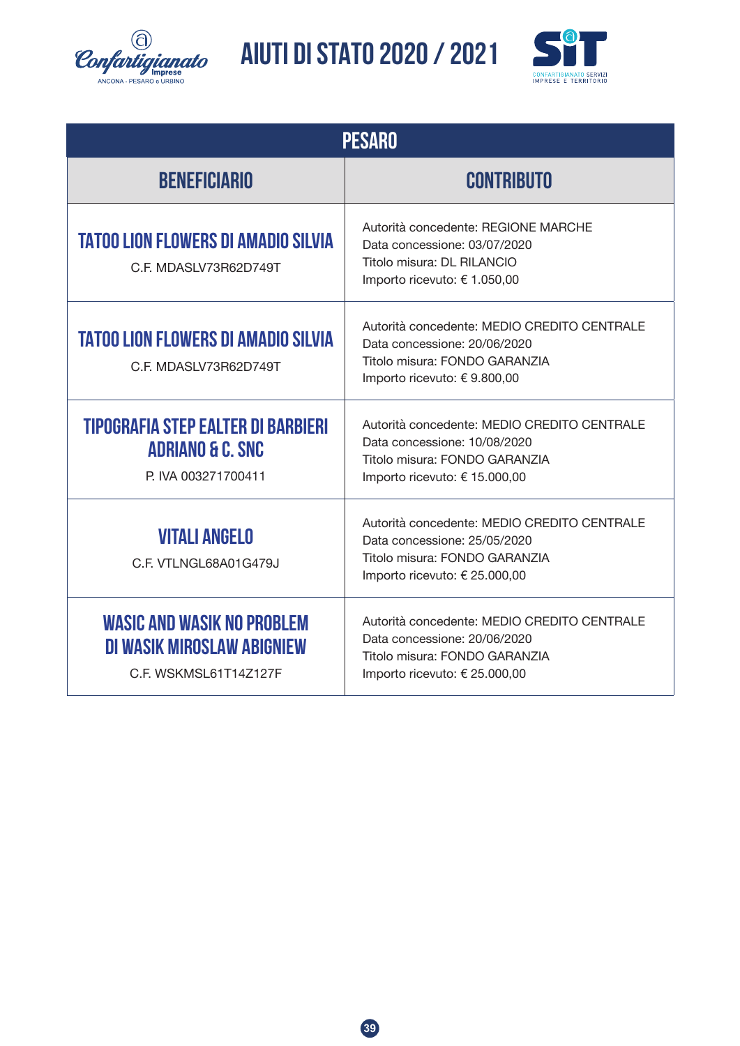![](_page_38_Picture_0.jpeg)

![](_page_38_Picture_2.jpeg)

| <b>PESARO</b>                                                                            |                                                                                                                                               |  |  |  |  |
|------------------------------------------------------------------------------------------|-----------------------------------------------------------------------------------------------------------------------------------------------|--|--|--|--|
| <b>BENEFICIARIO</b>                                                                      | <b>CONTRIBUTO</b>                                                                                                                             |  |  |  |  |
| <b>TATOO LION FLOWERS DI AMADIO SILVIA</b><br>C.F. MDASLV73R62D749T                      | Autorità concedente: REGIONE MARCHE<br>Data concessione: 03/07/2020<br>Titolo misura: DL RILANCIO<br>Importo ricevuto: € 1.050,00             |  |  |  |  |
| <b>TATOO LION FLOWERS DI AMADIO SILVIA</b><br>C.F. MDASLV73R62D749T                      | Autorità concedente: MEDIO CREDITO CENTRALE<br>Data concessione: 20/06/2020<br>Titolo misura: FONDO GARANZIA<br>Importo ricevuto: € 9.800,00  |  |  |  |  |
| TIPOGRAFIA STEP EALTER DI BARBIERI<br><b>ADRIANO &amp; C. SNC</b><br>P. IVA 003271700411 | Autorità concedente: MEDIO CREDITO CENTRALE<br>Data concessione: 10/08/2020<br>Titolo misura: FONDO GARANZIA<br>Importo ricevuto: € 15.000,00 |  |  |  |  |
| <b>VITALI ANGELO</b><br>C.F. VTLNGL68A01G479J                                            | Autorità concedente: MEDIO CREDITO CENTRALE<br>Data concessione: 25/05/2020<br>Titolo misura: FONDO GARANZIA<br>Importo ricevuto: € 25.000,00 |  |  |  |  |
| <b>WASIC AND WASIK NO PROBLEM</b><br>DI WASIK MIROSLAW ABIGNIEW<br>C.F. WSKMSL61T14Z127F | Autorità concedente: MEDIO CREDITO CENTRALE<br>Data concessione: 20/06/2020<br>Titolo misura: FONDO GARANZIA<br>Importo ricevuto: € 25.000,00 |  |  |  |  |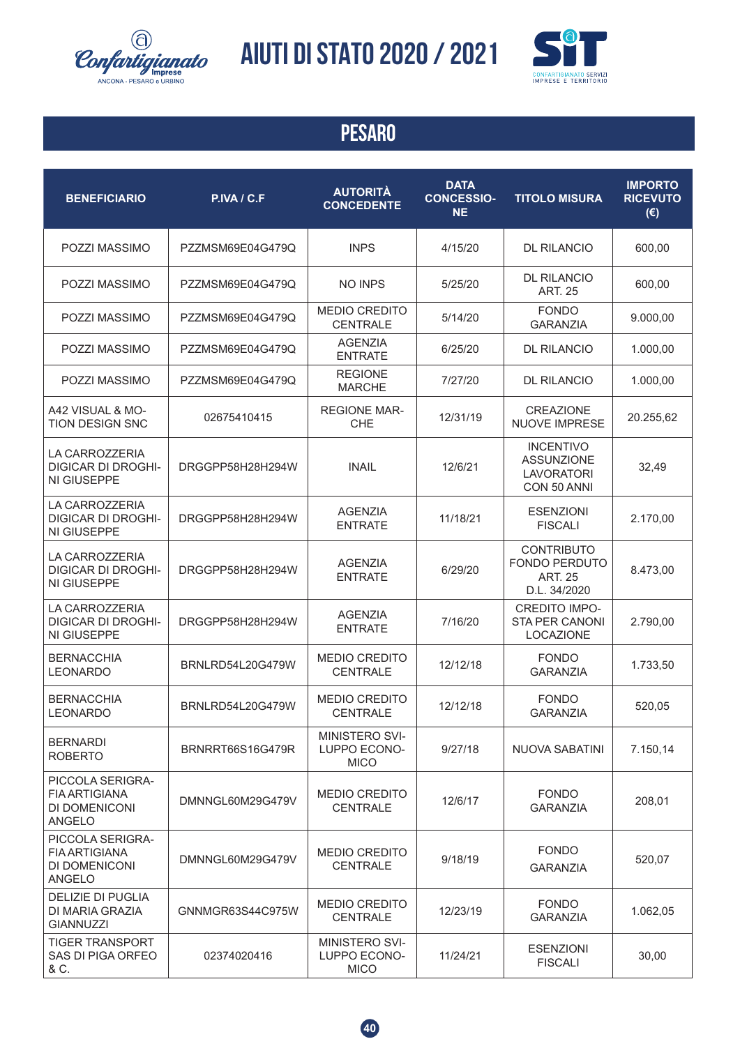![](_page_39_Picture_0.jpeg)

![](_page_39_Picture_2.jpeg)

| <b>BENEFICIARIO</b>                                                        | P.IVA / C.F      | <b>AUTORITÀ</b><br><b>CONCEDENTE</b>                 | <b>DATA</b><br><b>CONCESSIO-</b><br><b>NE</b> | <b>TITOLO MISURA</b>                                                        | <b>IMPORTO</b><br><b>RICEVUTO</b><br>$(\epsilon)$ |
|----------------------------------------------------------------------------|------------------|------------------------------------------------------|-----------------------------------------------|-----------------------------------------------------------------------------|---------------------------------------------------|
| POZZI MASSIMO                                                              | PZZMSM69E04G479Q | <b>INPS</b>                                          | 4/15/20                                       | <b>DL RILANCIO</b>                                                          | 600,00                                            |
| POZZI MASSIMO                                                              | PZZMSM69E04G479Q | NO INPS                                              | 5/25/20                                       | <b>DL RILANCIO</b><br><b>ART. 25</b>                                        | 600,00                                            |
| POZZI MASSIMO                                                              | PZZMSM69E04G479Q | <b>MEDIO CREDITO</b><br><b>CENTRALE</b>              | 5/14/20                                       | <b>FONDO</b><br><b>GARANZIA</b>                                             | 9.000,00                                          |
| POZZI MASSIMO                                                              | PZZMSM69E04G479Q | <b>AGENZIA</b><br><b>ENTRATE</b>                     | 6/25/20                                       | <b>DL RILANCIO</b>                                                          | 1.000,00                                          |
| POZZI MASSIMO                                                              | PZZMSM69E04G479Q | <b>REGIONE</b><br><b>MARCHE</b>                      | 7/27/20                                       | <b>DL RILANCIO</b>                                                          | 1.000,00                                          |
| A42 VISUAL & MO-<br><b>TION DESIGN SNC</b>                                 | 02675410415      | <b>REGIONE MAR-</b><br><b>CHE</b>                    | 12/31/19                                      | <b>CREAZIONE</b><br><b>NUOVE IMPRESE</b>                                    | 20.255,62                                         |
| LA CARROZZERIA<br><b>DIGICAR DI DROGHI-</b><br>NI GIUSEPPE                 | DRGGPP58H28H294W | <b>INAIL</b>                                         | 12/6/21                                       | <b>INCENTIVO</b><br><b>ASSUNZIONE</b><br><b>LAVORATORI</b><br>CON 50 ANNI   | 32,49                                             |
| <b>LA CARROZZERIA</b><br><b>DIGICAR DI DROGHI-</b><br>NI GIUSEPPE          | DRGGPP58H28H294W | <b>AGENZIA</b><br><b>ENTRATE</b>                     | 11/18/21                                      | <b>ESENZIONI</b><br><b>FISCALI</b>                                          | 2.170,00                                          |
| LA CARROZZERIA<br><b>DIGICAR DI DROGHI-</b><br>NI GIUSEPPE                 | DRGGPP58H28H294W | <b>AGENZIA</b><br><b>ENTRATE</b>                     | 6/29/20                                       | <b>CONTRIBUTO</b><br><b>FONDO PERDUTO</b><br><b>ART. 25</b><br>D.L. 34/2020 | 8.473,00                                          |
| LA CARROZZERIA<br><b>DIGICAR DI DROGHI-</b><br>NI GIUSEPPE                 | DRGGPP58H28H294W | <b>AGENZIA</b><br><b>ENTRATE</b>                     | 7/16/20                                       | <b>CREDITO IMPO-</b><br><b>STA PER CANONI</b><br>LOCAZIONE                  | 2.790,00                                          |
| <b>BERNACCHIA</b><br><b>LEONARDO</b>                                       | BRNLRD54L20G479W | <b>MEDIO CREDITO</b><br><b>CENTRALE</b>              | 12/12/18                                      | <b>FONDO</b><br><b>GARANZIA</b>                                             | 1.733,50                                          |
| <b>BERNACCHIA</b><br><b>LEONARDO</b>                                       | BRNLRD54L20G479W | <b>MEDIO CREDITO</b><br><b>CENTRALE</b>              | 12/12/18                                      | <b>FONDO</b><br><b>GARANZIA</b>                                             | 520,05                                            |
| <b>BERNARDI</b><br><b>ROBERTO</b>                                          | BRNRRT66S16G479R | <b>MINISTERO SVI-</b><br>LUPPO ECONO-<br><b>MICO</b> | 9/27/18                                       | <b>NUOVA SABATINI</b>                                                       | 7.150,14                                          |
| PICCOLA SERIGRA-<br><b>FIA ARTIGIANA</b><br>DI DOMENICONI<br><b>ANGELO</b> | DMNNGL60M29G479V | <b>MEDIO CREDITO</b><br><b>CENTRALE</b>              | 12/6/17                                       | <b>FONDO</b><br><b>GARANZIA</b>                                             | 208,01                                            |
| PICCOLA SERIGRA-<br><b>FIA ARTIGIANA</b><br>DI DOMENICONI<br><b>ANGELO</b> | DMNNGL60M29G479V | <b>MEDIO CREDITO</b><br><b>CENTRALE</b>              | 9/18/19                                       | <b>FONDO</b><br><b>GARANZIA</b>                                             | 520,07                                            |
| <b>DELIZIE DI PUGLIA</b><br>DI MARIA GRAZIA<br><b>GIANNUZZI</b>            | GNNMGR63S44C975W | <b>MEDIO CREDITO</b><br><b>CENTRALE</b>              | 12/23/19                                      | <b>FONDO</b><br><b>GARANZIA</b>                                             | 1.062,05                                          |
| <b>TIGER TRANSPORT</b><br>SAS DI PIGA ORFEO<br>& C.                        | 02374020416      | MINISTERO SVI-<br>LUPPO ECONO-<br><b>MICO</b>        | 11/24/21                                      | <b>ESENZIONI</b><br><b>FISCALI</b>                                          | 30,00                                             |

![](_page_39_Picture_5.jpeg)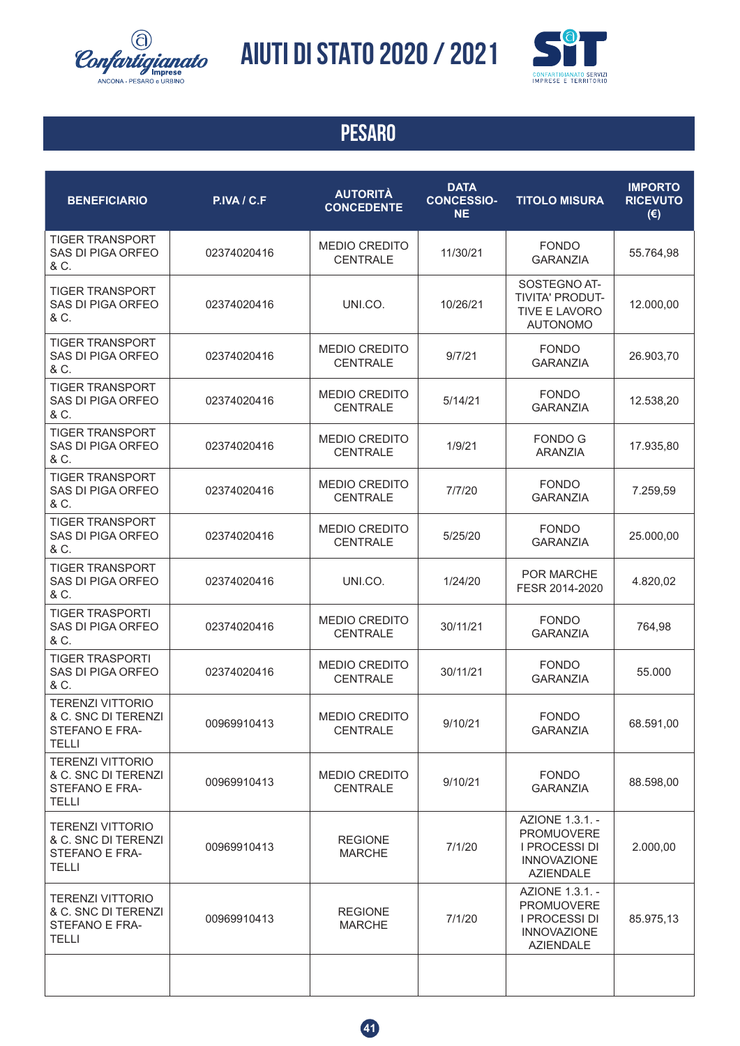![](_page_40_Picture_0.jpeg)

![](_page_40_Picture_2.jpeg)

| <b>BENEFICIARIO</b>                                                              | P.IVA / C.F | <b>AUTORITÀ</b><br><b>CONCEDENTE</b>    | <b>DATA</b><br><b>CONCESSIO-</b><br><b>NE</b> | <b>TITOLO MISURA</b>                                                                            | <b>IMPORTO</b><br><b>RICEVUTO</b><br>$(\epsilon)$ |
|----------------------------------------------------------------------------------|-------------|-----------------------------------------|-----------------------------------------------|-------------------------------------------------------------------------------------------------|---------------------------------------------------|
| <b>TIGER TRANSPORT</b><br>SAS DI PIGA ORFEO<br>& C.                              | 02374020416 | <b>MEDIO CREDITO</b><br><b>CENTRALE</b> | 11/30/21                                      | <b>FONDO</b><br><b>GARANZIA</b>                                                                 | 55.764,98                                         |
| <b>TIGER TRANSPORT</b><br>SAS DI PIGA ORFEO<br>& C.                              | 02374020416 | UNI.CO.                                 | 10/26/21                                      | SOSTEGNO AT-<br>TIVITA' PRODUT-<br><b>TIVE E LAVORO</b><br><b>AUTONOMO</b>                      | 12.000,00                                         |
| <b>TIGER TRANSPORT</b><br>SAS DI PIGA ORFEO<br>& C.                              | 02374020416 | <b>MEDIO CREDITO</b><br><b>CENTRALE</b> | 9/7/21                                        | <b>FONDO</b><br><b>GARANZIA</b>                                                                 | 26.903,70                                         |
| <b>TIGER TRANSPORT</b><br>SAS DI PIGA ORFEO<br>& C.                              | 02374020416 | <b>MEDIO CREDITO</b><br><b>CENTRALE</b> | 5/14/21                                       | <b>FONDO</b><br><b>GARANZIA</b>                                                                 | 12.538,20                                         |
| <b>TIGER TRANSPORT</b><br>SAS DI PIGA ORFEO<br>& C.                              | 02374020416 | <b>MEDIO CREDITO</b><br><b>CENTRALE</b> | 1/9/21                                        | <b>FONDO G</b><br><b>ARANZIA</b>                                                                | 17.935,80                                         |
| <b>TIGER TRANSPORT</b><br>SAS DI PIGA ORFEO<br>& C.                              | 02374020416 | <b>MEDIO CREDITO</b><br><b>CENTRALE</b> | 7/7/20                                        | <b>FONDO</b><br><b>GARANZIA</b>                                                                 | 7.259,59                                          |
| <b>TIGER TRANSPORT</b><br>SAS DI PIGA ORFEO<br>& C.                              | 02374020416 | <b>MEDIO CREDITO</b><br><b>CENTRALE</b> | 5/25/20                                       | <b>FONDO</b><br><b>GARANZIA</b>                                                                 | 25.000,00                                         |
| <b>TIGER TRANSPORT</b><br>SAS DI PIGA ORFEO<br>& C.                              | 02374020416 | UNI.CO.                                 | 1/24/20                                       | <b>POR MARCHE</b><br>FESR 2014-2020                                                             | 4.820,02                                          |
| <b>TIGER TRASPORTI</b><br>SAS DI PIGA ORFEO<br>& C.                              | 02374020416 | <b>MEDIO CREDITO</b><br><b>CENTRALE</b> | 30/11/21                                      | <b>FONDO</b><br><b>GARANZIA</b>                                                                 | 764,98                                            |
| <b>TIGER TRASPORTI</b><br>SAS DI PIGA ORFEO<br>& C.                              | 02374020416 | <b>MEDIO CREDITO</b><br><b>CENTRALE</b> | 30/11/21                                      | <b>FONDO</b><br><b>GARANZIA</b>                                                                 | 55.000                                            |
| <b>TERENZI VITTORIO</b><br>& C. SNC DI TERENZI<br>STEFANO E FRA-<br><b>TELLI</b> | 00969910413 | <b>MEDIO CREDITO</b><br><b>CENTRALE</b> | 9/10/21                                       | <b>FONDO</b><br><b>GARANZIA</b>                                                                 | 68.591,00                                         |
| <b>TERENZI VITTORIO</b><br>& C. SNC DI TERENZI<br>STEFANO E FRA-<br><b>TELLI</b> | 00969910413 | <b>MEDIO CREDITO</b><br><b>CENTRALE</b> | 9/10/21                                       | <b>FONDO</b><br><b>GARANZIA</b>                                                                 | 88.598,00                                         |
| <b>TERENZI VITTORIO</b><br>& C. SNC DI TERENZI<br>STEFANO E FRA-<br><b>TELLI</b> | 00969910413 | <b>REGIONE</b><br><b>MARCHE</b>         | 7/1/20                                        | AZIONE 1.3.1. -<br><b>PROMUOVERE</b><br>I PROCESSI DI<br><b>INNOVAZIONE</b><br><b>AZIENDALE</b> | 2.000,00                                          |
| <b>TERENZI VITTORIO</b><br>& C. SNC DI TERENZI<br>STEFANO E FRA-<br><b>TELLI</b> | 00969910413 | <b>REGIONE</b><br><b>MARCHE</b>         | 7/1/20                                        | AZIONE 1.3.1. -<br><b>PROMUOVERE</b><br>I PROCESSI DI<br><b>INNOVAZIONE</b><br><b>AZIENDALE</b> | 85.975,13                                         |
|                                                                                  |             |                                         |                                               |                                                                                                 |                                                   |

![](_page_40_Picture_5.jpeg)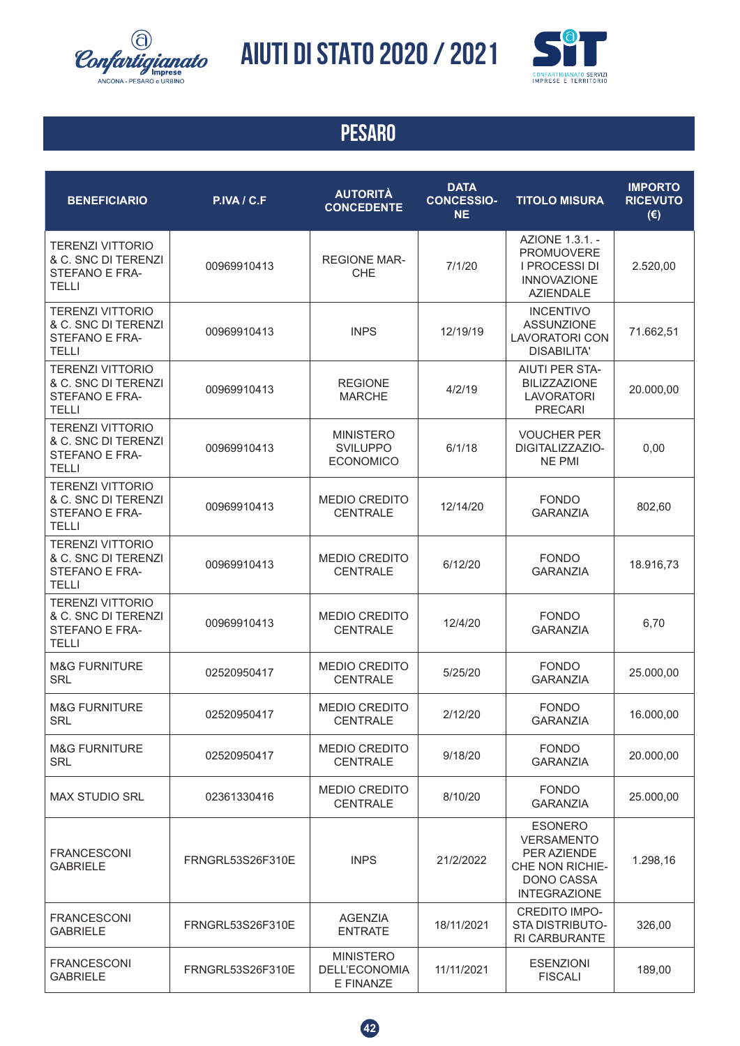![](_page_41_Picture_0.jpeg)

![](_page_41_Picture_2.jpeg)

| <b>BENEFICIARIO</b>                                                              | P.IVA / C.F      | <b>AUTORITÀ</b><br><b>CONCEDENTE</b>                    | <b>DATA</b><br><b>CONCESSIO-</b><br><b>NE</b> | <b>TITOLO MISURA</b>                                                                                       | <b>IMPORTO</b><br><b>RICEVUTO</b><br>$(\epsilon)$ |
|----------------------------------------------------------------------------------|------------------|---------------------------------------------------------|-----------------------------------------------|------------------------------------------------------------------------------------------------------------|---------------------------------------------------|
| <b>TERENZI VITTORIO</b><br>& C. SNC DI TERENZI<br>STEFANO E FRA-<br><b>TELLI</b> | 00969910413      | <b>REGIONE MAR-</b><br><b>CHE</b>                       | 7/1/20                                        | AZIONE 1.3.1. -<br><b>PROMUOVERE</b><br>I PROCESSI DI<br><b>INNOVAZIONE</b><br><b>AZIENDALE</b>            | 2.520,00                                          |
| <b>TERENZI VITTORIO</b><br>& C. SNC DI TERENZI<br>STEFANO E FRA-<br><b>TELLI</b> | 00969910413      | <b>INPS</b>                                             | 12/19/19                                      | <b>INCENTIVO</b><br><b>ASSUNZIONE</b><br><b>LAVORATORI CON</b><br><b>DISABILITA'</b>                       | 71.662,51                                         |
| <b>TERENZI VITTORIO</b><br>& C. SNC DI TERENZI<br>STEFANO E FRA-<br><b>TELLI</b> | 00969910413      | <b>REGIONE</b><br><b>MARCHE</b>                         | 4/2/19                                        | <b>AIUTI PER STA-</b><br><b>BILIZZAZIONE</b><br><b>LAVORATORI</b><br><b>PRECARI</b>                        | 20.000,00                                         |
| <b>TERENZI VITTORIO</b><br>& C. SNC DI TERENZI<br>STEFANO E FRA-<br><b>TELLI</b> | 00969910413      | <b>MINISTERO</b><br><b>SVILUPPO</b><br><b>ECONOMICO</b> | 6/1/18                                        | <b>VOUCHER PER</b><br>DIGITALIZZAZIO-<br><b>NE PMI</b>                                                     | 0,00                                              |
| <b>TERENZI VITTORIO</b><br>& C. SNC DI TERENZI<br>STEFANO E FRA-<br><b>TELLI</b> | 00969910413      | <b>MEDIO CREDITO</b><br><b>CENTRALE</b>                 | 12/14/20                                      | <b>FONDO</b><br><b>GARANZIA</b>                                                                            | 802,60                                            |
| <b>TERENZI VITTORIO</b><br>& C. SNC DI TERENZI<br>STEFANO E FRA-<br><b>TELLI</b> | 00969910413      | <b>MEDIO CREDITO</b><br><b>CENTRALE</b>                 | 6/12/20                                       | <b>FONDO</b><br><b>GARANZIA</b>                                                                            | 18.916,73                                         |
| <b>TERENZI VITTORIO</b><br>& C. SNC DI TERENZI<br>STEFANO E FRA-<br><b>TELLI</b> | 00969910413      | <b>MEDIO CREDITO</b><br><b>CENTRALE</b>                 | 12/4/20                                       | <b>FONDO</b><br><b>GARANZIA</b>                                                                            | 6,70                                              |
| <b>M&amp;G FURNITURE</b><br><b>SRL</b>                                           | 02520950417      | <b>MEDIO CREDITO</b><br><b>CENTRALE</b>                 | 5/25/20                                       | <b>FONDO</b><br><b>GARANZIA</b>                                                                            | 25.000,00                                         |
| <b>M&amp;G FURNITURE</b><br><b>SRL</b>                                           | 02520950417      | <b>MEDIO CREDITO</b><br><b>CENTRALE</b>                 | 2/12/20                                       | <b>FONDO</b><br><b>GARANZIA</b>                                                                            | 16.000,00                                         |
| <b>M&amp;G FURNITURE</b><br><b>SRL</b>                                           | 02520950417      | <b>MEDIO CREDITO</b><br><b>CENTRALE</b>                 | 9/18/20                                       | <b>FONDO</b><br><b>GARANZIA</b>                                                                            | 20.000,00                                         |
| <b>MAX STUDIO SRL</b>                                                            | 02361330416      | <b>MEDIO CREDITO</b><br><b>CENTRALE</b>                 | 8/10/20                                       | <b>FONDO</b><br><b>GARANZIA</b>                                                                            | 25.000,00                                         |
| <b>FRANCESCONI</b><br><b>GABRIELE</b>                                            | FRNGRL53S26F310E | <b>INPS</b>                                             | 21/2/2022                                     | <b>ESONERO</b><br><b>VERSAMENTO</b><br>PER AZIENDE<br>CHE NON RICHIE-<br>DONO CASSA<br><b>INTEGRAZIONE</b> | 1.298,16                                          |
| <b>FRANCESCONI</b><br><b>GABRIELE</b>                                            | FRNGRL53S26F310E | <b>AGENZIA</b><br><b>ENTRATE</b>                        | 18/11/2021                                    | <b>CREDITO IMPO-</b><br>STA DISTRIBUTO-<br>RI CARBURANTE                                                   | 326,00                                            |
| <b>FRANCESCONI</b><br><b>GABRIELE</b>                                            | FRNGRL53S26F310E | <b>MINISTERO</b><br>DELL'ECONOMIA<br>E FINANZE          | 11/11/2021                                    | <b>ESENZIONI</b><br><b>FISCALI</b>                                                                         | 189,00                                            |

![](_page_41_Picture_5.jpeg)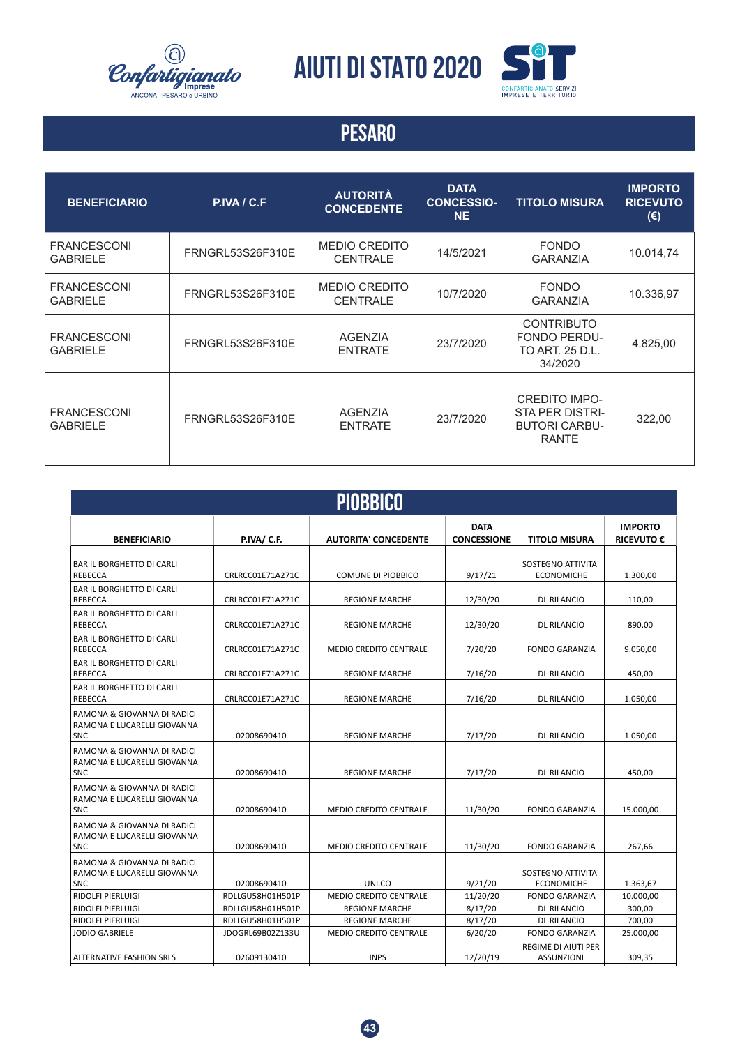![](_page_42_Picture_0.jpeg)

**AIUTI DI STATO 2020**

![](_page_42_Picture_2.jpeg)

| <b>BENEFICIARIO</b>                   | P.IVA / C.F.     | <b>AUTORITÀ</b><br><b>CONCEDENTE</b>    | <b>DATA</b><br><b>CONCESSIO-</b><br><b>NE</b> | <b>TITOLO MISURA</b>                                                            | <b>IMPORTO</b><br><b>RICEVUTO</b><br>$(\epsilon)$ |
|---------------------------------------|------------------|-----------------------------------------|-----------------------------------------------|---------------------------------------------------------------------------------|---------------------------------------------------|
| <b>FRANCESCONI</b><br><b>GABRIELE</b> | FRNGRL53S26F310E | <b>MEDIO CREDITO</b><br><b>CENTRALE</b> | 14/5/2021                                     | <b>FONDO</b><br><b>GARANZIA</b>                                                 | 10.014,74                                         |
| <b>FRANCESCONI</b><br><b>GABRIELE</b> | FRNGRL53S26F310E | <b>MEDIO CREDITO</b><br><b>CENTRALE</b> | 10/7/2020                                     | <b>FONDO</b><br><b>GARANZIA</b>                                                 | 10.336,97                                         |
| <b>FRANCESCONI</b><br><b>GABRIELE</b> | FRNGRL53S26F310E | <b>AGENZIA</b><br><b>ENTRATE</b>        | 23/7/2020                                     | <b>CONTRIBUTO</b><br><b>FONDO PERDU-</b><br>TO ART. 25 D.L.<br>34/2020          | 4.825,00                                          |
| <b>FRANCESCONI</b><br><b>GABRIELE</b> | FRNGRL53S26F310E | <b>AGENZIA</b><br><b>ENTRATE</b>        | 23/7/2020                                     | <b>CREDITO IMPO-</b><br>STA PER DISTRI-<br><b>BUTORI CARBU-</b><br><b>RANTE</b> | 322,00                                            |

| <b>PIOBBICO</b>                                                          |                                      |                                                        |                                   |                                                 |                                     |  |
|--------------------------------------------------------------------------|--------------------------------------|--------------------------------------------------------|-----------------------------------|-------------------------------------------------|-------------------------------------|--|
| <b>BENEFICIARIO</b>                                                      | P.IVA/ C.F.                          | <b>AUTORITA' CONCEDENTE</b>                            | <b>DATA</b><br><b>CONCESSIONE</b> | <b>TITOLO MISURA</b>                            | <b>IMPORTO</b><br><b>RICEVUTO €</b> |  |
| <b>BAR IL BORGHETTO DI CARLI</b><br>REBECCA                              | CRLRCC01E71A271C                     | COMUNE DI PIOBBICO                                     | 9/17/21                           | SOSTEGNO ATTIVITA'<br><b>ECONOMICHE</b>         | 1.300,00                            |  |
| <b>BAR IL BORGHETTO DI CARLI</b><br>REBECCA                              | CRLRCC01E71A271C                     | <b>REGIONE MARCHE</b>                                  | 12/30/20                          | <b>DL RILANCIO</b>                              | 110,00                              |  |
| <b>BAR IL BORGHETTO DI CARLI</b><br>REBECCA                              | CRLRCC01E71A271C                     | <b>REGIONE MARCHE</b>                                  | 12/30/20                          | <b>DL RILANCIO</b>                              | 890,00                              |  |
| <b>BAR IL BORGHETTO DI CARLI</b><br><b>REBECCA</b>                       | CRLRCC01E71A271C                     | <b>MEDIO CREDITO CENTRALE</b>                          | 7/20/20                           | <b>FONDO GARANZIA</b>                           | 9.050,00                            |  |
| <b>BAR IL BORGHETTO DI CARLI</b><br>REBECCA                              | CRLRCC01E71A271C                     | <b>REGIONE MARCHE</b>                                  | 7/16/20                           | <b>DL RILANCIO</b>                              | 450,00                              |  |
| <b>BAR IL BORGHETTO DI CARLI</b><br>REBECCA                              | CRLRCC01E71A271C                     | <b>REGIONE MARCHE</b>                                  | 7/16/20                           | <b>DL RILANCIO</b>                              | 1.050,00                            |  |
| RAMONA & GIOVANNA DI RADICI<br>RAMONA E LUCARELLI GIOVANNA<br>SNC        | 02008690410                          | <b>REGIONE MARCHE</b>                                  | 7/17/20                           | <b>DL RILANCIO</b>                              | 1.050.00                            |  |
| RAMONA & GIOVANNA DI RADICI<br>RAMONA E LUCARELLI GIOVANNA<br>SNC        | 02008690410                          | <b>REGIONE MARCHE</b>                                  | 7/17/20                           | <b>DL RILANCIO</b>                              | 450,00                              |  |
| RAMONA & GIOVANNA DI RADICI<br>RAMONA E LUCARELLI GIOVANNA<br><b>SNC</b> | 02008690410                          | <b>MEDIO CREDITO CENTRALE</b>                          | 11/30/20                          | <b>FONDO GARANZIA</b>                           | 15.000,00                           |  |
| RAMONA & GIOVANNA DI RADICI<br>RAMONA E LUCARELLI GIOVANNA<br><b>SNC</b> | 02008690410                          | <b>MEDIO CREDITO CENTRALE</b>                          | 11/30/20                          | <b>FONDO GARANZIA</b>                           | 267,66                              |  |
| RAMONA & GIOVANNA DI RADICI<br>RAMONA E LUCARELLI GIOVANNA<br><b>SNC</b> | 02008690410                          | UNI.CO                                                 | 9/21/20                           | SOSTEGNO ATTIVITA'<br><b>ECONOMICHE</b>         | 1.363,67                            |  |
| <b>RIDOLFI PIERLUIGI</b>                                                 | RDLLGU58H01H501P                     | MEDIO CREDITO CENTRALE                                 | 11/20/20                          | <b>FONDO GARANZIA</b>                           | 10.000,00                           |  |
| <b>RIDOLFI PIERLUIGI</b>                                                 | RDLLGU58H01H501P                     | <b>REGIONE MARCHE</b>                                  | 8/17/20                           | <b>DL RILANCIO</b>                              | 300,00                              |  |
| <b>RIDOLFI PIERLUIGI</b><br>JODIO GABRIELE                               | RDLLGU58H01H501P<br>JDOGRL69B02Z133U | <b>REGIONE MARCHE</b><br><b>MEDIO CREDITO CENTRALE</b> | 8/17/20<br>6/20/20                | <b>DL RILANCIO</b><br><b>FONDO GARANZIA</b>     | 700,00<br>25.000,00                 |  |
| <b>ALTERNATIVE FASHION SRLS</b>                                          | 02609130410                          | <b>INPS</b>                                            | 12/20/19                          | <b>REGIME DI AIUTI PER</b><br><b>ASSUNZIONI</b> | 309,35                              |  |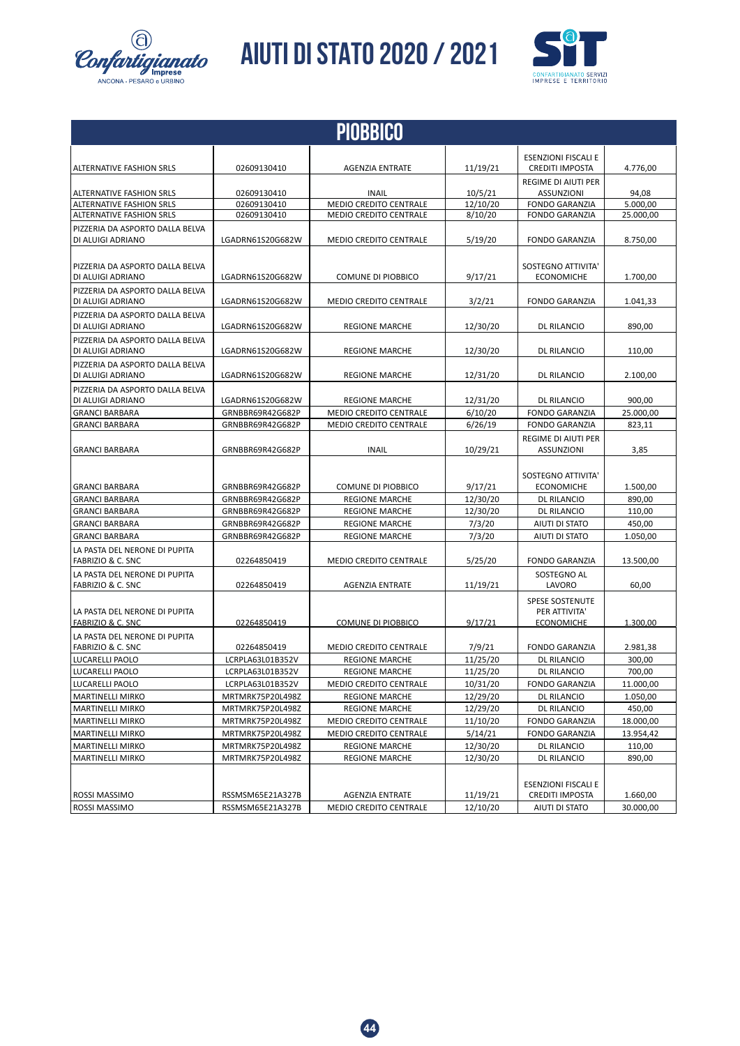![](_page_43_Picture_0.jpeg)

*Confartigianato* AIUTI DI STATO 2020 / 2021

![](_page_43_Picture_2.jpeg)

| <b>PIOBBICO</b>                                               |                                      |                                                |          |                                                              |                    |
|---------------------------------------------------------------|--------------------------------------|------------------------------------------------|----------|--------------------------------------------------------------|--------------------|
| ALTERNATIVE FASHION SRLS                                      | 02609130410                          | AGENZIA ENTRATE                                | 11/19/21 | <b>ESENZIONI FISCALI E</b><br><b>CREDITI IMPOSTA</b>         | 4.776,00           |
| <b>ALTERNATIVE FASHION SRLS</b>                               | 02609130410                          | <b>INAIL</b>                                   | 10/5/21  | REGIME DI AIUTI PER<br><b>ASSUNZIONI</b>                     | 94,08              |
| <b>ALTERNATIVE FASHION SRLS</b>                               | 02609130410                          | <b>MEDIO CREDITO CENTRALE</b>                  | 12/10/20 | <b>FONDO GARANZIA</b>                                        | 5.000,00           |
| <b>ALTERNATIVE FASHION SRLS</b>                               | 02609130410                          | <b>MEDIO CREDITO CENTRALE</b>                  | 8/10/20  | <b>FONDO GARANZIA</b>                                        | 25.000,00          |
| PIZZERIA DA ASPORTO DALLA BELVA                               |                                      |                                                |          |                                                              |                    |
| <b>DI ALUIGI ADRIANO</b>                                      | LGADRN61S20G682W                     | <b>MEDIO CREDITO CENTRALE</b>                  | 5/19/20  | <b>FONDO GARANZIA</b>                                        | 8.750,00           |
| PIZZERIA DA ASPORTO DALLA BELVA<br>DI ALUIGI ADRIANO          | LGADRN61S20G682W                     | COMUNE DI PIOBBICO                             | 9/17/21  | SOSTEGNO ATTIVITA'<br><b>ECONOMICHE</b>                      | 1.700,00           |
| PIZZERIA DA ASPORTO DALLA BELVA<br>DI ALUIGI ADRIANO          | LGADRN61S20G682W                     | MEDIO CREDITO CENTRALE                         | 3/2/21   | <b>FONDO GARANZIA</b>                                        | 1.041,33           |
| PIZZERIA DA ASPORTO DALLA BELVA<br>DI ALUIGI ADRIANO          | LGADRN61S20G682W                     | <b>REGIONE MARCHE</b>                          | 12/30/20 | <b>DL RILANCIO</b>                                           | 890,00             |
| PIZZERIA DA ASPORTO DALLA BELVA<br>DI ALUIGI ADRIANO          | LGADRN61S20G682W                     | <b>REGIONE MARCHE</b>                          | 12/30/20 | <b>DL RILANCIO</b>                                           | 110,00             |
| PIZZERIA DA ASPORTO DALLA BELVA<br>DI ALUIGI ADRIANO          | LGADRN61S20G682W                     | <b>REGIONE MARCHE</b>                          | 12/31/20 | <b>DL RILANCIO</b>                                           | 2.100,00           |
| PIZZERIA DA ASPORTO DALLA BELVA<br>DI ALUIGI ADRIANO          | LGADRN61S20G682W                     | <b>REGIONE MARCHE</b>                          | 12/31/20 | <b>DL RILANCIO</b>                                           | 900,00             |
| <b>GRANCI BARBARA</b>                                         | GRNBBR69R42G682P                     | <b>MEDIO CREDITO CENTRALE</b>                  | 6/10/20  | <b>FONDO GARANZIA</b>                                        | 25.000,00          |
| <b>GRANCI BARBARA</b>                                         | GRNBBR69R42G682P                     | <b>MEDIO CREDITO CENTRALE</b>                  | 6/26/19  | <b>FONDO GARANZIA</b>                                        | 823,11             |
| <b>GRANCI BARBARA</b>                                         | GRNBBR69R42G682P                     | <b>INAIL</b>                                   | 10/29/21 | REGIME DI AIUTI PER<br><b>ASSUNZIONI</b>                     | 3,85               |
|                                                               |                                      |                                                |          | SOSTEGNO ATTIVITA'                                           |                    |
| <b>GRANCI BARBARA</b>                                         | GRNBBR69R42G682P                     | COMUNE DI PIOBBICO                             | 9/17/21  | <b>ECONOMICHE</b>                                            | 1.500,00           |
| <b>GRANCI BARBARA</b>                                         | GRNBBR69R42G682P                     | <b>REGIONE MARCHE</b>                          | 12/30/20 | <b>DL RILANCIO</b>                                           | 890,00             |
| <b>GRANCI BARBARA</b>                                         | GRNBBR69R42G682P                     | <b>REGIONE MARCHE</b>                          | 12/30/20 | <b>DL RILANCIO</b>                                           | 110,00             |
| <b>GRANCI BARBARA</b>                                         | GRNBBR69R42G682P<br>GRNBBR69R42G682P | <b>REGIONE MARCHE</b><br><b>REGIONE MARCHE</b> | 7/3/20   | AIUTI DI STATO                                               | 450,00<br>1.050,00 |
| <b>GRANCI BARBARA</b>                                         |                                      |                                                | 7/3/20   | AIUTI DI STATO                                               |                    |
| LA PASTA DEL NERONE DI PUPITA<br>FABRIZIO & C. SNC            | 02264850419                          | MEDIO CREDITO CENTRALE                         | 5/25/20  | <b>FONDO GARANZIA</b>                                        | 13.500,00          |
| LA PASTA DEL NERONE DI PUPITA<br>FABRIZIO & C. SNC            | 02264850419                          | <b>AGENZIA ENTRATE</b>                         | 11/19/21 | SOSTEGNO AL<br>LAVORO                                        | 60,00              |
| LA PASTA DEL NERONE DI PUPITA<br>FABRIZIO & C. SNC            | 02264850419                          | COMUNE DI PIOBBICO                             | 9/17/21  | <b>SPESE SOSTENUTE</b><br>PER ATTIVITA'<br><b>ECONOMICHE</b> | 1.300,00           |
| LA PASTA DEL NERONE DI PUPITA<br><b>FABRIZIO &amp; C. SNC</b> | 02264850419                          | <b>MEDIO CREDITO CENTRALE</b>                  | 7/9/21   | <b>FONDO GARANZIA</b>                                        | 2.981,38           |
| LUCARELLI PAOLO                                               | LCRPLA63L01B352V                     | <b>REGIONE MARCHE</b>                          | 11/25/20 | <b>DL RILANCIO</b>                                           | 300,00             |
| LUCARELLI PAOLO                                               | LCRPLA63L01B352V                     | <b>REGIONE MARCHE</b>                          | 11/25/20 | DL RILANCIO                                                  | 700,00             |
| LUCARELLI PAOLO                                               | LCRPLA63L01B352V                     | MEDIO CREDITO CENTRALE                         | 10/31/20 | <b>FONDO GARANZIA</b>                                        | 11.000,00          |
| MARTINELLI MIRKO                                              | MRTMRK75P20L498Z                     | <b>REGIONE MARCHE</b>                          | 12/29/20 | DL RILANCIO                                                  | 1.050,00           |
| MARTINELLI MIRKO                                              | MRTMRK75P20L498Z                     | <b>REGIONE MARCHE</b>                          | 12/29/20 | DL RILANCIO                                                  | 450,00             |
| <b>MARTINELLI MIRKO</b>                                       | MRTMRK75P20L498Z                     | MEDIO CREDITO CENTRALE                         | 11/10/20 | <b>FONDO GARANZIA</b>                                        | 18.000,00          |
| <b>MARTINELLI MIRKO</b>                                       | MRTMRK75P20L498Z                     | MEDIO CREDITO CENTRALE                         | 5/14/21  | <b>FONDO GARANZIA</b>                                        | 13.954,42          |
| <b>MARTINELLI MIRKO</b>                                       | MRTMRK75P20L498Z                     | <b>REGIONE MARCHE</b>                          | 12/30/20 | DL RILANCIO                                                  | 110,00             |
| <b>MARTINELLI MIRKO</b>                                       | MRTMRK75P20L498Z                     | <b>REGIONE MARCHE</b>                          | 12/30/20 | DL RILANCIO                                                  | 890,00             |
| ROSSI MASSIMO                                                 | RSSMSM65E21A327B                     | AGENZIA ENTRATE                                | 11/19/21 | <b>ESENZIONI FISCALI E</b><br>CREDITI IMPOSTA                | 1.660,00           |
| <b>ROSSI MASSIMO</b>                                          | RSSMSM65E21A327B                     | MEDIO CREDITO CENTRALE                         | 12/10/20 | AIUTI DI STATO                                               | 30.000,00          |

**44**

ALTERNATIVE FASHION SRLS 02609130410 INPS 12/20/19

SNC 02008690410 REGIONE MARCHE 7/17/20 DL RILANCIO 1.050,00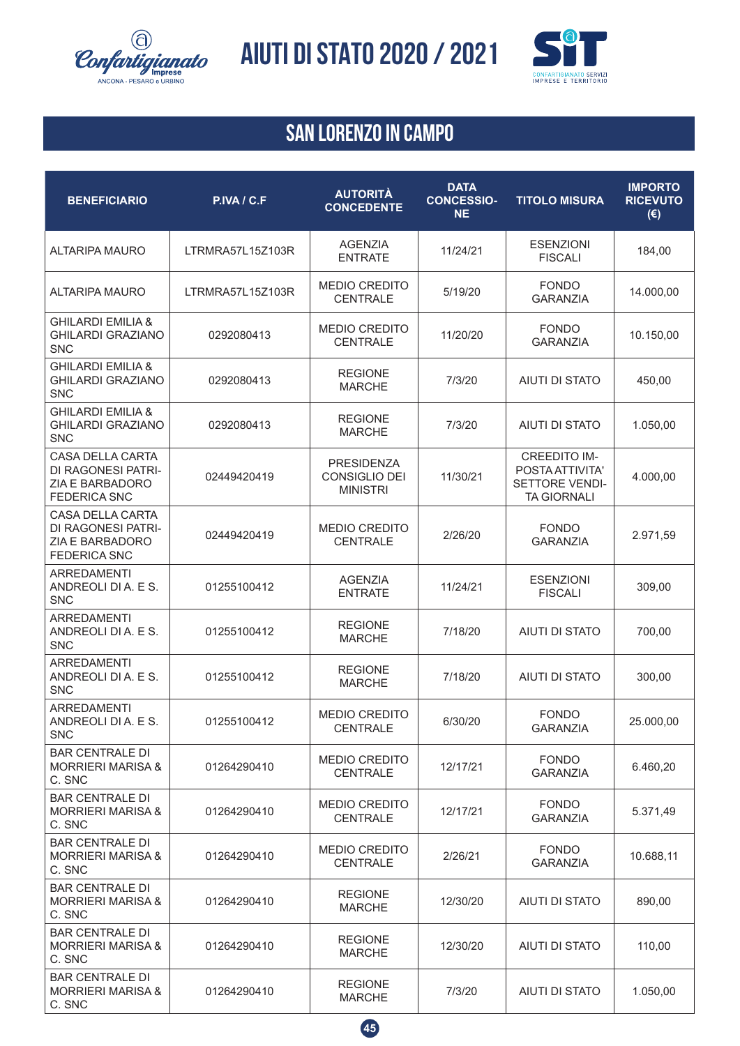![](_page_44_Picture_0.jpeg)

![](_page_44_Picture_2.jpeg)

| <b>BENEFICIARIO</b>                                                                     | P.IVA / C.F      | <b>AUTORITÀ</b><br><b>CONCEDENTE</b>                  | <b>DATA</b><br><b>CONCESSIO-</b><br><b>NE</b> | <b>TITOLO MISURA</b>                                                                  | <b>IMPORTO</b><br><b>RICEVUTO</b><br>$(\epsilon)$ |
|-----------------------------------------------------------------------------------------|------------------|-------------------------------------------------------|-----------------------------------------------|---------------------------------------------------------------------------------------|---------------------------------------------------|
| <b>ALTARIPA MAURO</b>                                                                   | LTRMRA57L15Z103R | <b>AGENZIA</b><br><b>ENTRATE</b>                      | 11/24/21                                      | <b>ESENZIONI</b><br><b>FISCALI</b>                                                    | 184,00                                            |
| <b>ALTARIPA MAURO</b>                                                                   | LTRMRA57L15Z103R | MEDIO CREDITO<br><b>CENTRALE</b>                      | 5/19/20                                       | <b>FONDO</b><br><b>GARANZIA</b>                                                       | 14.000,00                                         |
| <b>GHILARDI EMILIA &amp;</b><br><b>GHILARDI GRAZIANO</b><br><b>SNC</b>                  | 0292080413       | MEDIO CREDITO<br><b>CENTRALE</b>                      | 11/20/20                                      | <b>FONDO</b><br><b>GARANZIA</b>                                                       | 10.150,00                                         |
| <b>GHILARDI EMILIA &amp;</b><br><b>GHILARDI GRAZIANO</b><br><b>SNC</b>                  | 0292080413       | <b>REGIONE</b><br><b>MARCHE</b>                       | 7/3/20                                        | <b>AIUTI DI STATO</b>                                                                 | 450,00                                            |
| <b>GHILARDI EMILIA &amp;</b><br><b>GHILARDI GRAZIANO</b><br><b>SNC</b>                  | 0292080413       | <b>REGIONE</b><br><b>MARCHE</b>                       | 7/3/20                                        | <b>AIUTI DI STATO</b>                                                                 | 1.050,00                                          |
| <b>CASA DELLA CARTA</b><br>DI RAGONESI PATRI-<br>ZIA E BARBADORO<br><b>FEDERICA SNC</b> | 02449420419      | <b>PRESIDENZA</b><br>CONSIGLIO DEI<br><b>MINISTRI</b> | 11/30/21                                      | <b>CREEDITO IM-</b><br>POSTA ATTIVITA'<br><b>SETTORE VENDI-</b><br><b>TA GIORNALI</b> | 4.000,00                                          |
| <b>CASA DELLA CARTA</b><br>DI RAGONESI PATRI-<br>ZIA E BARBADORO<br><b>FEDERICA SNC</b> | 02449420419      | <b>MEDIO CREDITO</b><br><b>CENTRALE</b>               | 2/26/20                                       | <b>FONDO</b><br><b>GARANZIA</b>                                                       | 2.971,59                                          |
| <b>ARREDAMENTI</b><br>ANDREOLI DI A. E S.<br><b>SNC</b>                                 | 01255100412      | <b>AGENZIA</b><br><b>ENTRATE</b>                      | 11/24/21                                      | <b>ESENZIONI</b><br><b>FISCALI</b>                                                    | 309,00                                            |
| <b>ARREDAMENTI</b><br>ANDREOLI DI A. E S.<br><b>SNC</b>                                 | 01255100412      | <b>REGIONE</b><br><b>MARCHE</b>                       | 7/18/20                                       | <b>AIUTI DI STATO</b>                                                                 | 700,00                                            |
| <b>ARREDAMENTI</b><br>ANDREOLI DI A. E S.<br><b>SNC</b>                                 | 01255100412      | <b>REGIONE</b><br><b>MARCHE</b>                       | 7/18/20                                       | <b>AIUTI DI STATO</b>                                                                 | 300,00                                            |
| <b>ARREDAMENTI</b><br>ANDREOLI DI A. E S.<br>SNC                                        | 01255100412      | <b>MEDIO CREDITO</b><br><b>CENTRALE</b>               | 6/30/20                                       | <b>FONDO</b><br><b>GARANZIA</b>                                                       | 25.000,00                                         |
| <b>BAR CENTRALE DI</b><br><b>MORRIERI MARISA &amp;</b><br>C. SNC                        | 01264290410      | <b>MEDIO CREDITO</b><br><b>CENTRALE</b>               | 12/17/21                                      | <b>FONDO</b><br><b>GARANZIA</b>                                                       | 6.460,20                                          |
| <b>BAR CENTRALE DI</b><br><b>MORRIERI MARISA &amp;</b><br>C. SNC                        | 01264290410      | <b>MEDIO CREDITO</b><br><b>CENTRALE</b>               | 12/17/21                                      | <b>FONDO</b><br><b>GARANZIA</b>                                                       | 5.371,49                                          |
| <b>BAR CENTRALE DI</b><br><b>MORRIERI MARISA &amp;</b><br>C. SNC                        | 01264290410      | <b>MEDIO CREDITO</b><br><b>CENTRALE</b>               | 2/26/21                                       | <b>FONDO</b><br><b>GARANZIA</b>                                                       | 10.688,11                                         |
| <b>BAR CENTRALE DI</b><br><b>MORRIERI MARISA &amp;</b><br>C. SNC                        | 01264290410      | <b>REGIONE</b><br><b>MARCHE</b>                       | 12/30/20                                      | AIUTI DI STATO                                                                        | 890,00                                            |
| <b>BAR CENTRALE DI</b><br><b>MORRIERI MARISA &amp;</b><br>C. SNC                        | 01264290410      | <b>REGIONE</b><br><b>MARCHE</b>                       | 12/30/20                                      | AIUTI DI STATO                                                                        | 110,00                                            |
| <b>BAR CENTRALE DI</b><br><b>MORRIERI MARISA &amp;</b><br>C. SNC                        | 01264290410      | <b>REGIONE</b><br><b>MARCHE</b>                       | 7/3/20                                        | AIUTI DI STATO                                                                        | 1.050,00                                          |

![](_page_44_Picture_5.jpeg)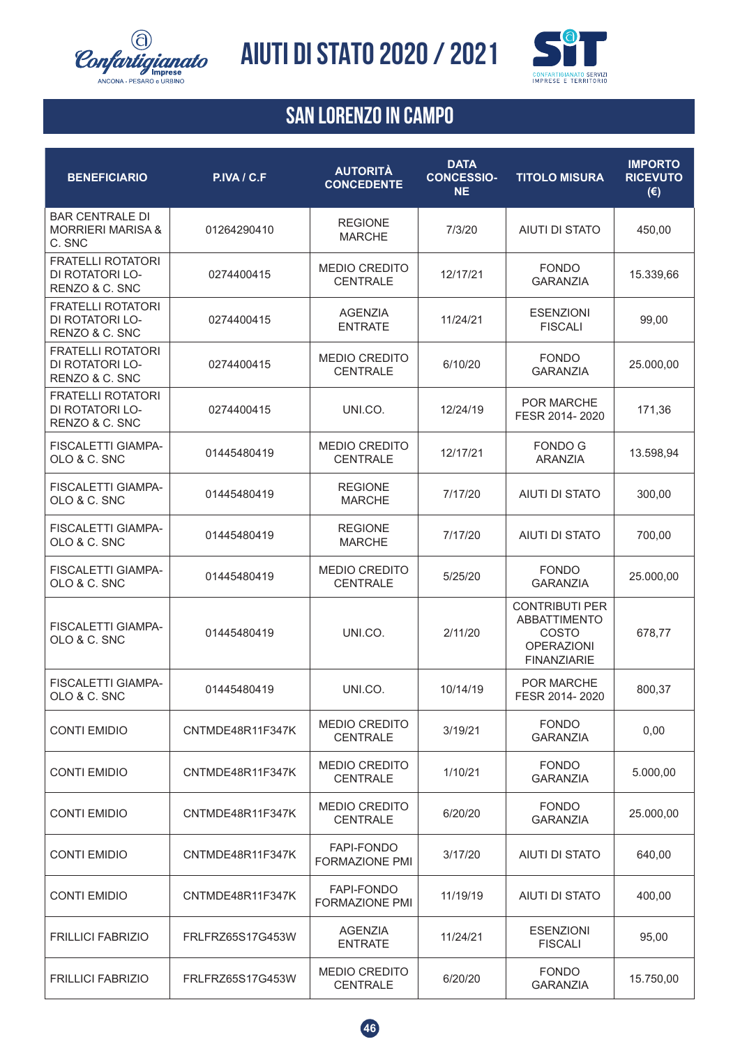![](_page_45_Picture_0.jpeg)

![](_page_45_Picture_2.jpeg)

| <b>BENEFICIARIO</b>                                              | P.IVA / C.F      | <b>AUTORITÀ</b><br><b>CONCEDENTE</b>    | <b>DATA</b><br><b>CONCESSIO-</b><br><b>NE</b> | <b>TITOLO MISURA</b>                                                                             | <b>IMPORTO</b><br><b>RICEVUTO</b><br>$(\epsilon)$ |
|------------------------------------------------------------------|------------------|-----------------------------------------|-----------------------------------------------|--------------------------------------------------------------------------------------------------|---------------------------------------------------|
| <b>BAR CENTRALE DI</b><br><b>MORRIERI MARISA &amp;</b><br>C. SNC | 01264290410      | <b>REGIONE</b><br><b>MARCHE</b>         | 7/3/20                                        | <b>AIUTI DI STATO</b>                                                                            | 450,00                                            |
| <b>FRATELLI ROTATORI</b><br>DI ROTATORI LO-<br>RENZO & C. SNC    | 0274400415       | <b>MEDIO CREDITO</b><br><b>CENTRALE</b> | 12/17/21                                      | <b>FONDO</b><br><b>GARANZIA</b>                                                                  | 15.339,66                                         |
| <b>FRATELLI ROTATORI</b><br>DI ROTATORI LO-<br>RENZO & C. SNC    | 0274400415       | <b>AGENZIA</b><br><b>ENTRATE</b>        | 11/24/21                                      | <b>ESENZIONI</b><br><b>FISCALI</b>                                                               | 99,00                                             |
| <b>FRATELLI ROTATORI</b><br>DI ROTATORI LO-<br>RENZO & C. SNC    | 0274400415       | <b>MEDIO CREDITO</b><br><b>CENTRALE</b> | 6/10/20                                       | <b>FONDO</b><br><b>GARANZIA</b>                                                                  | 25.000,00                                         |
| <b>FRATELLI ROTATORI</b><br>DI ROTATORI LO-<br>RENZO & C. SNC    | 0274400415       | UNI.CO.                                 | 12/24/19                                      | <b>POR MARCHE</b><br>FESR 2014-2020                                                              | 171,36                                            |
| <b>FISCALETTI GIAMPA-</b><br>OLO & C. SNC                        | 01445480419      | <b>MEDIO CREDITO</b><br><b>CENTRALE</b> | 12/17/21                                      | <b>FONDO G</b><br><b>ARANZIA</b>                                                                 | 13.598,94                                         |
| <b>FISCALETTI GIAMPA-</b><br>OLO & C. SNC                        | 01445480419      | <b>REGIONE</b><br><b>MARCHE</b>         | 7/17/20                                       | <b>AIUTI DI STATO</b>                                                                            | 300,00                                            |
| <b>FISCALETTI GIAMPA-</b><br>OLO & C. SNC                        | 01445480419      | <b>REGIONE</b><br><b>MARCHE</b>         | 7/17/20                                       | <b>AIUTI DI STATO</b>                                                                            | 700,00                                            |
| <b>FISCALETTI GIAMPA-</b><br>OLO & C. SNC                        | 01445480419      | MEDIO CREDITO<br><b>CENTRALE</b>        | 5/25/20                                       | <b>FONDO</b><br><b>GARANZIA</b>                                                                  | 25.000,00                                         |
| <b>FISCALETTI GIAMPA-</b><br>OLO & C. SNC                        | 01445480419      | UNI.CO.                                 | 2/11/20                                       | <b>CONTRIBUTI PER</b><br><b>ABBATTIMENTO</b><br>COSTO<br><b>OPERAZIONI</b><br><b>FINANZIARIE</b> | 678,77                                            |
| <b>FISCALETTI GIAMPA-</b><br>OLO & C. SNC                        | 01445480419      | UNI.CO.                                 | 10/14/19                                      | POR MARCHE<br>FESR 2014-2020                                                                     | 800,37                                            |
| <b>CONTI EMIDIO</b>                                              | CNTMDE48R11F347K | <b>MEDIO CREDITO</b><br><b>CENTRALE</b> | 3/19/21                                       | <b>FONDO</b><br><b>GARANZIA</b>                                                                  | 0,00                                              |
| <b>CONTI EMIDIO</b>                                              | CNTMDE48R11F347K | <b>MEDIO CREDITO</b><br><b>CENTRALE</b> | 1/10/21                                       | <b>FONDO</b><br><b>GARANZIA</b>                                                                  | 5.000,00                                          |
| <b>CONTI EMIDIO</b>                                              | CNTMDE48R11F347K | <b>MEDIO CREDITO</b><br><b>CENTRALE</b> | 6/20/20                                       | <b>FONDO</b><br><b>GARANZIA</b>                                                                  | 25.000,00                                         |
| <b>CONTI EMIDIO</b>                                              | CNTMDE48R11F347K | <b>FAPI-FONDO</b><br>FORMAZIONE PMI     | 3/17/20                                       | <b>AIUTI DI STATO</b>                                                                            | 640,00                                            |
| <b>CONTI EMIDIO</b>                                              | CNTMDE48R11F347K | FAPI-FONDO<br><b>FORMAZIONE PMI</b>     | 11/19/19                                      | AIUTI DI STATO                                                                                   | 400,00                                            |
| <b>FRILLICI FABRIZIO</b>                                         | FRLFRZ65S17G453W | <b>AGENZIA</b><br><b>ENTRATE</b>        | 11/24/21                                      | <b>ESENZIONI</b><br><b>FISCALI</b>                                                               | 95,00                                             |
| <b>FRILLICI FABRIZIO</b>                                         | FRLFRZ65S17G453W | <b>MEDIO CREDITO</b><br>CENTRALE        | 6/20/20                                       | <b>FONDO</b><br><b>GARANZIA</b>                                                                  | 15.750,00                                         |

![](_page_45_Picture_5.jpeg)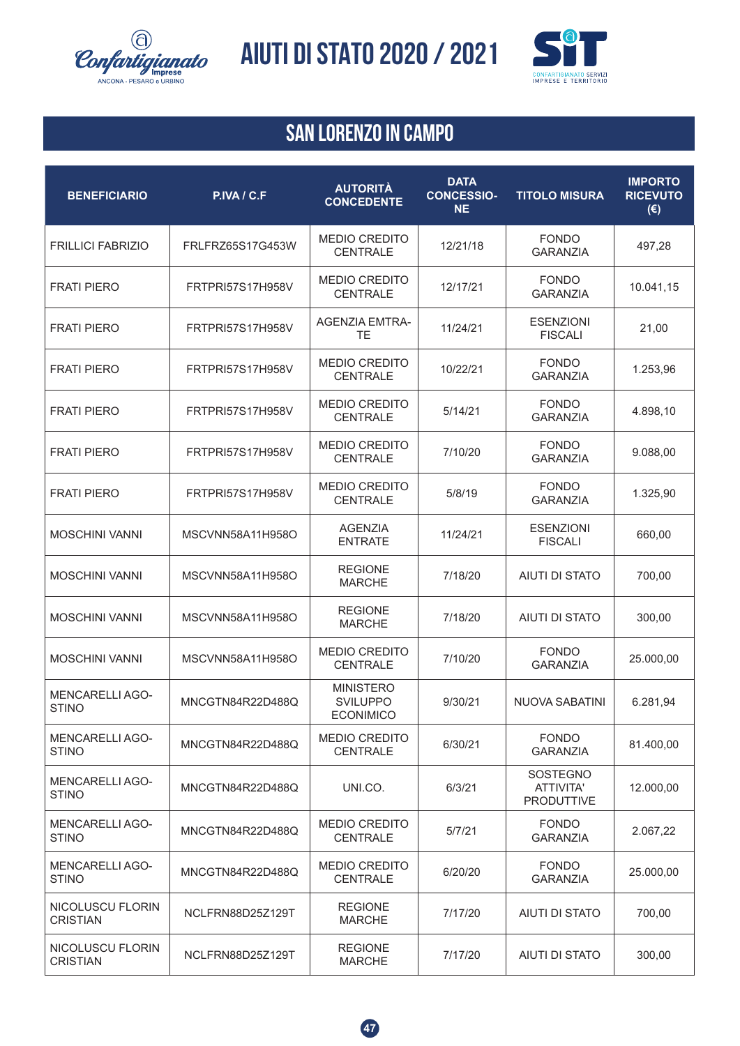![](_page_46_Picture_0.jpeg)

![](_page_46_Picture_2.jpeg)

| <b>BENEFICIARIO</b>                    | P.IVA / C.F             | <b>AUTORITÀ</b><br><b>CONCEDENTE</b>                    | <b>DATA</b><br><b>CONCESSIO-</b><br><b>NE</b> | <b>TITOLO MISURA</b>                       | <b>IMPORTO</b><br><b>RICEVUTO</b><br>$(\epsilon)$ |
|----------------------------------------|-------------------------|---------------------------------------------------------|-----------------------------------------------|--------------------------------------------|---------------------------------------------------|
| <b>FRILLICI FABRIZIO</b>               | FRLFRZ65S17G453W        | <b>MEDIO CREDITO</b><br><b>CENTRALE</b>                 | 12/21/18                                      | <b>FONDO</b><br><b>GARANZIA</b>            | 497,28                                            |
| <b>FRATI PIERO</b>                     | <b>FRTPRI57S17H958V</b> | <b>MEDIO CREDITO</b><br><b>CENTRALE</b>                 | 12/17/21                                      | <b>FONDO</b><br><b>GARANZIA</b>            | 10.041,15                                         |
| <b>FRATI PIERO</b>                     | <b>FRTPRI57S17H958V</b> | <b>AGENZIA EMTRA-</b><br><b>TE</b>                      | 11/24/21                                      | <b>ESENZIONI</b><br><b>FISCALI</b>         | 21,00                                             |
| <b>FRATI PIERO</b>                     | <b>FRTPRI57S17H958V</b> | <b>MEDIO CREDITO</b><br><b>CENTRALE</b>                 | 10/22/21                                      | <b>FONDO</b><br><b>GARANZIA</b>            | 1.253,96                                          |
| <b>FRATI PIERO</b>                     | <b>FRTPRI57S17H958V</b> | <b>MEDIO CREDITO</b><br><b>CENTRALE</b>                 | 5/14/21                                       | <b>FONDO</b><br><b>GARANZIA</b>            | 4.898,10                                          |
| <b>FRATI PIERO</b>                     | FRTPRI57S17H958V        | <b>MEDIO CREDITO</b><br><b>CENTRALE</b>                 | 7/10/20                                       | <b>FONDO</b><br><b>GARANZIA</b>            | 9.088,00                                          |
| <b>FRATI PIERO</b>                     | FRTPRI57S17H958V        | <b>MEDIO CREDITO</b><br><b>CENTRALE</b>                 | 5/8/19                                        | <b>FONDO</b><br><b>GARANZIA</b>            | 1.325,90                                          |
| <b>MOSCHINI VANNI</b>                  | MSCVNN58A11H958O        | AGENZIA<br><b>ENTRATE</b>                               | 11/24/21                                      | <b>ESENZIONI</b><br><b>FISCALI</b>         | 660,00                                            |
| <b>MOSCHINI VANNI</b>                  | MSCVNN58A11H958O        | <b>REGIONE</b><br><b>MARCHE</b>                         | 7/18/20                                       | <b>AIUTI DI STATO</b>                      | 700,00                                            |
| <b>MOSCHINI VANNI</b>                  | MSCVNN58A11H958O        | <b>REGIONE</b><br><b>MARCHE</b>                         | 7/18/20                                       | <b>AIUTI DI STATO</b>                      | 300,00                                            |
| <b>MOSCHINI VANNI</b>                  | MSCVNN58A11H958O        | <b>MEDIO CREDITO</b><br><b>CENTRALE</b>                 | 7/10/20                                       | <b>FONDO</b><br><b>GARANZIA</b>            | 25.000,00                                         |
| <b>MENCARELLI AGO-</b><br><b>STINO</b> | MNCGTN84R22D488Q        | <b>MINISTERO</b><br><b>SVILUPPO</b><br><b>ECONIMICO</b> | 9/30/21                                       | <b>NUOVA SABATINI</b>                      | 6.281,94                                          |
| <b>MENCARELLI AGO-</b><br><b>STINO</b> | MNCGTN84R22D488Q        | <b>MEDIO CREDITO</b><br><b>CENTRALE</b>                 | 6/30/21                                       | <b>FONDO</b><br><b>GARANZIA</b>            | 81.400,00                                         |
| <b>MENCARELLI AGO-</b><br><b>STINO</b> | MNCGTN84R22D488Q        | UNI.CO.                                                 | 6/3/21                                        | SOSTEGNO<br>ATTIVITA'<br><b>PRODUTTIVE</b> | 12.000,00                                         |
| <b>MENCARELLI AGO-</b><br><b>STINO</b> | MNCGTN84R22D488Q        | <b>MEDIO CREDITO</b><br><b>CENTRALE</b>                 | 5/7/21                                        | <b>FONDO</b><br><b>GARANZIA</b>            | 2.067,22                                          |
| <b>MENCARELLIAGO-</b><br><b>STINO</b>  | MNCGTN84R22D488Q        | <b>MEDIO CREDITO</b><br><b>CENTRALE</b>                 | 6/20/20                                       | <b>FONDO</b><br><b>GARANZIA</b>            | 25.000,00                                         |
| NICOLUSCU FLORIN<br><b>CRISTIAN</b>    | NCLFRN88D25Z129T        | <b>REGIONE</b><br><b>MARCHE</b>                         | 7/17/20                                       | <b>AIUTI DI STATO</b>                      | 700,00                                            |
| NICOLUSCU FLORIN<br><b>CRISTIAN</b>    | NCLFRN88D25Z129T        | <b>REGIONE</b><br><b>MARCHE</b>                         | 7/17/20                                       | <b>AIUTI DI STATO</b>                      | 300,00                                            |

![](_page_46_Picture_5.jpeg)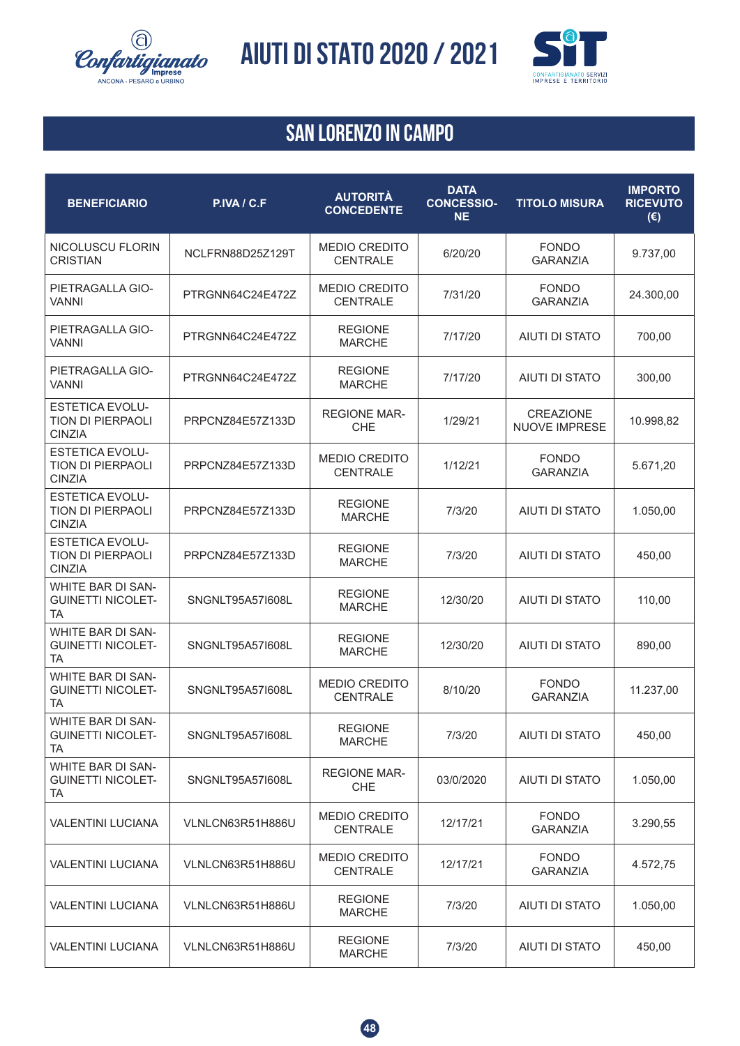![](_page_47_Picture_0.jpeg)

![](_page_47_Picture_2.jpeg)

| <b>BENEFICIARIO</b>                                                 | P.IVA / C.F      | <b>AUTORITÀ</b><br><b>CONCEDENTE</b>    | <b>DATA</b><br><b>CONCESSIO-</b><br><b>NE</b> | <b>TITOLO MISURA</b>                     | <b>IMPORTO</b><br><b>RICEVUTO</b><br>$(\epsilon)$ |
|---------------------------------------------------------------------|------------------|-----------------------------------------|-----------------------------------------------|------------------------------------------|---------------------------------------------------|
| NICOLUSCU FLORIN<br><b>CRISTIAN</b>                                 | NCLFRN88D25Z129T | <b>MEDIO CREDITO</b><br><b>CENTRALE</b> | 6/20/20                                       | <b>FONDO</b><br><b>GARANZIA</b>          | 9.737,00                                          |
| PIETRAGALLA GIO-<br><b>VANNI</b>                                    | PTRGNN64C24E472Z | <b>MEDIO CREDITO</b><br><b>CENTRALE</b> | 7/31/20                                       | <b>FONDO</b><br><b>GARANZIA</b>          | 24.300,00                                         |
| PIETRAGALLA GIO-<br>VANNI                                           | PTRGNN64C24E472Z | <b>REGIONE</b><br><b>MARCHE</b>         | 7/17/20                                       | <b>AIUTI DI STATO</b>                    | 700,00                                            |
| PIETRAGALLA GIO-<br><b>VANNI</b>                                    | PTRGNN64C24E472Z | <b>REGIONE</b><br><b>MARCHE</b>         | 7/17/20                                       | <b>AIUTI DI STATO</b>                    | 300,00                                            |
| <b>ESTETICA EVOLU-</b><br>TION DI PIERPAOLI<br><b>CINZIA</b>        | PRPCNZ84E57Z133D | <b>REGIONE MAR-</b><br><b>CHE</b>       | 1/29/21                                       | <b>CREAZIONE</b><br><b>NUOVE IMPRESE</b> | 10.998,82                                         |
| <b>ESTETICA EVOLU-</b><br>TION DI PIERPAOLI<br><b>CINZIA</b>        | PRPCNZ84E57Z133D | <b>MEDIO CREDITO</b><br><b>CENTRALE</b> | 1/12/21                                       | <b>FONDO</b><br><b>GARANZIA</b>          | 5.671,20                                          |
| <b>ESTETICA EVOLU-</b><br>TION DI PIERPAOLI<br><b>CINZIA</b>        | PRPCNZ84E57Z133D | <b>REGIONE</b><br><b>MARCHE</b>         | 7/3/20                                        | <b>AIUTI DI STATO</b>                    | 1.050,00                                          |
| <b>ESTETICA EVOLU-</b><br><b>TION DI PIERPAOLI</b><br><b>CINZIA</b> | PRPCNZ84E57Z133D | <b>REGIONE</b><br><b>MARCHE</b>         | 7/3/20                                        | <b>AIUTI DI STATO</b>                    | 450,00                                            |
| <b>WHITE BAR DI SAN-</b><br><b>GUINETTI NICOLET-</b><br><b>TA</b>   | SNGNLT95A57I608L | <b>REGIONE</b><br><b>MARCHE</b>         | 12/30/20                                      | <b>AIUTI DI STATO</b>                    | 110,00                                            |
| WHITE BAR DI SAN-<br><b>GUINETTI NICOLET-</b><br><b>TA</b>          | SNGNLT95A57I608L | <b>REGIONE</b><br><b>MARCHE</b>         | 12/30/20                                      | <b>AIUTI DI STATO</b>                    | 890,00                                            |
| WHITE BAR DI SAN-<br><b>GUINETTI NICOLET-</b><br><b>TA</b>          | SNGNLT95A57I608L | <b>MEDIO CREDITO</b><br><b>CENTRALE</b> | 8/10/20                                       | <b>FONDO</b><br><b>GARANZIA</b>          | 11.237,00                                         |
| WHITE BAR DI SAN-<br><b>GUINETTI NICOLET-</b><br>TA                 | SNGNLT95A57I608L | <b>REGIONE</b><br><b>MARCHE</b>         | 7/3/20                                        | AIUTI DI STATO                           | 450,00                                            |
| <b>WHITE BAR DI SAN-</b><br><b>GUINETTI NICOLET-</b><br>TA          | SNGNLT95A57I608L | <b>REGIONE MAR-</b><br><b>CHE</b>       | 03/0/2020                                     | AIUTI DI STATO                           | 1.050,00                                          |
| <b>VALENTINI LUCIANA</b>                                            | VLNLCN63R51H886U | <b>MEDIO CREDITO</b><br><b>CENTRALE</b> | 12/17/21                                      | <b>FONDO</b><br><b>GARANZIA</b>          | 3.290,55                                          |
| <b>VALENTINI LUCIANA</b>                                            | VLNLCN63R51H886U | <b>MEDIO CREDITO</b><br><b>CENTRALE</b> | 12/17/21                                      | <b>FONDO</b><br><b>GARANZIA</b>          | 4.572,75                                          |
| <b>VALENTINI LUCIANA</b>                                            | VLNLCN63R51H886U | <b>REGIONE</b><br><b>MARCHE</b>         | 7/3/20                                        | AIUTI DI STATO                           | 1.050,00                                          |
| <b>VALENTINI LUCIANA</b>                                            | VLNLCN63R51H886U | <b>REGIONE</b><br><b>MARCHE</b>         | 7/3/20                                        | AIUTI DI STATO                           | 450,00                                            |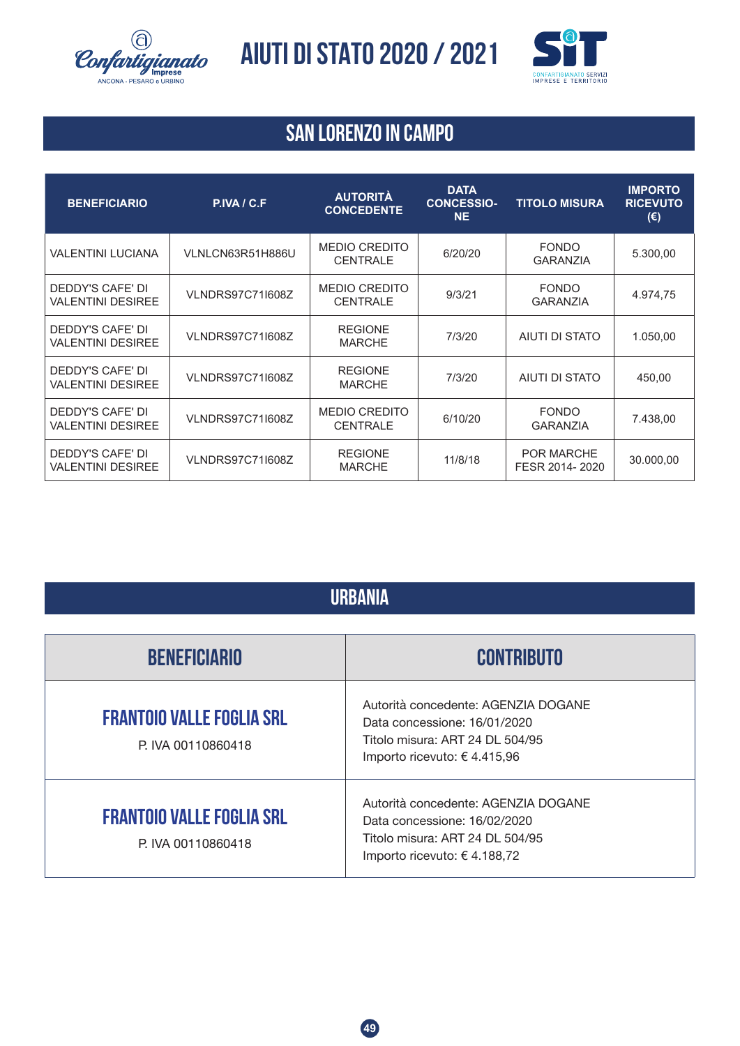![](_page_48_Picture_0.jpeg)

![](_page_48_Picture_2.jpeg)

### **SAN LORENZO IN CAMPO**

| <b>BENEFICIARIO</b>                                 | P.IVA / C.F             | <b>AUTORITÀ</b><br><b>CONCEDENTE</b>    | <b>DATA</b><br><b>CONCESSIO-</b><br><b>NE</b> | <b>TITOLO MISURA</b>                | <b>IMPORTO</b><br><b>RICEVUTO</b><br>$(\epsilon)$ |
|-----------------------------------------------------|-------------------------|-----------------------------------------|-----------------------------------------------|-------------------------------------|---------------------------------------------------|
| VALENTINI LUCIANA                                   | VLNLCN63R51H886U        | <b>MEDIO CREDITO</b><br><b>CENTRALE</b> | 6/20/20                                       | <b>FONDO</b><br><b>GARANZIA</b>     | 5.300,00                                          |
| DEDDY'S CAFE' DI<br><b>VALENTINI DESIREE</b>        | <b>VLNDRS97C71I608Z</b> | <b>MEDIO CREDITO</b><br><b>CENTRALE</b> | 9/3/21                                        | <b>FONDO</b><br><b>GARANZIA</b>     | 4.974,75                                          |
| DEDDY'S CAFE' DI<br><b>VALENTINI DESIREE</b>        | <b>VLNDRS97C71I608Z</b> | <b>REGIONE</b><br><b>MARCHE</b>         | 7/3/20                                        | AIUTI DI STATO                      | 1.050,00                                          |
| DEDDY'S CAFE' DI<br><b>VALENTINI DESIREE</b>        | <b>VLNDRS97C71I608Z</b> | <b>REGIONE</b><br><b>MARCHE</b>         | 7/3/20                                        | AIUTI DI STATO                      | 450,00                                            |
| <b>DEDDY'S CAFE' DI</b><br><b>VALENTINI DESIREE</b> | <b>VLNDRS97C71I608Z</b> | <b>MEDIO CREDITO</b><br><b>CENTRALE</b> | 6/10/20                                       | <b>FONDO</b><br><b>GARANZIA</b>     | 7.438,00                                          |
| DEDDY'S CAFE' DI<br><b>VALENTINI DESIREE</b>        | <b>VLNDRS97C71I608Z</b> | <b>REGIONE</b><br><b>MARCHE</b>         | 11/8/18                                       | <b>POR MARCHE</b><br>FESR 2014-2020 | 30.000,00                                         |

| <b>BENEFICIARIO</b>                                   | <b>CONTRIBUTO</b>                                                                                                                               |
|-------------------------------------------------------|-------------------------------------------------------------------------------------------------------------------------------------------------|
| <b>FRANTOIO VALLE FOGLIA SRL</b><br>P IVA 00110860418 | Autorità concedente: AGENZIA DOGANE<br>Data concessione: 16/01/2020<br>Titolo misura: ART 24 DL 504/95<br>Importo ricevuto: €4.415,96           |
| <b>FRANTOIO VALLE FOGLIA SRL</b><br>P IVA 00110860418 | Autorità concedente: AGENZIA DOGANE<br>Data concessione: 16/02/2020<br>Titolo misura: ART 24 DL 504/95<br>Importo ricevuto: $\epsilon$ 4.188,72 |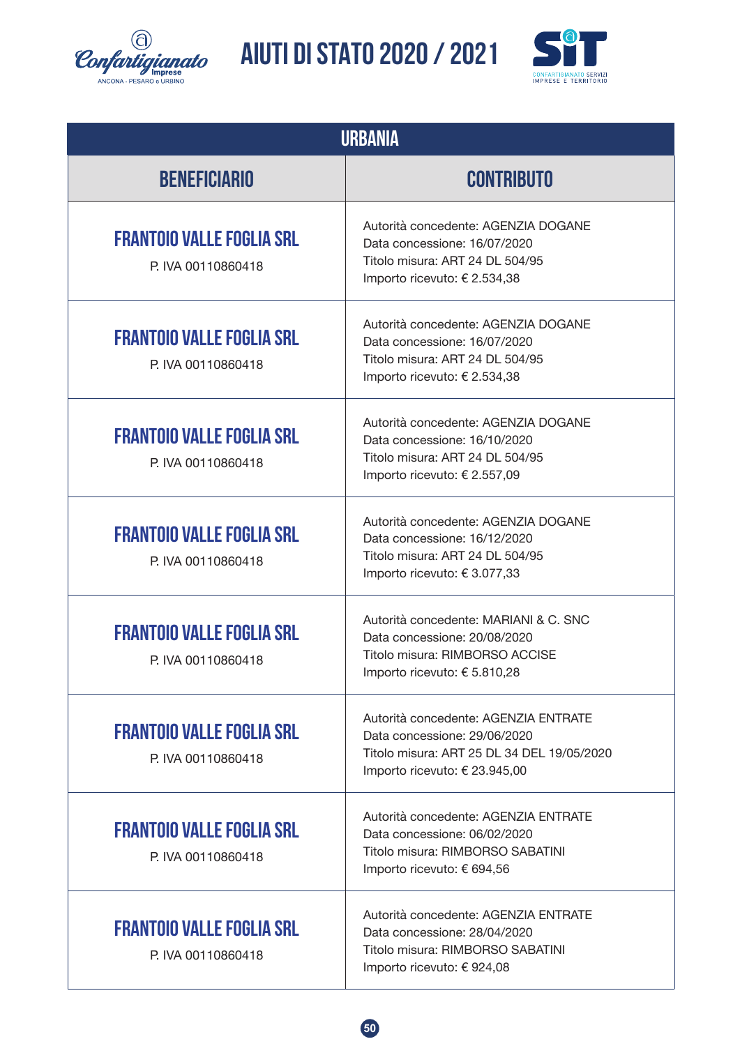![](_page_49_Picture_0.jpeg)

![](_page_49_Picture_2.jpeg)

| <b>URBANIA</b>                                         |                                                                                                                                                     |  |  |
|--------------------------------------------------------|-----------------------------------------------------------------------------------------------------------------------------------------------------|--|--|
| <b>BENEFICIARIO</b>                                    | <b>CONTRIBUTO</b>                                                                                                                                   |  |  |
| <b>FRANTOIO VALLE FOGLIA SRL</b><br>P. IVA 00110860418 | Autorità concedente: AGENZIA DOGANE<br>Data concessione: 16/07/2020<br>Titolo misura: ART 24 DL 504/95<br>Importo ricevuto: € 2.534,38              |  |  |
| <b>FRANTOIO VALLE FOGLIA SRL</b><br>P. IVA 00110860418 | Autorità concedente: AGENZIA DOGANE<br>Data concessione: 16/07/2020<br>Titolo misura: ART 24 DL 504/95<br>Importo ricevuto: € 2.534,38              |  |  |
| <b>FRANTOIO VALLE FOGLIA SRL</b><br>P. IVA 00110860418 | Autorità concedente: AGENZIA DOGANE<br>Data concessione: 16/10/2020<br>Titolo misura: ART 24 DL 504/95<br>Importo ricevuto: € 2.557,09              |  |  |
| <b>FRANTOIO VALLE FOGLIA SRL</b><br>P. IVA 00110860418 | Autorità concedente: AGENZIA DOGANE<br>Data concessione: 16/12/2020<br>Titolo misura: ART 24 DL 504/95<br>Importo ricevuto: €3.077,33               |  |  |
| <b>FRANTOIO VALLE FOGLIA SRL</b><br>P. IVA 00110860418 | Autorità concedente: MARIANI & C. SNC<br>Data concessione: 20/08/2020<br>Titolo misura: RIMBORSO ACCISE<br>Importo ricevuto: € 5.810,28             |  |  |
| <b>FRANTOIO VALLE FOGLIA SRL</b><br>P. IVA 00110860418 | Autorità concedente: AGENZIA ENTRATE<br>Data concessione: 29/06/2020<br>Titolo misura: ART 25 DL 34 DEL 19/05/2020<br>Importo ricevuto: € 23.945,00 |  |  |
| <b>FRANTOIO VALLE FOGLIA SRL</b><br>P. IVA 00110860418 | Autorità concedente: AGENZIA ENTRATE<br>Data concessione: 06/02/2020<br>Titolo misura: RIMBORSO SABATINI<br>Importo ricevuto: € 694,56              |  |  |
| <b>FRANTOIO VALLE FOGLIA SRL</b><br>P. IVA 00110860418 | Autorità concedente: AGENZIA ENTRATE<br>Data concessione: 28/04/2020<br>Titolo misura: RIMBORSO SABATINI<br>Importo ricevuto: € 924,08              |  |  |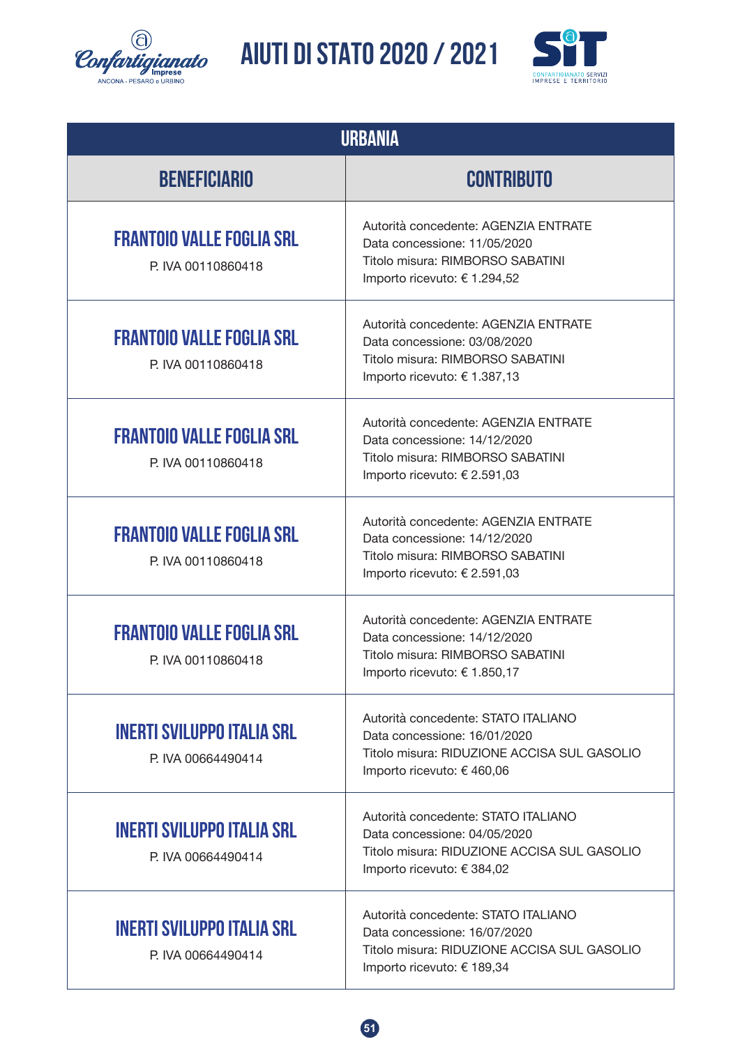![](_page_50_Picture_0.jpeg)

![](_page_50_Picture_2.jpeg)

| <b>URBANIA</b>                                          |                                                                                                                                                  |  |  |
|---------------------------------------------------------|--------------------------------------------------------------------------------------------------------------------------------------------------|--|--|
| <b>BENEFICIARIO</b>                                     | <b>CONTRIBUTO</b>                                                                                                                                |  |  |
| <b>FRANTOIO VALLE FOGLIA SRL</b><br>P. IVA 00110860418  | Autorità concedente: AGENZIA ENTRATE<br>Data concessione: 11/05/2020<br>Titolo misura: RIMBORSO SABATINI<br>Importo ricevuto: € 1.294,52         |  |  |
| <b>FRANTOIO VALLE FOGLIA SRL</b><br>P. IVA 00110860418  | Autorità concedente: AGENZIA ENTRATE<br>Data concessione: 03/08/2020<br>Titolo misura: RIMBORSO SABATINI<br>Importo ricevuto: € 1.387,13         |  |  |
| <b>FRANTOIO VALLE FOGLIA SRL</b><br>P. IVA 00110860418  | Autorità concedente: AGENZIA ENTRATE<br>Data concessione: 14/12/2020<br>Titolo misura: RIMBORSO SABATINI<br>Importo ricevuto: € 2.591,03         |  |  |
| <b>FRANTOIO VALLE FOGLIA SRL</b><br>P. IVA 00110860418  | Autorità concedente: AGENZIA ENTRATE<br>Data concessione: 14/12/2020<br>Titolo misura: RIMBORSO SABATINI<br>Importo ricevuto: € 2.591,03         |  |  |
| <b>FRANTOIO VALLE FOGLIA SRL</b><br>P. IVA 00110860418  | Autorità concedente: AGENZIA ENTRATE<br>Data concessione: 14/12/2020<br>Titolo misura: RIMBORSO SABATINI<br>Importo ricevuto: € 1.850,17         |  |  |
| <b>INERTI SVILUPPO ITALIA SRL</b><br>P. IVA 00664490414 | Autorità concedente: STATO ITALIANO<br>Data concessione: 16/01/2020<br>Titolo misura: RIDUZIONE ACCISA SUL GASOLIO<br>Importo ricevuto: € 460,06 |  |  |
| <b>INERTI SVILUPPO ITALIA SRL</b><br>P. IVA 00664490414 | Autorità concedente: STATO ITALIANO<br>Data concessione: 04/05/2020<br>Titolo misura: RIDUZIONE ACCISA SUL GASOLIO<br>Importo ricevuto: € 384,02 |  |  |
| <b>INERTI SVILUPPO ITALIA SRL</b><br>P. IVA 00664490414 | Autorità concedente: STATO ITALIANO<br>Data concessione: 16/07/2020<br>Titolo misura: RIDUZIONE ACCISA SUL GASOLIO<br>Importo ricevuto: € 189,34 |  |  |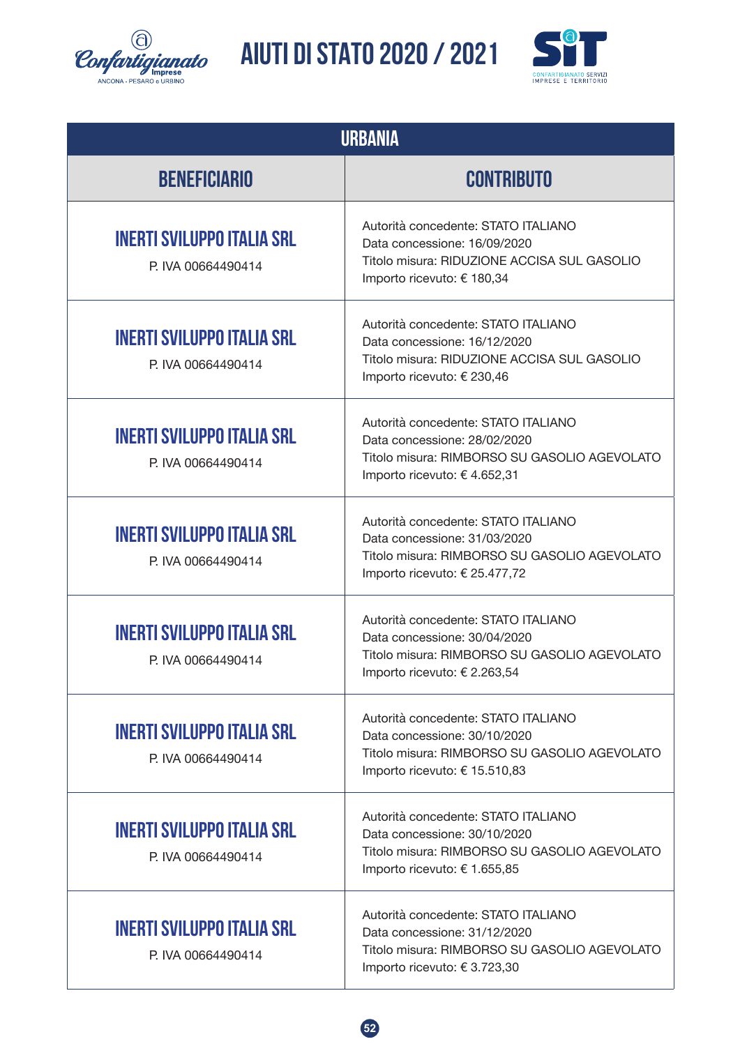![](_page_51_Picture_0.jpeg)

![](_page_51_Picture_2.jpeg)

| <b>URBANIA</b>                                          |                                                                                                                                                      |  |  |
|---------------------------------------------------------|------------------------------------------------------------------------------------------------------------------------------------------------------|--|--|
| <b>BENEFICIARIO</b>                                     | <b>CONTRIBUTO</b>                                                                                                                                    |  |  |
| <b>INERTI SVILUPPO ITALIA SRL</b><br>P. IVA 00664490414 | Autorità concedente: STATO ITALIANO<br>Data concessione: 16/09/2020<br>Titolo misura: RIDUZIONE ACCISA SUL GASOLIO<br>Importo ricevuto: € 180,34     |  |  |
| <b>INERTI SVILUPPO ITALIA SRL</b><br>P. IVA 00664490414 | Autorità concedente: STATO ITALIANO<br>Data concessione: 16/12/2020<br>Titolo misura: RIDUZIONE ACCISA SUL GASOLIO<br>Importo ricevuto: € 230,46     |  |  |
| <b>INERTI SVILUPPO ITALIA SRL</b><br>P. IVA 00664490414 | Autorità concedente: STATO ITALIANO<br>Data concessione: 28/02/2020<br>Titolo misura: RIMBORSO SU GASOLIO AGEVOLATO<br>Importo ricevuto: € 4.652,31  |  |  |
| <b>INERTI SVILUPPO ITALIA SRL</b><br>P. IVA 00664490414 | Autorità concedente: STATO ITALIANO<br>Data concessione: 31/03/2020<br>Titolo misura: RIMBORSO SU GASOLIO AGEVOLATO<br>Importo ricevuto: € 25.477,72 |  |  |
| <b>INERTI SVILUPPO ITALIA SRL</b><br>P. IVA 00664490414 | Autorità concedente: STATO ITALIANO<br>Data concessione: 30/04/2020<br>Titolo misura: RIMBORSO SU GASOLIO AGEVOLATO<br>Importo ricevuto: € 2.263,54  |  |  |
| <b>INERTI SVILUPPO ITALIA SRL</b><br>P. IVA 00664490414 | Autorità concedente: STATO ITALIANO<br>Data concessione: 30/10/2020<br>Titolo misura: RIMBORSO SU GASOLIO AGEVOLATO<br>Importo ricevuto: € 15.510,83 |  |  |
| <b>INERTI SVILUPPO ITALIA SRL</b><br>P. IVA 00664490414 | Autorità concedente: STATO ITALIANO<br>Data concessione: 30/10/2020<br>Titolo misura: RIMBORSO SU GASOLIO AGEVOLATO<br>Importo ricevuto: € 1.655,85  |  |  |
| <b>INERTI SVILUPPO ITALIA SRL</b><br>P. IVA 00664490414 | Autorità concedente: STATO ITALIANO<br>Data concessione: 31/12/2020<br>Titolo misura: RIMBORSO SU GASOLIO AGEVOLATO<br>Importo ricevuto: € 3.723,30  |  |  |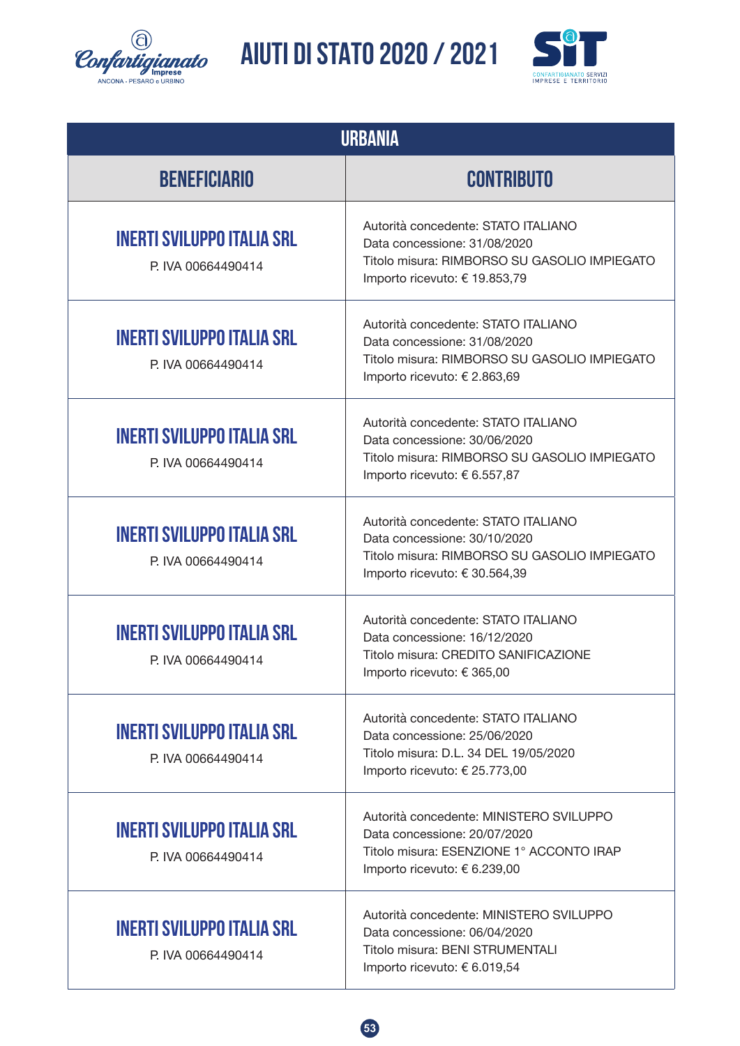![](_page_52_Picture_0.jpeg)

![](_page_52_Picture_2.jpeg)

| <b>URBANIA</b>                                          |                                                                                                                                                      |  |  |
|---------------------------------------------------------|------------------------------------------------------------------------------------------------------------------------------------------------------|--|--|
| <b>BENEFICIARIO</b>                                     | <b>CONTRIBUTO</b>                                                                                                                                    |  |  |
| <b>INERTI SVILUPPO ITALIA SRL</b><br>P. IVA 00664490414 | Autorità concedente: STATO ITALIANO<br>Data concessione: 31/08/2020<br>Titolo misura: RIMBORSO SU GASOLIO IMPIEGATO<br>Importo ricevuto: € 19.853,79 |  |  |
| <b>INERTI SVILUPPO ITALIA SRL</b><br>P. IVA 00664490414 | Autorità concedente: STATO ITALIANO<br>Data concessione: 31/08/2020<br>Titolo misura: RIMBORSO SU GASOLIO IMPIEGATO<br>Importo ricevuto: € 2.863,69  |  |  |
| <b>INERTI SVILUPPO ITALIA SRL</b><br>P. IVA 00664490414 | Autorità concedente: STATO ITALIANO<br>Data concessione: 30/06/2020<br>Titolo misura: RIMBORSO SU GASOLIO IMPIEGATO<br>Importo ricevuto: € 6.557,87  |  |  |
| <b>INERTI SVILUPPO ITALIA SRL</b><br>P. IVA 00664490414 | Autorità concedente: STATO ITALIANO<br>Data concessione: 30/10/2020<br>Titolo misura: RIMBORSO SU GASOLIO IMPIEGATO<br>Importo ricevuto: €30.564,39  |  |  |
| <b>INERTI SVILUPPO ITALIA SRL</b><br>P. IVA 00664490414 | Autorità concedente: STATO ITALIANO<br>Data concessione: 16/12/2020<br>Titolo misura: CREDITO SANIFICAZIONE<br>Importo ricevuto: € 365,00            |  |  |
| <b>INERTI SVILUPPO ITALIA SRL</b><br>P. IVA 00664490414 | Autorità concedente: STATO ITALIANO<br>Data concessione: 25/06/2020<br>Titolo misura: D.L. 34 DEL 19/05/2020<br>Importo ricevuto: € 25.773,00        |  |  |
| <b>INERTI SVILUPPO ITALIA SRL</b><br>P. IVA 00664490414 | Autorità concedente: MINISTERO SVILUPPO<br>Data concessione: 20/07/2020<br>Titolo misura: ESENZIONE 1° ACCONTO IRAP<br>Importo ricevuto: € 6.239,00  |  |  |
| <b>INERTI SVILUPPO ITALIA SRL</b><br>P IVA 00664490414  | Autorità concedente: MINISTERO SVILUPPO<br>Data concessione: 06/04/2020<br>Titolo misura: BENI STRUMENTALI<br>Importo ricevuto: € 6.019,54           |  |  |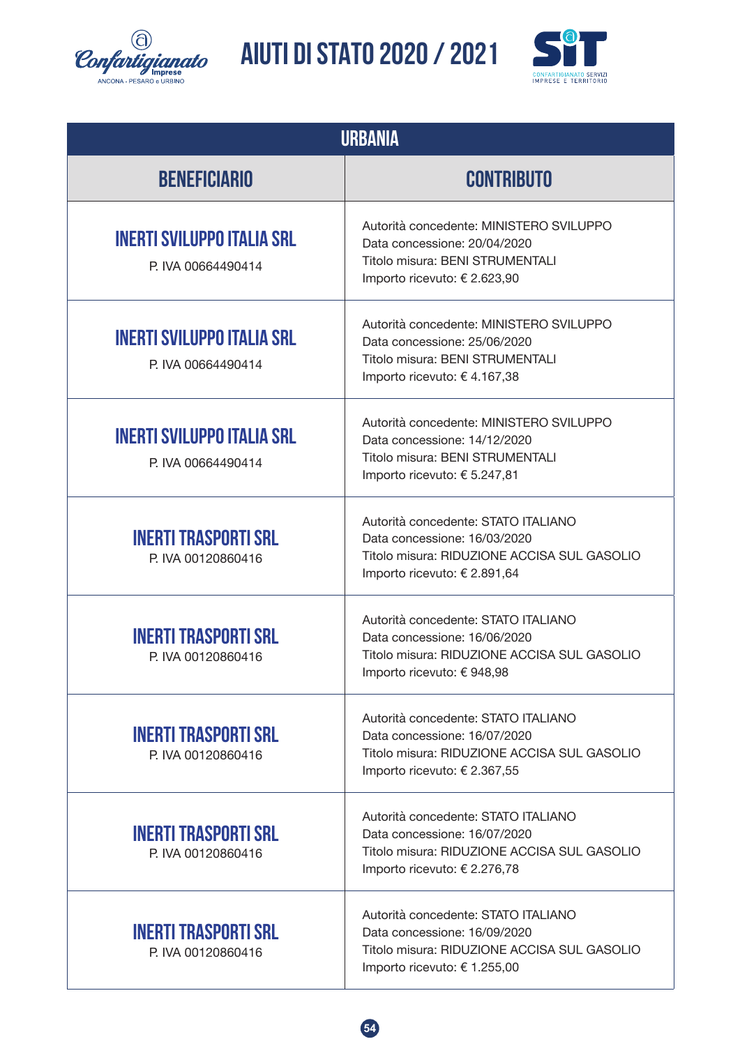![](_page_53_Picture_0.jpeg)

![](_page_53_Picture_2.jpeg)

| <b>URBANIA</b>                                          |                                                                                                                                                    |  |  |
|---------------------------------------------------------|----------------------------------------------------------------------------------------------------------------------------------------------------|--|--|
| <b>BENEFICIARIO</b>                                     | <b>CONTRIBUTO</b>                                                                                                                                  |  |  |
| <b>INERTI SVILUPPO ITALIA SRL</b><br>P. IVA 00664490414 | Autorità concedente: MINISTERO SVILUPPO<br>Data concessione: 20/04/2020<br>Titolo misura: BENI STRUMENTALI<br>Importo ricevuto: € 2.623,90         |  |  |
| <b>INERTI SVILUPPO ITALIA SRL</b><br>P. IVA 00664490414 | Autorità concedente: MINISTERO SVILUPPO<br>Data concessione: 25/06/2020<br>Titolo misura: BENI STRUMENTALI<br>Importo ricevuto: € 4.167,38         |  |  |
| <b>INERTI SVILUPPO ITALIA SRL</b><br>P. IVA 00664490414 | Autorità concedente: MINISTERO SVILUPPO<br>Data concessione: 14/12/2020<br>Titolo misura: BENI STRUMENTALI<br>Importo ricevuto: € 5.247,81         |  |  |
| <b>INERTI TRASPORTI SRL</b><br>P. IVA 00120860416       | Autorità concedente: STATO ITALIANO<br>Data concessione: 16/03/2020<br>Titolo misura: RIDUZIONE ACCISA SUL GASOLIO<br>Importo ricevuto: € 2.891,64 |  |  |
| <b>INERTI TRASPORTI SRL</b><br>P. IVA 00120860416       | Autorità concedente: STATO ITALIANO<br>Data concessione: 16/06/2020<br>Titolo misura: RIDUZIONE ACCISA SUL GASOLIO<br>Importo ricevuto: € 948,98   |  |  |
| <b>INERTI TRASPORTI SRL</b><br>P. IVA 00120860416       | Autorità concedente: STATO ITALIANO<br>Data concessione: 16/07/2020<br>Titolo misura: RIDUZIONE ACCISA SUL GASOLIO<br>Importo ricevuto: € 2.367,55 |  |  |
| <b>INERTI TRASPORTI SRL</b><br>P. IVA 00120860416       | Autorità concedente: STATO ITALIANO<br>Data concessione: 16/07/2020<br>Titolo misura: RIDUZIONE ACCISA SUL GASOLIO<br>Importo ricevuto: € 2.276,78 |  |  |
| <b>INERTI TRASPORTI SRL</b><br>P. IVA 00120860416       | Autorità concedente: STATO ITALIANO<br>Data concessione: 16/09/2020<br>Titolo misura: RIDUZIONE ACCISA SUL GASOLIO<br>Importo ricevuto: € 1.255,00 |  |  |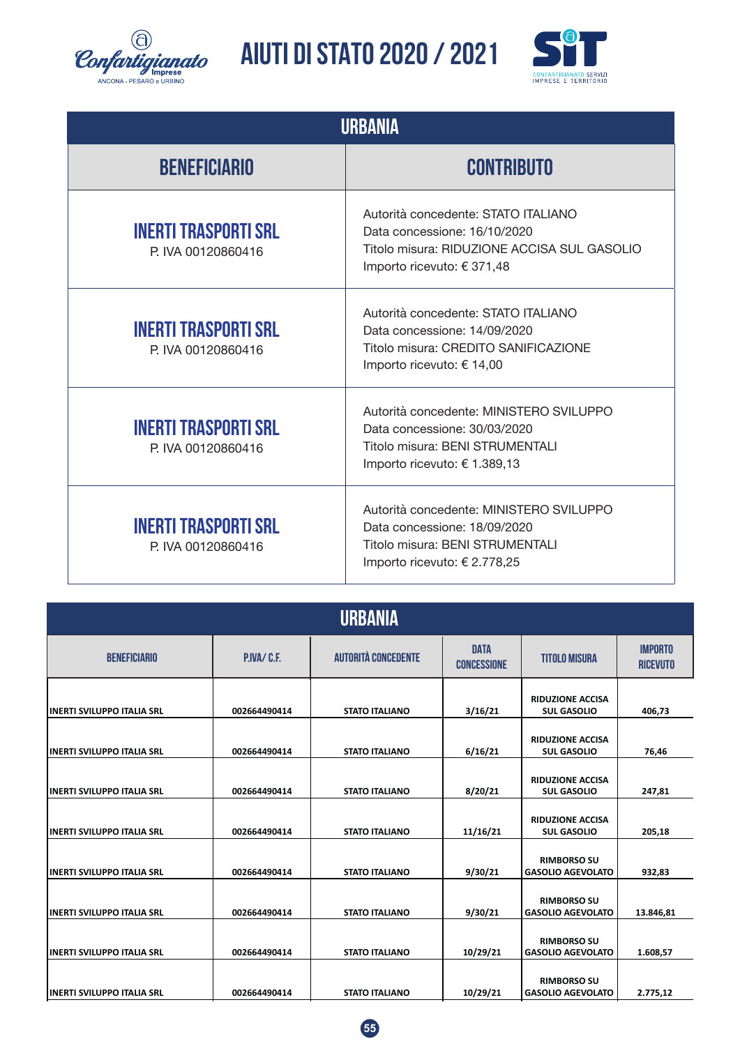![](_page_54_Picture_0.jpeg)

![](_page_54_Picture_2.jpeg)

| <b>URBANIA</b>                                    |                                                                                                                                                  |  |  |
|---------------------------------------------------|--------------------------------------------------------------------------------------------------------------------------------------------------|--|--|
| <b>BENEFICIARIO</b>                               | <b>CONTRIBUTO</b>                                                                                                                                |  |  |
| <b>INERTI TRASPORTI SRL</b><br>P. IVA 00120860416 | Autorità concedente: STATO ITALIANO<br>Data concessione: 16/10/2020<br>Titolo misura: RIDUZIONE ACCISA SUL GASOLIO<br>Importo ricevuto: € 371,48 |  |  |
| <b>INERTI TRASPORTI SRL</b><br>P IVA 00120860416  | Autorità concedente: STATO ITALIANO<br>Data concessione: 14/09/2020<br>Titolo misura: CREDITO SANIFICAZIONE<br>Importo ricevuto: € 14,00         |  |  |
| <b>INERTI TRASPORTI SRL</b><br>P. IVA 00120860416 | Autorità concedente: MINISTERO SVILUPPO<br>Data concessione: 30/03/2020<br>Titolo misura: BENI STRUMENTALI<br>Importo ricevuto: € 1.389,13       |  |  |
| <b>INERTI TRASPORTI SRL</b><br>P. IVA 00120860416 | Autorità concedente: MINISTERO SVILUPPO<br>Data concessione: 18/09/2020<br>Titolo misura: BENI STRUMENTALI<br>Importo ricevuto: € 2.778,25       |  |  |

| <b>URBANIA</b>              |                  |                            |                                   |                                                |                                   |  |  |  |
|-----------------------------|------------------|----------------------------|-----------------------------------|------------------------------------------------|-----------------------------------|--|--|--|
| <b>BENEFICIARIO</b>         | <b>PIVA/C.E.</b> | <b>AUTORITÀ CONCEDENTE</b> | <b>DATA</b><br><b>CONCESSIONE</b> | <b>TITOLO MISURA</b>                           | <b>IMPORTO</b><br><b>RICEVUTO</b> |  |  |  |
| IINERTI SVILUPPO ITALIA SRL | 002664490414     | <b>STATO ITALIANO</b>      | 3/16/21                           | <b>RIDUZIONE ACCISA</b><br><b>SUL GASOLIO</b>  | 406,73                            |  |  |  |
| IINERTI SVILUPPO ITALIA SRL | 002664490414     | <b>STATO ITALIANO</b>      | 6/16/21                           | <b>RIDUZIONE ACCISA</b><br><b>SUL GASOLIO</b>  | 76,46                             |  |  |  |
| IINERTI SVILUPPO ITALIA SRL | 002664490414     | <b>STATO ITALIANO</b>      | 8/20/21                           | <b>RIDUZIONE ACCISA</b><br><b>SUL GASOLIO</b>  | 247,81                            |  |  |  |
| IINERTI SVILUPPO ITALIA SRL | 002664490414     | <b>STATO ITALIANO</b>      | 11/16/21                          | <b>RIDUZIONE ACCISA</b><br><b>SUL GASOLIO</b>  | 205,18                            |  |  |  |
| IINERTI SVILUPPO ITALIA SRL | 002664490414     | <b>STATO ITALIANO</b>      | 9/30/21                           | <b>RIMBORSO SU</b><br><b>GASOLIO AGEVOLATO</b> | 932,83                            |  |  |  |
| IINERTI SVILUPPO ITALIA SRL | 002664490414     | <b>STATO ITALIANO</b>      | 9/30/21                           | <b>RIMBORSO SU</b><br><b>GASOLIO AGEVOLATO</b> | 13.846,81                         |  |  |  |
| INERTI SVILUPPO ITALIA SRL  | 002664490414     | <b>STATO ITALIANO</b>      | 10/29/21                          | <b>RIMBORSO SU</b><br><b>GASOLIO AGEVOLATO</b> | 1.608,57                          |  |  |  |
| IINERTI SVILUPPO ITALIA SRL | 002664490414     | <b>STATO ITALIANO</b>      | 10/29/21                          | <b>RIMBORSO SU</b><br><b>GASOLIO AGEVOLATO</b> | 2.775,12                          |  |  |  |

![](_page_54_Picture_5.jpeg)